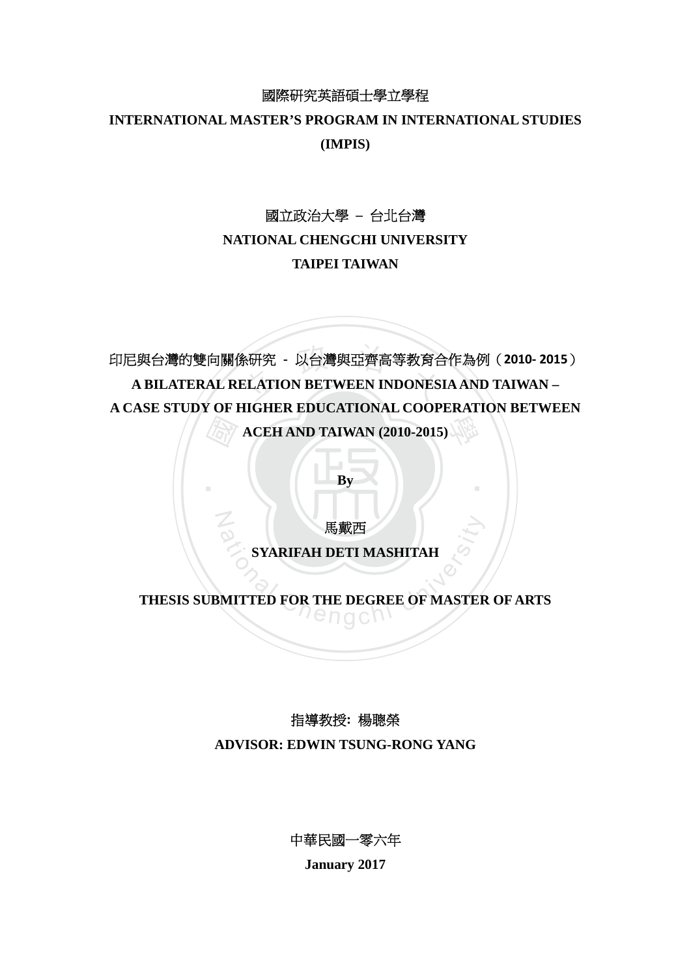### 國際研究英語碩士學立學程

## **INTERNATIONAL MASTER'S PROGRAM IN INTERNATIONAL STUDIES (IMPIS)**

## 國立政治大學 **–** 台北台灣

## **NATIONAL CHENGCHI UNIVERSITY**

## **TAIPEI TAIWAN**

 國 条研究 - 以台灣與亞齊高等教育合<br>ELATION BETWEEN INDONES 學 印尼與台灣的雙向關係研究 **-** 以台灣與亞齊高等教育合作為例(**2010‐ 2015**) **A BILATERAL RELATION BETWEEN INDONESIA AND TAIWAN – A CASE STUDY OF HIGHER EDUCATIONAL COOPERATION BETWEEN ACEH AND TAIWAN (2010-2015)** 

**By** 

‧

馬戴西

N

**SYARIFAH DETI MASHITAH** 

# **B**<br>
SYARIFAH DETI MASHITAH<br>
MITTED FOR THE DEGREE OF MASTER<br> **CHIP CORPLANAGE THESIS SUBMITTED FOR THE DEGREE OF MASTER OF ARTS**

## 指導教授**:** 楊聰榮

**ADVISOR: EDWIN TSUNG-RONG YANG** 

中華民國一零六年

**January 2017**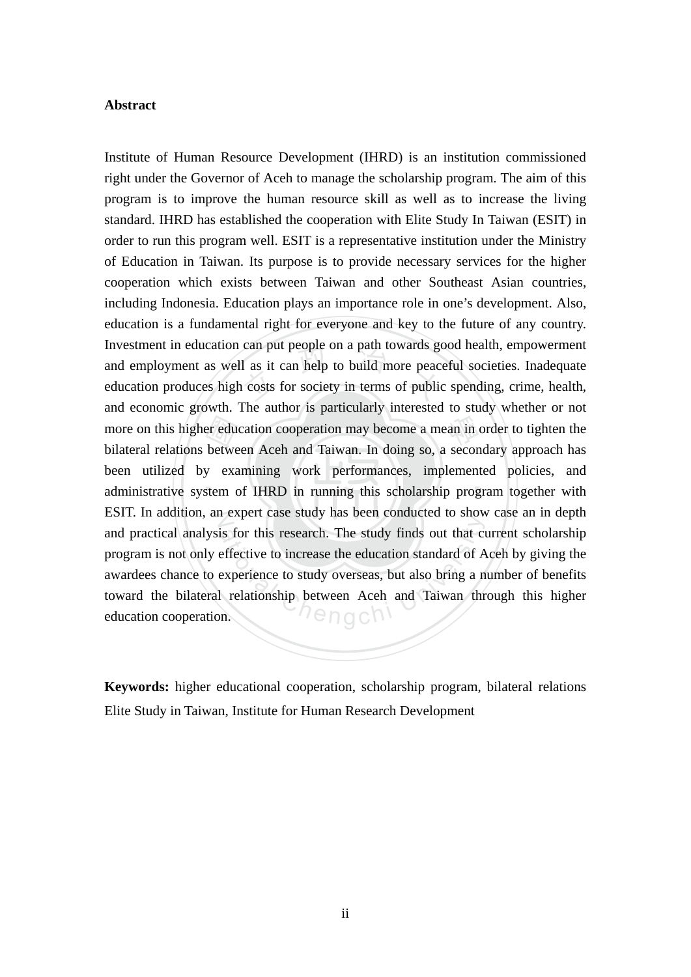#### **Abstract**

administrative system of IHRD in running this scholarship program together with er edu<br>betwe<br>y exa<br>stem o can put people on a path towards go<br>1 as it can help to build more peace<br>1 costs for society in terms of public more on this higher education cooperation may become a mean in order to tighten the ESIT. In addition, an expert case study has been conducted to show case an in depth is for this research. The study finds out that coeffective to increase the education standard of A experience to study overseas, but also bring a not relationship between Aceh and Taiwan throm. Institute of Human Resource Development (IHRD) is an institution commissioned right under the Governor of Aceh to manage the scholarship program. The aim of this program is to improve the human resource skill as well as to increase the living standard. IHRD has established the cooperation with Elite Study In Taiwan (ESIT) in order to run this program well. ESIT is a representative institution under the Ministry of Education in Taiwan. Its purpose is to provide necessary services for the higher cooperation which exists between Taiwan and other Southeast Asian countries, including Indonesia. Education plays an importance role in one's development. Also, education is a fundamental right for everyone and key to the future of any country. Investment in education can put people on a path towards good health, empowerment and employment as well as it can help to build more peaceful societies. Inadequate education produces high costs for society in terms of public spending, crime, health, and economic growth. The author is particularly interested to study whether or not bilateral relations between Aceh and Taiwan. In doing so, a secondary approach has been utilized by examining work performances, implemented policies, and and practical analysis for this research. The study finds out that current scholarship program is not only effective to increase the education standard of Aceh by giving the awardees chance to experience to study overseas, but also bring a number of benefits toward the bilateral relationship between Aceh and Taiwan through this higher education cooperation.

**Keywords:** higher educational cooperation, scholarship program, bilateral relations Elite Study in Taiwan, Institute for Human Research Development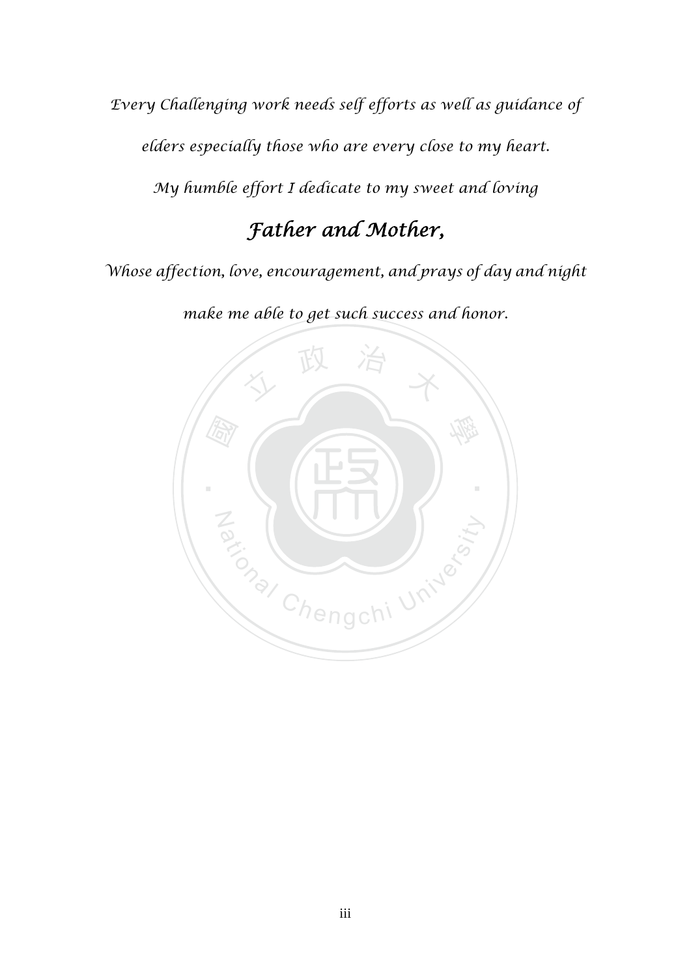*Every Challenging work needs self efforts as well as guidance of elders especially those who are every close to my heart.* 

*My humble effort I dedicate to my sweet and loving* 

## *Father and Mother,*

*Whose affection, love, encouragement, and prays of day and night* 

*make me able to get such success and honor.* 

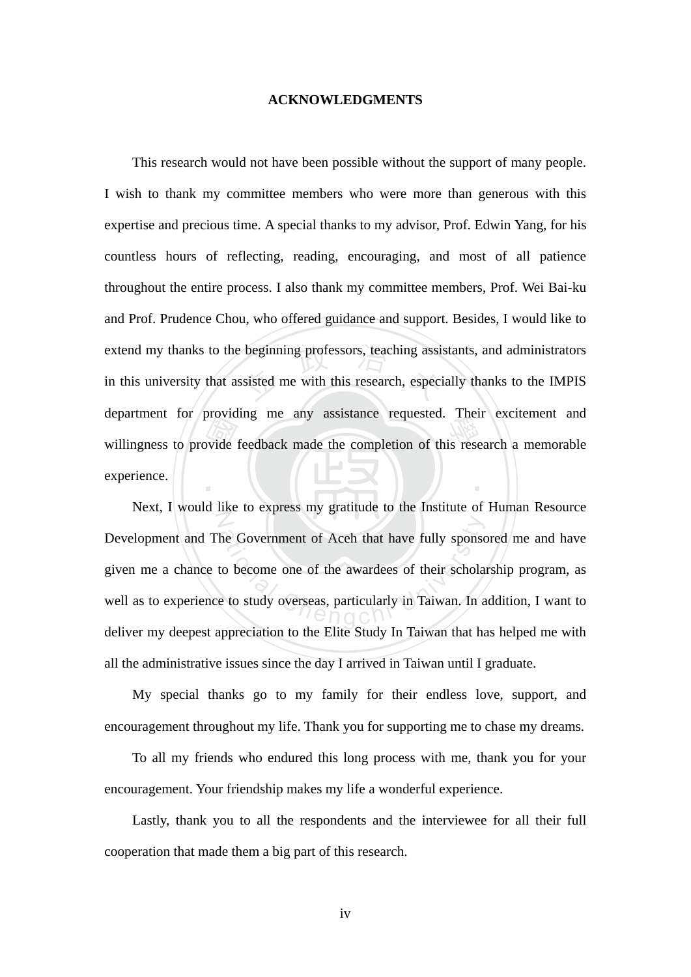#### **ACKNOWLEDGMENTS**

willingness to providing the any assistance requested. Then exchement and<br>willingness to provide feedback made the completion of this research a memorable<br>experience. extend my thanks to the beginning professors, teaching assistants, and administrators<br>in this university that assisted me with this research, especially thanks to the IMPIS ‧ This research would not have been possible without the support of many people. I wish to thank my committee members who were more than generous with this expertise and precious time. A special thanks to my advisor, Prof. Edwin Yang, for his countless hours of reflecting, reading, encouraging, and most of all patience throughout the entire process. I also thank my committee members, Prof. Wei Bai-ku and Prof. Prudence Chou, who offered guidance and support. Besides, I would like to in this university that assisted me with this research, especially thanks to the IMPIS department for providing me any assistance requested. Their excitement and experience.

 $\overline{Z}$ the Government of Aceh that have fully sponse<br>to become one of the awardees of their schola<br>e to study overseas, particularly in Taiwan. In a Next, I would like to express my gratitude to the Institute of Human Resource Development and The Government of Aceh that have fully sponsored me and have given me a chance to become one of the awardees of their scholarship program, as well as to experience to study overseas, particularly in Taiwan. In addition, I want to deliver my deepest appreciation to the Elite Study In Taiwan that has helped me with all the administrative issues since the day I arrived in Taiwan until I graduate.

My special thanks go to my family for their endless love, support, and encouragement throughout my life. Thank you for supporting me to chase my dreams.

 To all my friends who endured this long process with me, thank you for your encouragement. Your friendship makes my life a wonderful experience.

Lastly, thank you to all the respondents and the interviewee for all their full cooperation that made them a big part of this research.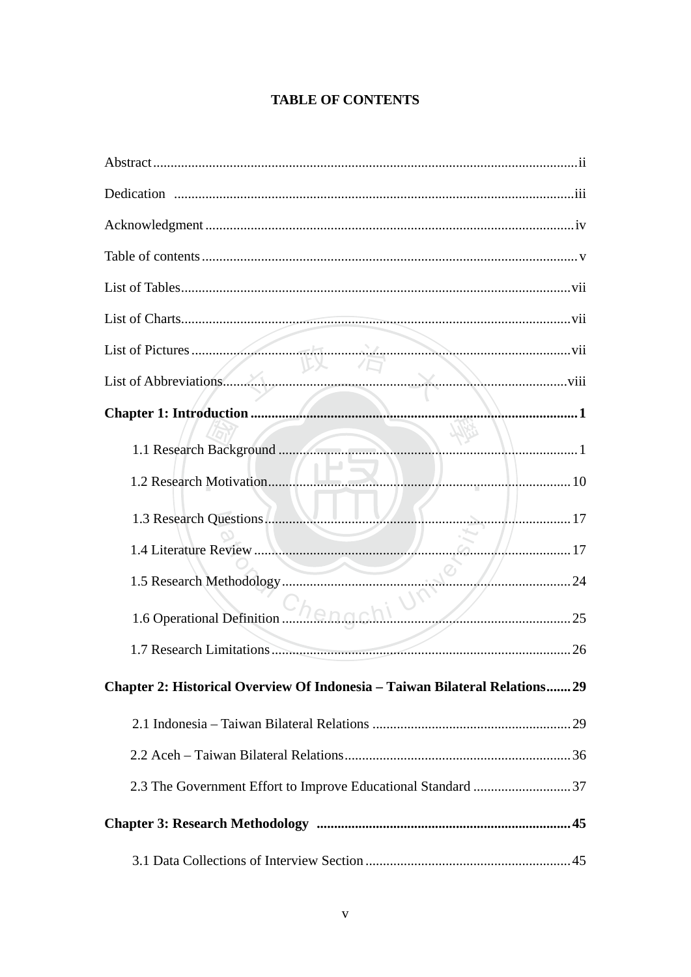## **TABLE OF CONTENTS**

| 1.3 Research Questions.<br>. 17                                             |
|-----------------------------------------------------------------------------|
| $6 - 11$ 17                                                                 |
| $\leq$<br>/<br>24                                                           |
| 1.6 Operational Definition (25) 25                                          |
|                                                                             |
| Chapter 2: Historical Overview Of Indonesia – Taiwan Bilateral Relations 29 |
|                                                                             |
|                                                                             |
|                                                                             |
|                                                                             |
|                                                                             |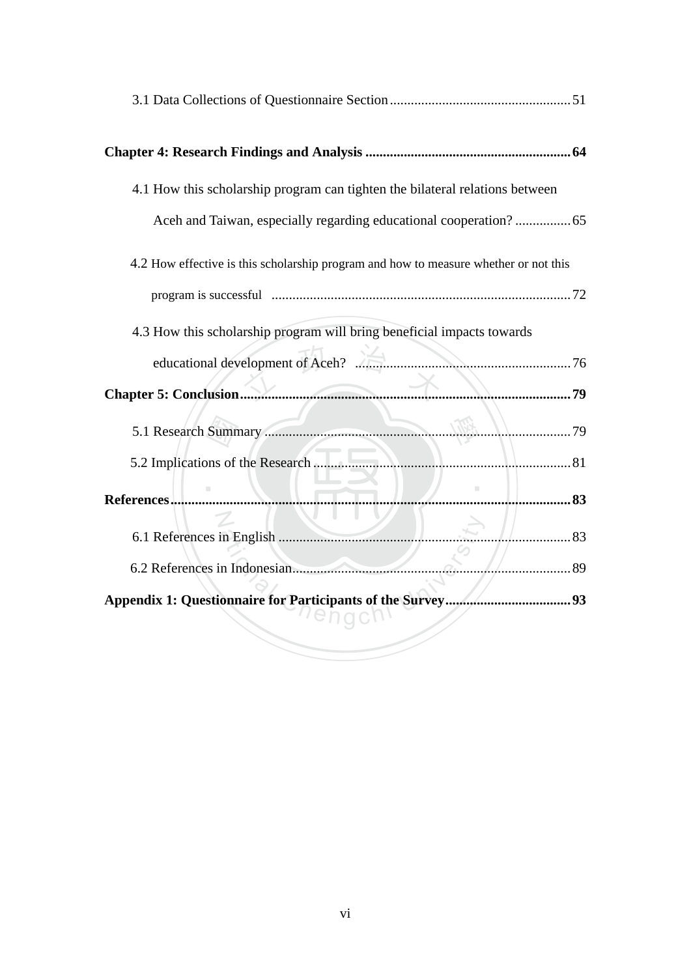| 4.1 How this scholarship program can tighten the bilateral relations between         |  |
|--------------------------------------------------------------------------------------|--|
|                                                                                      |  |
| 4.2 How effective is this scholarship program and how to measure whether or not this |  |
|                                                                                      |  |
| 4.3 How this scholarship program will bring beneficial impacts towards               |  |
|                                                                                      |  |
|                                                                                      |  |
|                                                                                      |  |
|                                                                                      |  |
| . 83                                                                                 |  |
| . 83                                                                                 |  |
|                                                                                      |  |
|                                                                                      |  |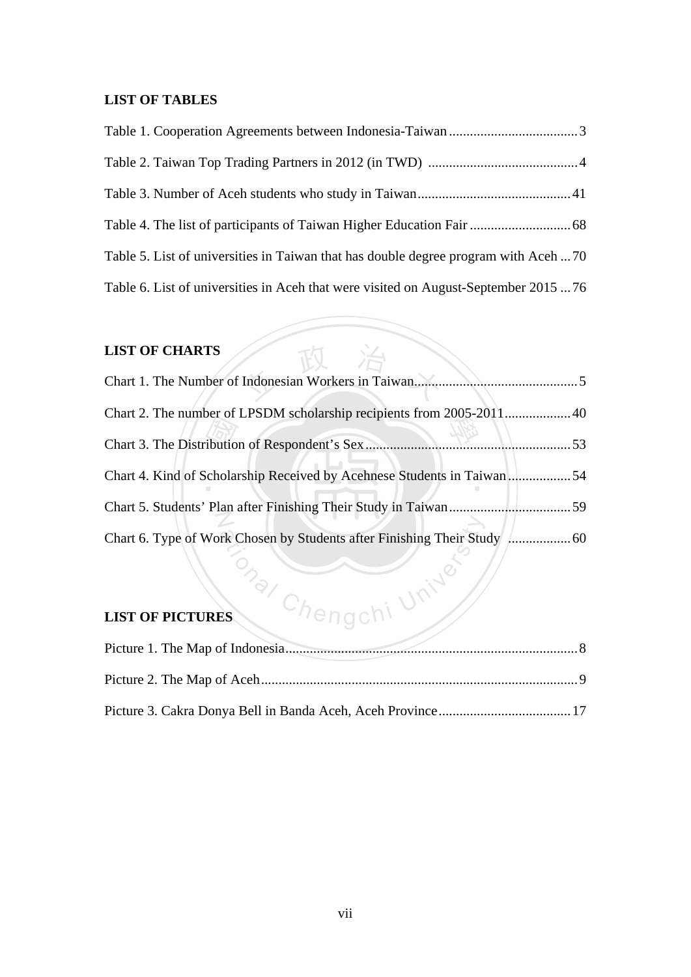### **LIST OF TABLES**

| Table 5. List of universities in Taiwan that has double degree program with Aceh  70 |  |
|--------------------------------------------------------------------------------------|--|
| Table 6. List of universities in Aceh that were visited on August-September 2015  76 |  |

## **LIST OF CHARTS**

| Chart 4. Kind of Scholarship Received by Acehnese Students in Taiwan 54 |  |
|-------------------------------------------------------------------------|--|
|                                                                         |  |
|                                                                         |  |
| Chengchi Un                                                             |  |
| <b>LIST OF PICTURES</b>                                                 |  |

政 治

## **LIST OF PICTURES**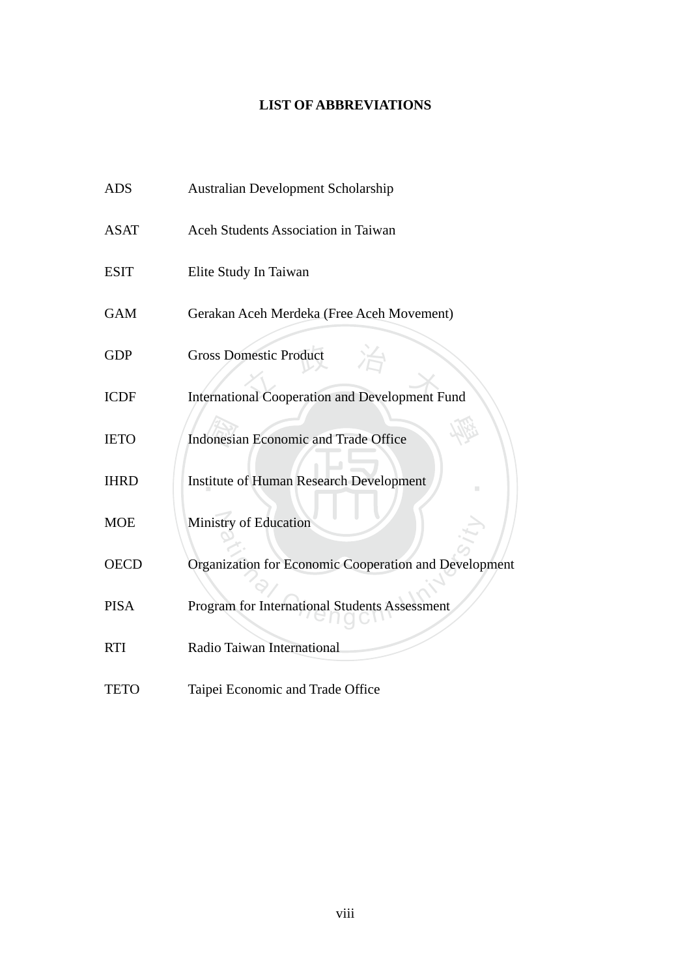## **LIST OF ABBREVIATIONS**

| <b>ADS</b>  | <b>Australian Development Scholarship</b>             |
|-------------|-------------------------------------------------------|
| <b>ASAT</b> | Aceh Students Association in Taiwan                   |
| <b>ESIT</b> | Elite Study In Taiwan                                 |
| <b>GAM</b>  | Gerakan Aceh Merdeka (Free Aceh Movement)             |
| <b>GDP</b>  | <b>Gross Domestic Product</b>                         |
| <b>ICDF</b> | <b>International Cooperation and Development Fund</b> |
| <b>IETO</b> | <b>Indonesian Economic and Trade Office</b>           |
| <b>IHRD</b> | <b>Institute of Human Research Development</b>        |
| <b>MOE</b>  | Ministry of Education                                 |
| <b>OECD</b> | Organization for Economic Cooperation and Development |
| <b>PISA</b> | Program for International Students Assessment         |
| <b>RTI</b>  | Radio Taiwan International                            |
| <b>TETO</b> | Taipei Economic and Trade Office                      |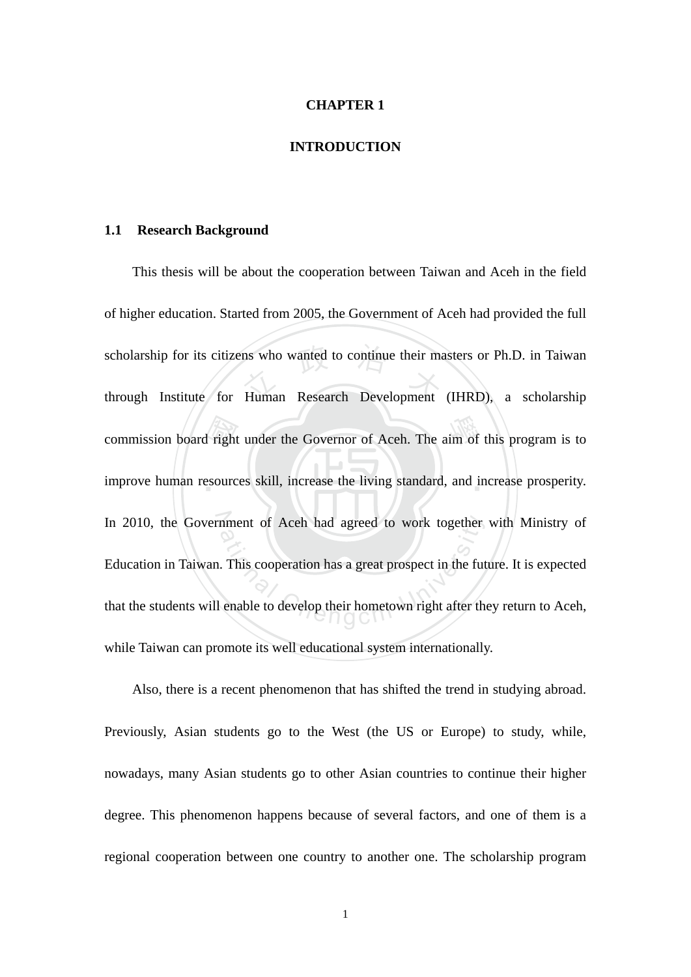#### **CHAPTER 1**

#### **INTRODUCTION**

#### **1.1 Research Background**

commission board right under the Governor of Aceh. The aim of this program is to improve human resources skill, increase the living standard, and increase prosperity. scholarship for its citizens who wanted to continue their masters or Ph.D. in Taiwan<br>through Institute for Human Research Development (IHRD), a scholarship improve human resources skill, increase the living standard, and increase prosperity. In 2010, the Government of Aceh had agreed to work together with Ministry of mment of Aceh had agreed to work together<br>This cooperation has a great prospect in the fut<br>enable to develop their hometown right after the This thesis will be about the cooperation between Taiwan and Aceh in the field of higher education. Started from 2005, the Government of Aceh had provided the full through Institute for Human Research Development (IHRD), a scholarship Education in Taiwan. This cooperation has a great prospect in the future. It is expected that the students will enable to develop their hometown right after they return to Aceh, while Taiwan can promote its well educational system internationally.

Also, there is a recent phenomenon that has shifted the trend in studying abroad. Previously, Asian students go to the West (the US or Europe) to study, while, nowadays, many Asian students go to other Asian countries to continue their higher degree. This phenomenon happens because of several factors, and one of them is a regional cooperation between one country to another one. The scholarship program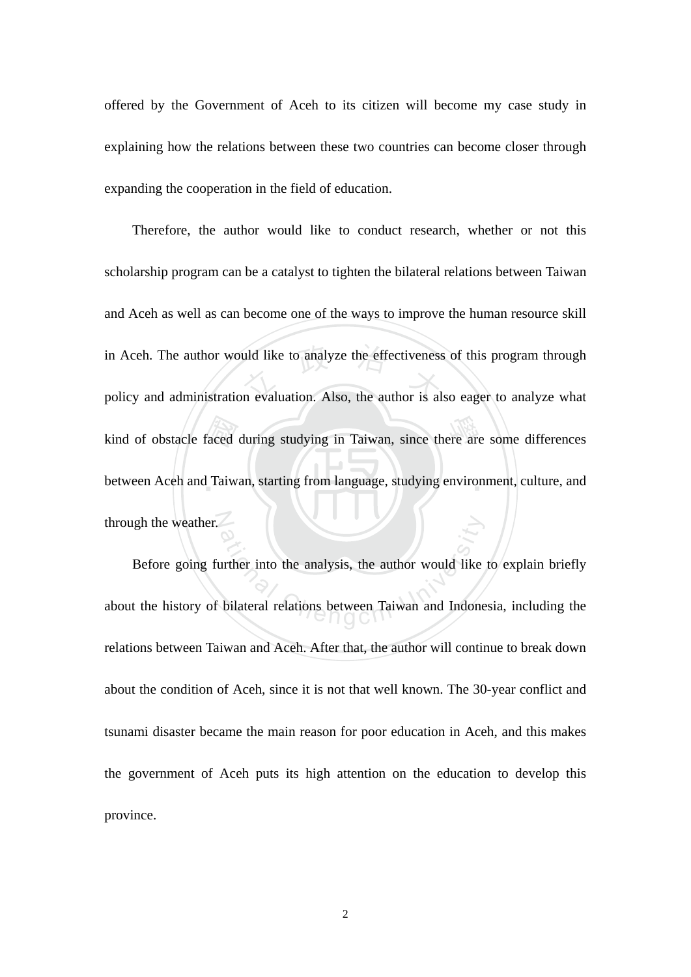offered by the Government of Aceh to its citizen will become my case study in explaining how the relations between these two countries can become closer through expanding the cooperation in the field of education.

kind of obstacle faced during studying in Taiwan, since there are some differences<br>between Aceh and Taiwan, starting from language, studying environment, culture, and in Aceh. The author would like to analyze the effectiveness of this program through<br>policy and administration evaluation. Also, the author is also eager to analyze what between Aceh and Taiwan, starting from language, studying environment, culture, and through the weather. Therefore, the author would like to conduct research, whether or not this scholarship program can be a catalyst to tighten the bilateral relations between Taiwan and Aceh as well as can become one of the ways to improve the human resource skill in Aceh. The author would like to analyze the effectiveness of this program through

ation<br>urther into the analysis, the author would like<br>bilateral relations between Taiwan and Indone Before going further into the analysis, the author would like to explain briefly about the history of bilateral relations between Taiwan and Indonesia, including the relations between Taiwan and Aceh. After that, the author will continue to break down about the condition of Aceh, since it is not that well known. The 30-year conflict and tsunami disaster became the main reason for poor education in Aceh, and this makes the government of Aceh puts its high attention on the education to develop this province.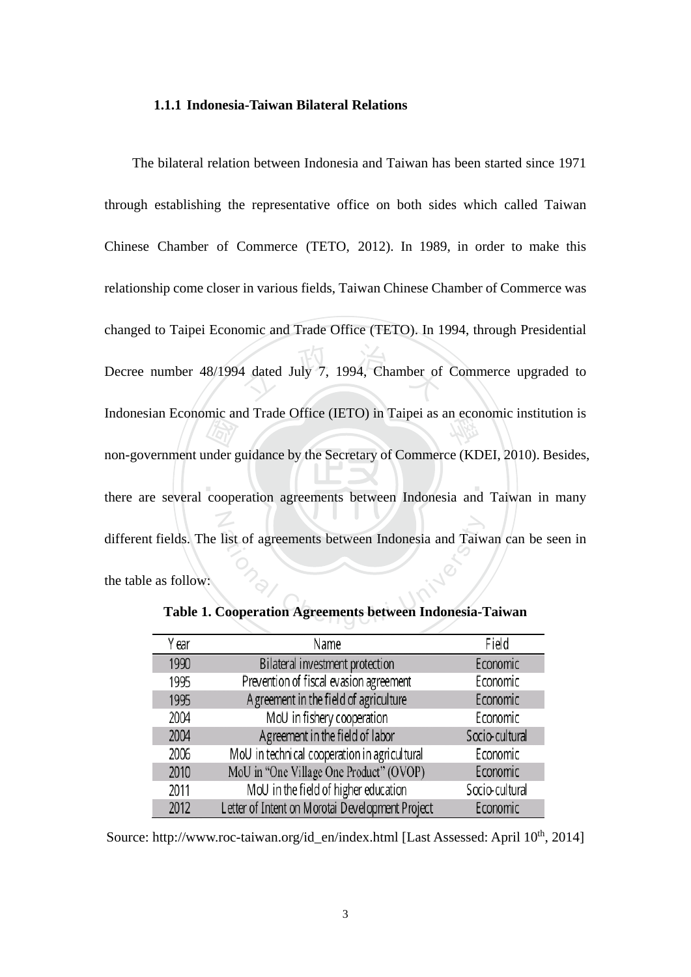#### **1.1.1 Indonesia-Taiwan Bilateral Relations**

 $\blacksquare$ me and<br> *ligy*<br>
mder g<br>
coope 4 dated July 7, 1994, Chamber of Indonesian Economic and Trade Office (IETO) in Taipei as an economic institution is N Iist of agreements between Indonesia and Taiw<br>Cooperation Agreements between Indonesia-7 The bilateral relation between Indonesia and Taiwan has been started since 1971 through establishing the representative office on both sides which called Taiwan Chinese Chamber of Commerce (TETO, 2012). In 1989, in order to make this relationship come closer in various fields, Taiwan Chinese Chamber of Commerce was changed to Taipei Economic and Trade Office (TETO). In 1994, through Presidential Decree number 48/1994 dated July 7, 1994, Chamber of Commerce upgraded to non-government under guidance by the Secretary of Commerce (KDEI, 2010). Besides, there are several cooperation agreements between Indonesia and Taiwan in many different fields. The list of agreements between Indonesia and Taiwan can be seen in the table as follow:

| Y ear | Name                                            | Field          |
|-------|-------------------------------------------------|----------------|
| 1990  | Bilateral investment protection                 | Economic       |
| 1995  | Prevention of fiscal evasion agreement          | Economic       |
| 1995  | A greement in the field of agriculture          | Economic       |
| 2004  | MoU in fishery cooperation                      | Economic       |
| 2004  | Agreement in the field of labor                 | Socio-cultural |
| 2006  | MoU in technical cooperation in agricultural    | Economic       |
| 2010  | MoU in "One Village One Product" (OVOP)         | Economic       |
| 2011  | MoU in the field of higher education            | Socio-cultural |
| 2012  | Letter of Intent on Morotai Development Project | Economic       |

**Table 1. Cooperation Agreements between Indonesia-Taiwan** 

Source: http://www.roc-taiwan.org/id\_en/index.html [Last Assessed: April 10<sup>th</sup>, 2014]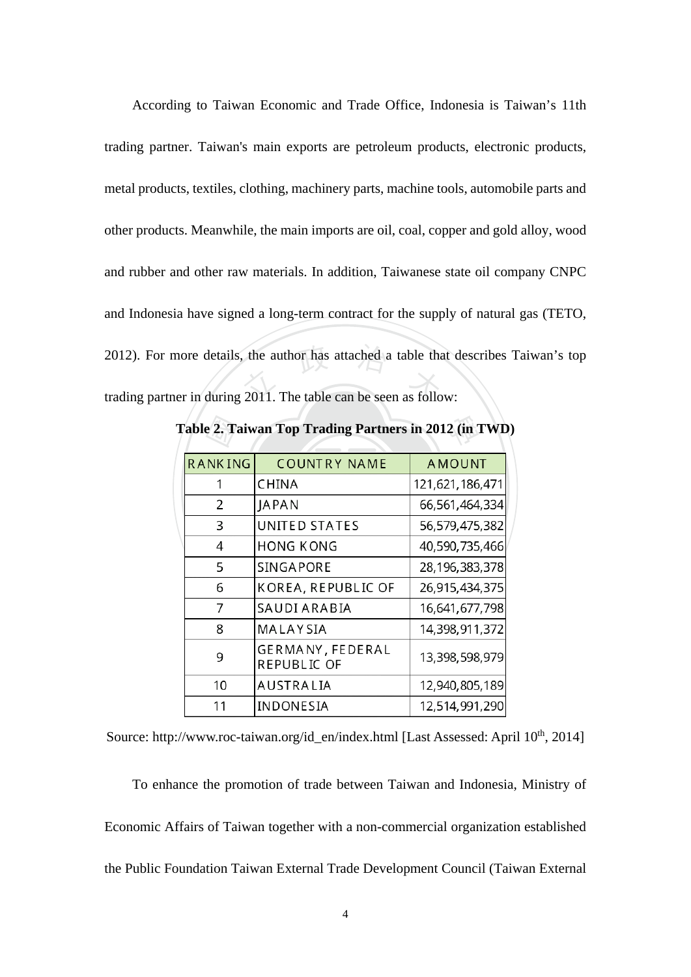2012). For more details, the author has attached a table that d<br>trading partner in during 2011. The table can be seen as follow: According to Taiwan Economic and Trade Office, Indonesia is Taiwan's 11th trading partner. Taiwan's main exports are petroleum products, electronic products, metal products, textiles, clothing, machinery parts, machine tools, automobile parts and other products. Meanwhile, the main imports are oil, coal, copper and gold alloy, wood and rubber and other raw materials. In addition, Taiwanese state oil company CNPC and Indonesia have signed a long-term contract for the supply of natural gas (TETO, 2012). For more details, the author has attached a table that describes Taiwan's top

| <b>RANKING</b> | <b>COUNTRY NAME</b>             | <b>AMOUNT</b>   |
|----------------|---------------------------------|-----------------|
|                | CHINA                           | 121,621,186,471 |
| 2              | JAPAN                           | 66,561,464,334  |
| 3              | UNITED STATES                   | 56,579,475,382  |
| 4              | HONG KONG                       | 40,590,735,466  |
| 5              | SINGAPORE                       | 28,196,383,378  |
| 6              | KOREA, REPUBLIC OF              | 26,915,434,375  |
| 7              | SAUDI ARABIA                    | 16,641,677,798  |
| 8              | MALAYSIA                        | 14,398,911,372  |
| 9              | GERMANY, FEDERAL<br>REPUBLIC OF | 13,398,598,979  |
| 10             | AUSTRALIA                       | 12,940,805,189  |
| 11             | INDONESIA                       | 12,514,991,290  |

Source: http://www.roc-taiwan.org/id\_en/index.html [Last Assessed: April 10<sup>th</sup>, 2014]

To enhance the promotion of trade between Taiwan and Indonesia, Ministry of Economic Affairs of Taiwan together with a non-commercial organization established the Public Foundation Taiwan External Trade Development Council (Taiwan External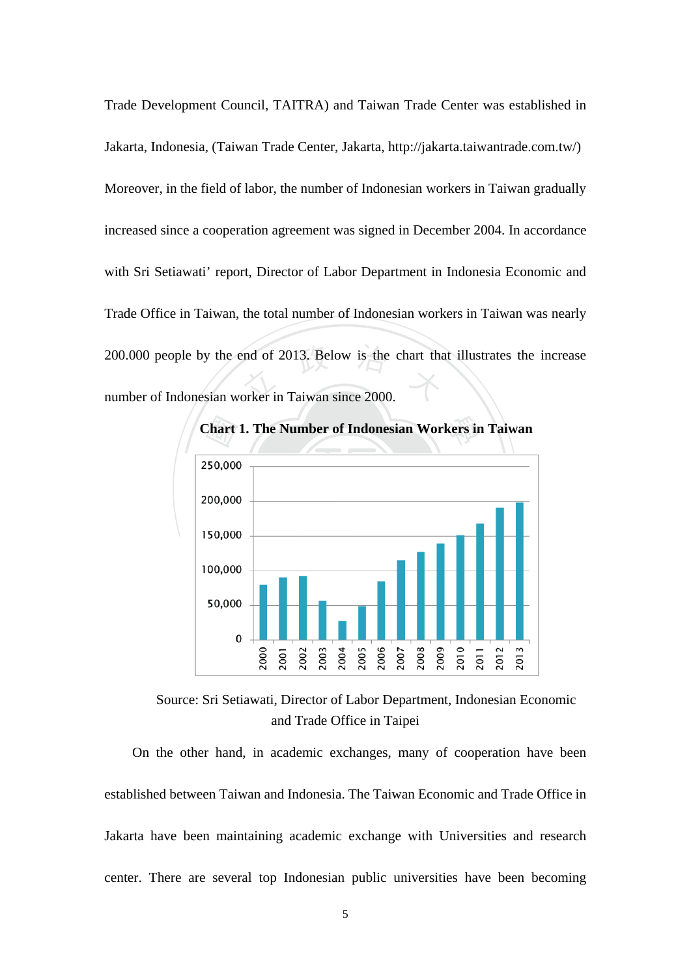200.000 people by the end of 2013. Below is the chart that illustrates the increase<br>number of Indonesian worker in Taiwan since 2000. Trade Development Council, TAITRA) and Taiwan Trade Center was established in Jakarta, Indonesia, (Taiwan Trade Center, Jakarta, http://jakarta.taiwantrade.com.tw/) Moreover, in the field of labor, the number of Indonesian workers in Taiwan gradually increased since a cooperation agreement was signed in December 2004. In accordance with Sri Setiawati' report, Director of Labor Department in Indonesia Economic and Trade Office in Taiwan, the total number of Indonesian workers in Taiwan was nearly number of Indonesian worker in Taiwan since 2000.



Source: Sri Setiawati, Director of Labor Department, Indonesian Economic and Trade Office in Taipei

On the other hand, in academic exchanges, many of cooperation have been established between Taiwan and Indonesia. The Taiwan Economic and Trade Office in Jakarta have been maintaining academic exchange with Universities and research center. There are several top Indonesian public universities have been becoming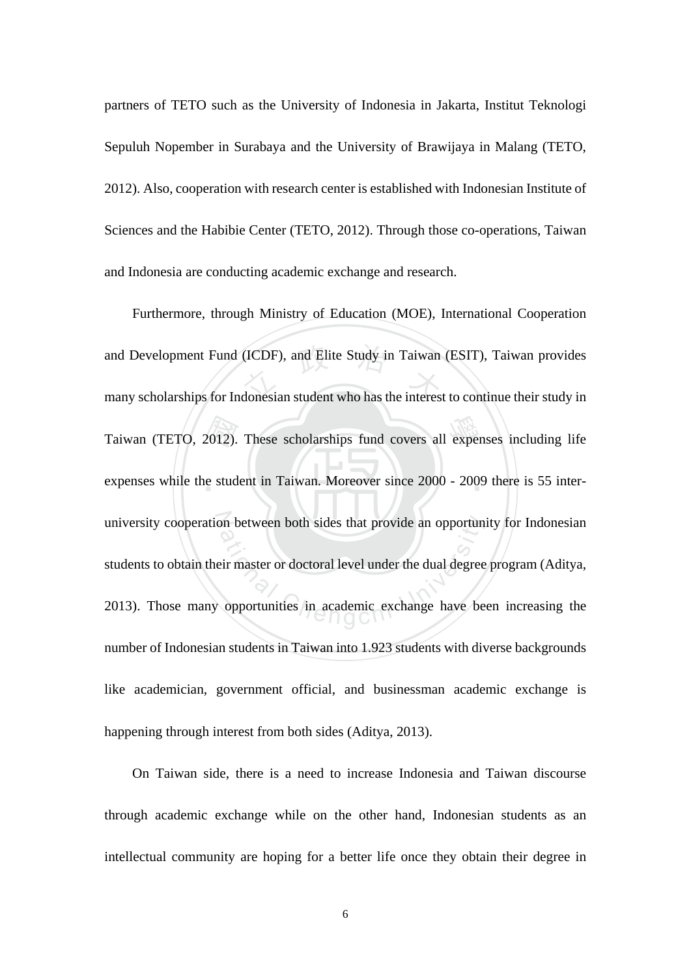partners of TETO such as the University of Indonesia in Jakarta, Institut Teknologi Sepuluh Nopember in Surabaya and the University of Brawijaya in Malang (TETO, 2012). Also, cooperation with research center is established with Indonesian Institute of Sciences and the Habibie Center (TETO, 2012). Through those co-operations, Taiwan and Indonesia are conducting academic exchange and research.

Taiwan (TETO, 2012). These scholarships fund covers all expenses including life<br>expenses while the student in Taiwan. Moreover since 2000 - 2009 there is 55 interand Development Fund (ICDF), and Elite Study in Taiwan (ESIT), Taiwan provides<br>many scholarships for Indonesian student who has the interest to continue their study in expenses while the student in Taiwan. Moreover since 2000 - 2009 there is 55 interuniversity cooperation between both sides that provide an opportunity for Indonesian on between both sides that provide an opportuned<br>eir master or doctoral level under the dual degree<br>opportunities in academic exchange have be Furthermore, through Ministry of Education (MOE), International Cooperation many scholarships for Indonesian student who has the interest to continue their study in students to obtain their master or doctoral level under the dual degree program (Aditya, 2013). Those many opportunities in academic exchange have been increasing the number of Indonesian students in Taiwan into 1.923 students with diverse backgrounds like academician, government official, and businessman academic exchange is happening through interest from both sides (Aditya, 2013).

On Taiwan side, there is a need to increase Indonesia and Taiwan discourse through academic exchange while on the other hand, Indonesian students as an intellectual community are hoping for a better life once they obtain their degree in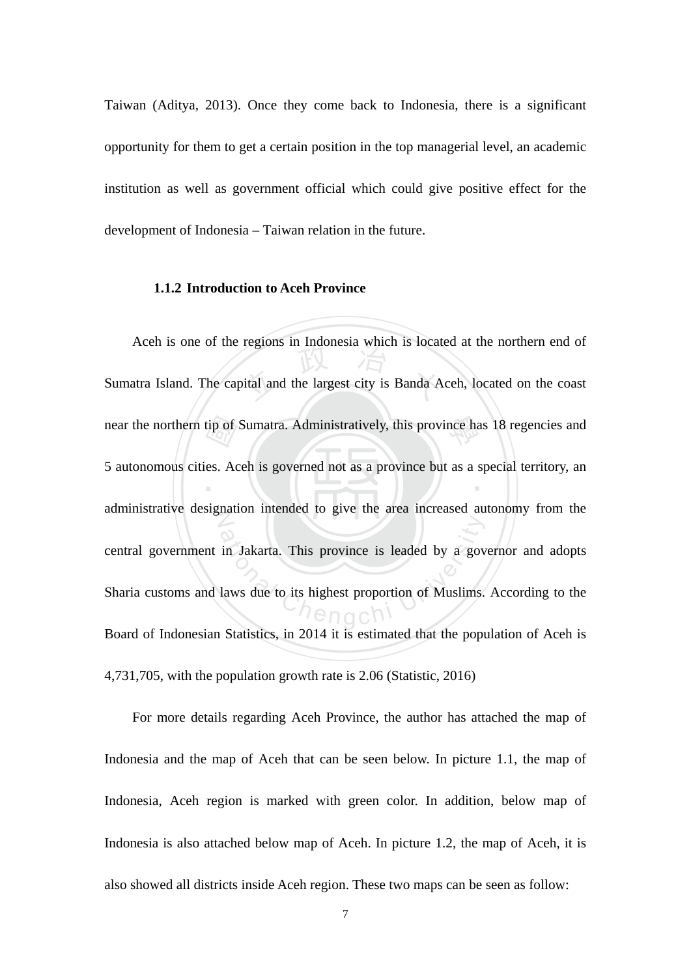Taiwan (Aditya, 2013). Once they come back to Indonesia, there is a significant opportunity for them to get a certain position in the top managerial level, an academic institution as well as government official which could give positive effect for the development of Indonesia – Taiwan relation in the future.

#### **1.1.2 Introduction to Aceh Province**

near the northern tip of Sumatra. Administratively, this province has 18 regencies and<br>5 autonomous cities. Aceh is governed not as a province but as a special territory, and regions in indonesia which is located<br>bital and the largest city is Banda A ‧ administrative designation intended to give the area increased autonomy from the in Jakarta. This province is leaded by a governomental and a governomental value to its highest proportion of Muslims. Aceh is one of the regions in Indonesia which is located at the northern end of Sumatra Island. The capital and the largest city is Banda Aceh, located on the coast 5 autonomous cities. Aceh is governed not as a province but as a special territory, an central government in Jakarta. This province is leaded by a governor and adopts Sharia customs and laws due to its highest proportion of Muslims. According to the Board of Indonesian Statistics, in 2014 it is estimated that the population of Aceh is 4,731,705, with the population growth rate is 2.06 (Statistic, 2016)

For more details regarding Aceh Province, the author has attached the map of Indonesia and the map of Aceh that can be seen below. In picture 1.1, the map of Indonesia, Aceh region is marked with green color. In addition, below map of Indonesia is also attached below map of Aceh. In picture 1.2, the map of Aceh, it is also showed all districts inside Aceh region. These two maps can be seen as follow: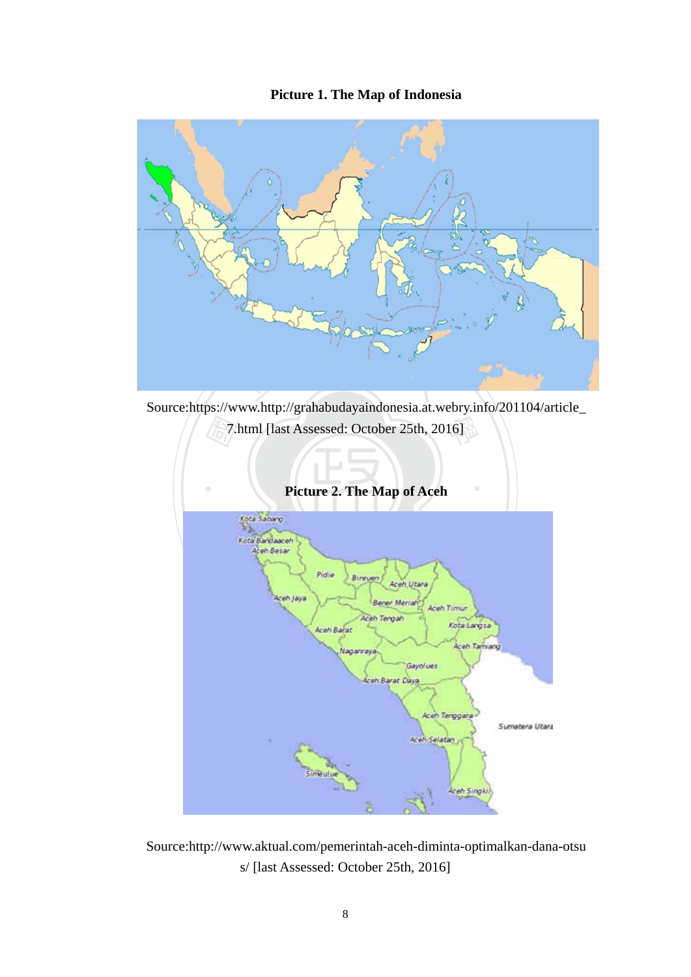## **Picture 1. The Map of Indonesia**



Source:https://www.http://grahabudayaindonesia.at.webry.info/201104/article\_



Source:http://www.aktual.com/pemerintah-aceh-diminta-optimalkan-dana-otsu s/ [last Assessed: October 25th, 2016]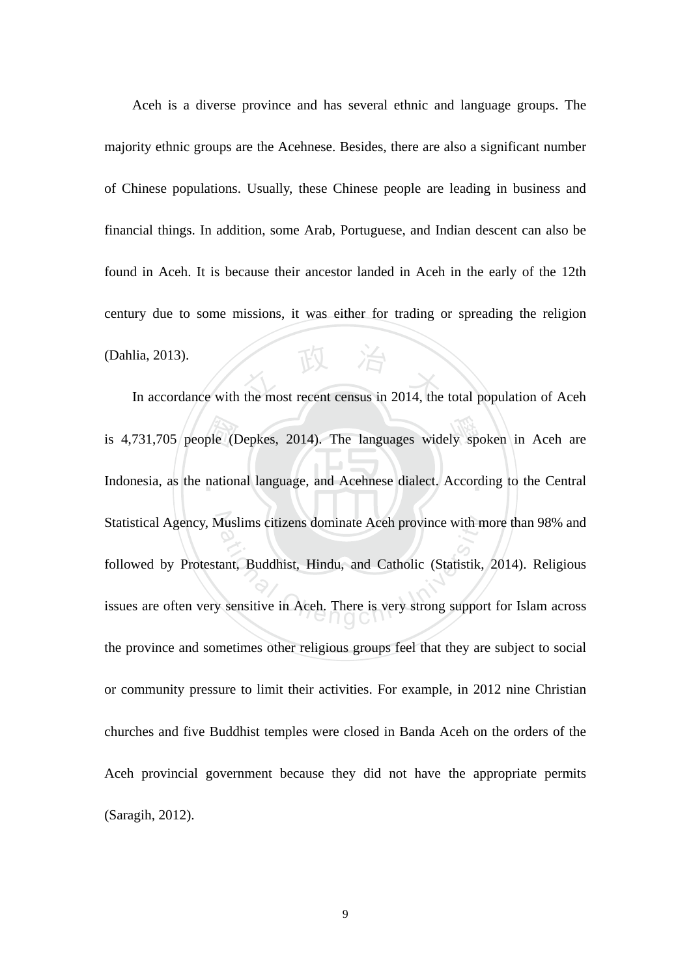$\frac{1}{2}$  In accordance with the most recent census in 2014, the total population of Aceh Aceh is a diverse province and has several ethnic and language groups. The majority ethnic groups are the Acehnese. Besides, there are also a significant number of Chinese populations. Usually, these Chinese people are leading in business and financial things. In addition, some Arab, Portuguese, and Indian descent can also be found in Aceh. It is because their ancestor landed in Aceh in the early of the 12th century due to some missions, it was either for trading or spreading the religion (Dahlia, 2013).

is 4,731,705 people (Depkes, 2014). The languages widely spoken in Aceh are<br>Indonesia, as the national language, and Acehnese dialect. According to the Central Indonesia, as the national language, and Acehnese dialect. According to the Central Statistical Agency, Muslims citizens dominate Aceh province with more than 98% and Auslims citizens dominate Aceh province with m<br>ant, Buddhist, Hindu, and Catholic (Statistik,<br>sensitive in Aceh. There is very strong suppor followed by Protestant, Buddhist, Hindu, and Catholic (Statistik, 2014). Religious issues are often very sensitive in Aceh. There is very strong support for Islam across the province and sometimes other religious groups feel that they are subject to social or community pressure to limit their activities. For example, in 2012 nine Christian churches and five Buddhist temples were closed in Banda Aceh on the orders of the Aceh provincial government because they did not have the appropriate permits (Saragih, 2012).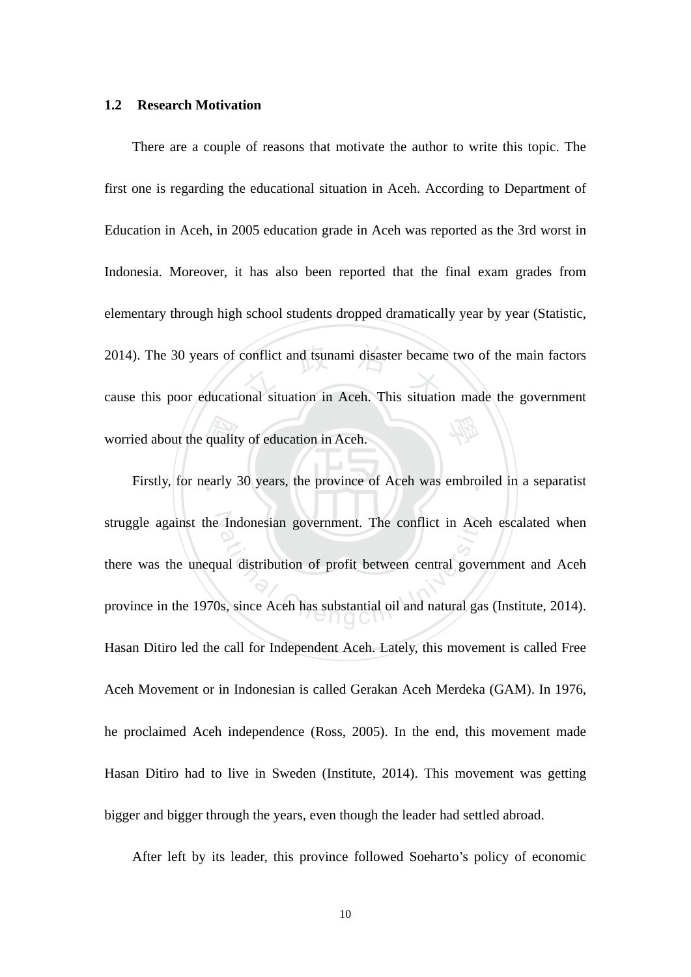#### **1.2 Research Motivation**

qualit<br>early 2014). The 30 years of conflict and tsunami disaster became two of the main factors<br>cause this poor educational situation in Aceh. This situation made the government 學 There are a couple of reasons that motivate the author to write this topic. The first one is regarding the educational situation in Aceh. According to Department of Education in Aceh, in 2005 education grade in Aceh was reported as the 3rd worst in Indonesia. Moreover, it has also been reported that the final exam grades from elementary through high school students dropped dramatically year by year (Statistic, cause this poor educational situation in Aceh. This situation made the government worried about the quality of education in Aceh.

Firstly, for nearly 30 years, the province of Aceh was embroiled in a separatist struggle against the Indonesian government. The conflict in Aceh escalated when Indonesian government. The conflict in Ace<br>all distribution of profit between central gove<br>s, since Aceh has substantial oil and natural gas there was the unequal distribution of profit between central government and Aceh province in the 1970s, since Aceh has substantial oil and natural gas (Institute, 2014). Hasan Ditiro led the call for Independent Aceh. Lately, this movement is called Free Aceh Movement or in Indonesian is called Gerakan Aceh Merdeka (GAM). In 1976, he proclaimed Aceh independence (Ross, 2005). In the end, this movement made Hasan Ditiro had to live in Sweden (Institute, 2014). This movement was getting bigger and bigger through the years, even though the leader had settled abroad.

After left by its leader, this province followed Soeharto's policy of economic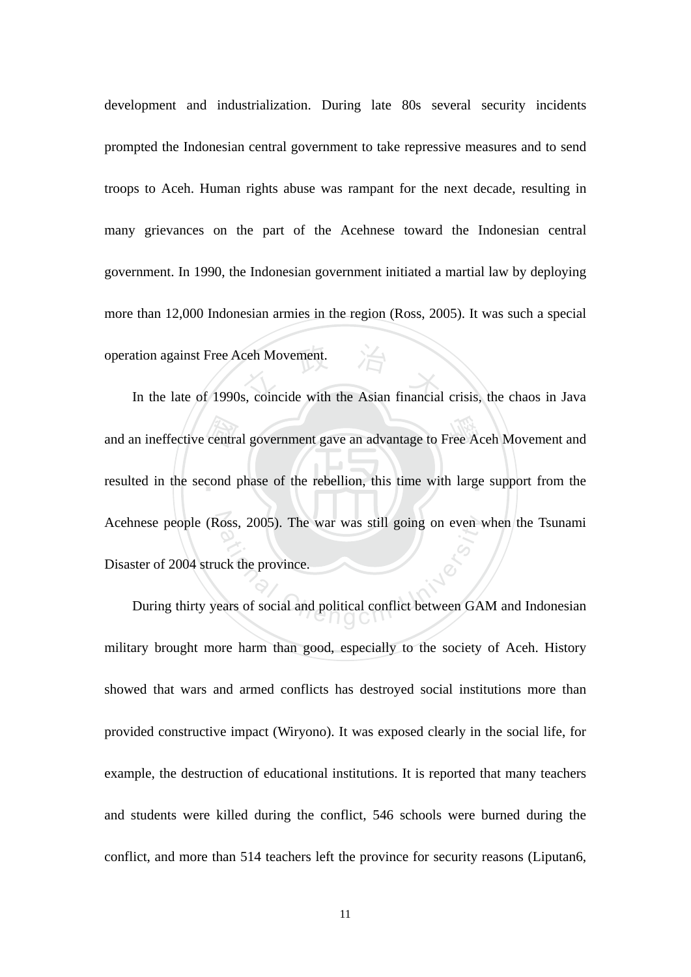In the late of 1990s, coincide with the Asian financial crisis, the chaos in Java development and industrialization. During late 80s several security incidents prompted the Indonesian central government to take repressive measures and to send troops to Aceh. Human rights abuse was rampant for the next decade, resulting in many grievances on the part of the Acehnese toward the Indonesian central government. In 1990, the Indonesian government initiated a martial law by deploying more than 12,000 Indonesian armies in the region (Ross, 2005). It was such a special operation against Free Aceh Movement.

and an ineffective central government gave an advantage to Free Aceh Movement and<br>resulted in the second phase of the rebellion, this time with large support from the resulted in the second phase of the rebellion, this time with large support from the Acehnese people (Ross, 2005). The war was still going on even when the Tsunami oss, 2005). The war was still going on even v<br>ck the province.<br>ears of social and political conflict between GA. Disaster of 2004 struck the province.

During thirty years of social and political conflict between GAM and Indonesian military brought more harm than good, especially to the society of Aceh. History showed that wars and armed conflicts has destroyed social institutions more than provided constructive impact (Wiryono). It was exposed clearly in the social life, for example, the destruction of educational institutions. It is reported that many teachers and students were killed during the conflict, 546 schools were burned during the conflict, and more than 514 teachers left the province for security reasons (Liputan6,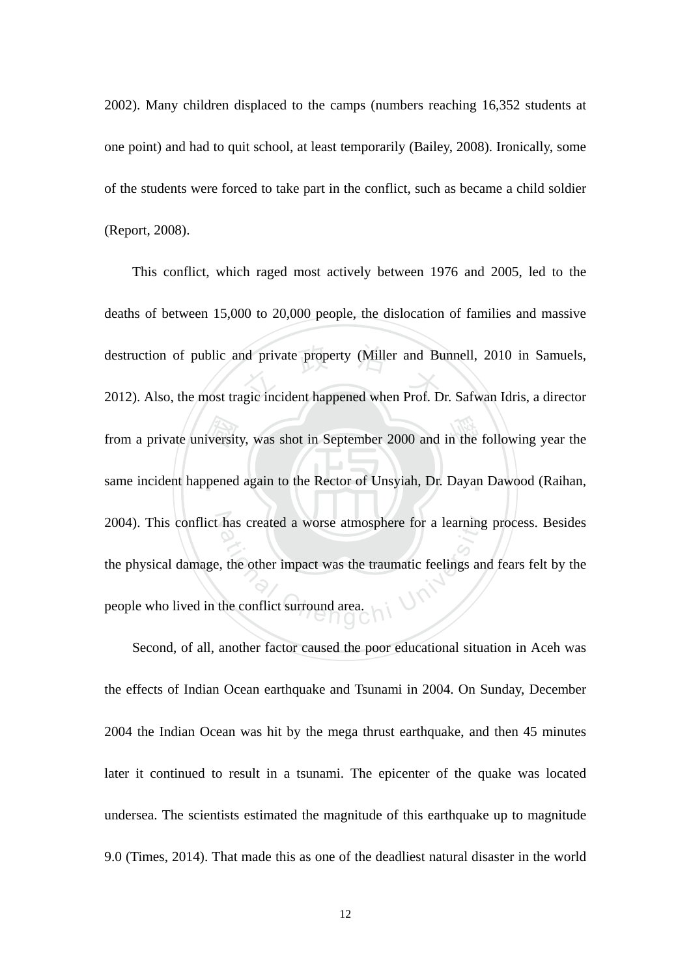2002). Many children displaced to the camps (numbers reaching 16,352 students at one point) and had to quit school, at least temporarily (Bailey, 2008). Ironically, some of the students were forced to take part in the conflict, such as became a child soldier (Report, 2008).

‧from a private university, was shot in September 2000 and in the following year the same incident happened again to the Rector of Unsyiah, Dr. Dayan Dawood (Raihan, destruction of public and private property (Miller and Bunnell, 2010 in Samuels,<br>2012). Also, the most tragic incident happened when Prof. Dr. Safwan Idris, a director same incident happened again to the Rector of Unsyiah, Dr. Dayan Dawood (Raihan, 2004). This conflict has created a worse atmosphere for a learning process. Besides has created a worse atmosphere for a learning<br>the other impact was the traumatic feelings and<br>the conflict surround area. This conflict, which raged most actively between 1976 and 2005, led to the deaths of between 15,000 to 20,000 people, the dislocation of families and massive 2012). Also, the most tragic incident happened when Prof. Dr. Safwan Idris, a director the physical damage, the other impact was the traumatic feelings and fears felt by the people who lived in the conflict surround area.

Second, of all, another factor caused the poor educational situation in Aceh was the effects of Indian Ocean earthquake and Tsunami in 2004. On Sunday, December 2004 the Indian Ocean was hit by the mega thrust earthquake, and then 45 minutes later it continued to result in a tsunami. The epicenter of the quake was located undersea. The scientists estimated the magnitude of this earthquake up to magnitude 9.0 (Times, 2014). That made this as one of the deadliest natural disaster in the world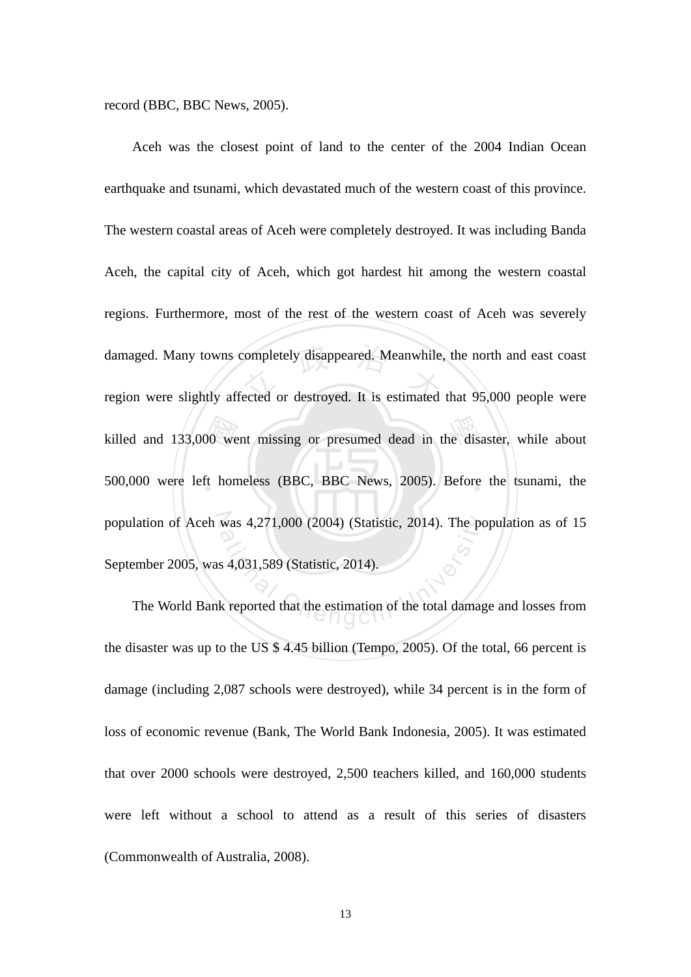record (BBC, BBC News, 2005).

killed and 133,000 went missing or presumed dead in the disaster, while about 500,000 were left homeless (BBC, BBC News, 2005). Before the tsunami, the damaged. Many towns completely disappeared. Meanwhile, the north and east coast<br>region were slightly affected or destroyed. It is estimated that 95,000 people were ‧ 500,000 were left homeless (BBC, BBC News, 2005). Before the tsunami, the population of Aceh was 4,271,000 (2004) (Statistic, 2014). The population as of 15 was 4,271,000 (2004) (Statistic, 2014). The pc<br>s 4,031,589 (Statistic, 2014).<br>k reported that the estimation of the total damage Aceh was the closest point of land to the center of the 2004 Indian Ocean earthquake and tsunami, which devastated much of the western coast of this province. The western coastal areas of Aceh were completely destroyed. It was including Banda Aceh, the capital city of Aceh, which got hardest hit among the western coastal regions. Furthermore, most of the rest of the western coast of Aceh was severely region were slightly affected or destroyed. It is estimated that 95,000 people were September 2005, was 4,031,589 (Statistic, 2014).

The World Bank reported that the estimation of the total damage and losses from the disaster was up to the US \$ 4.45 billion (Tempo, 2005). Of the total, 66 percent is damage (including 2,087 schools were destroyed), while 34 percent is in the form of loss of economic revenue (Bank, The World Bank Indonesia, 2005). It was estimated that over 2000 schools were destroyed, 2,500 teachers killed, and 160,000 students were left without a school to attend as a result of this series of disasters (Commonwealth of Australia, 2008).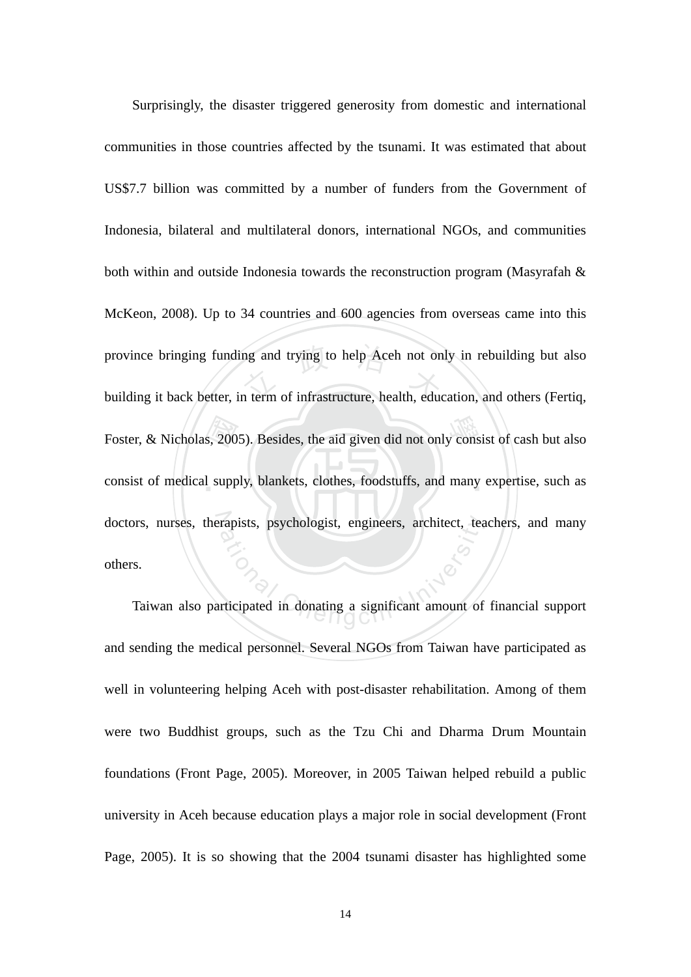Foster, & Nicholas, 2005). Besides, the aid given did not only consist of cash but also<br>consist of medical supply, blankets, clothes, foodstuffs, and many expertise, such as province bringing funding and trying to help Aceh not only in rebuilding but also<br>building it back better, in term of infrastructure, health, education, and others (Fertiq, consist of medical supply, blankets, clothes, foodstuffs, and many expertise, such as doctors, nurses, therapists, psychologist, engineers, architect, teachers, and many rapists, psychologist, engineers, architect, tea Surprisingly, the disaster triggered generosity from domestic and international communities in those countries affected by the tsunami. It was estimated that about US\$7.7 billion was committed by a number of funders from the Government of Indonesia, bilateral and multilateral donors, international NGOs, and communities both within and outside Indonesia towards the reconstruction program (Masyrafah & McKeon, 2008). Up to 34 countries and 600 agencies from overseas came into this building it back better, in term of infrastructure, health, education, and others (Fertiq, others.

Taiwan also participated in donating a significant amount of financial support and sending the medical personnel. Several NGOs from Taiwan have participated as well in volunteering helping Aceh with post-disaster rehabilitation. Among of them were two Buddhist groups, such as the Tzu Chi and Dharma Drum Mountain foundations (Front Page, 2005). Moreover, in 2005 Taiwan helped rebuild a public university in Aceh because education plays a major role in social development (Front Page, 2005). It is so showing that the 2004 tsunami disaster has highlighted some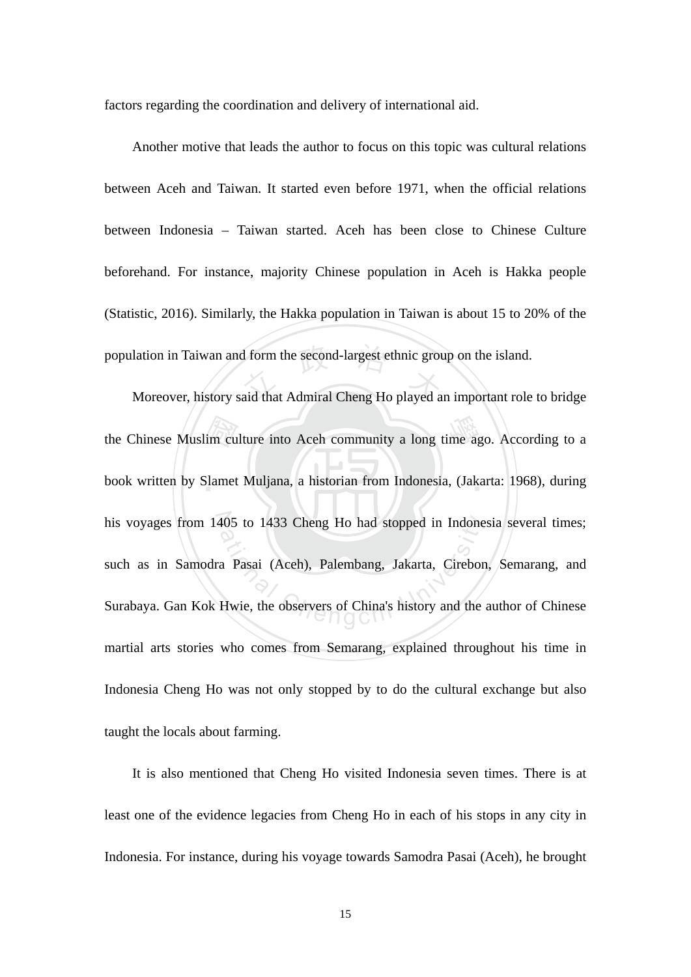factors regarding the coordination and delivery of international aid.

population in Taiwan and form the second-largest ethnic group on the island.<br>Moreover, history said that Admiral Cheng Ho played an important role Another motive that leads the author to focus on this topic was cultural relations between Aceh and Taiwan. It started even before 1971, when the official relations between Indonesia – Taiwan started. Aceh has been close to Chinese Culture beforehand. For instance, majority Chinese population in Aceh is Hakka people (Statistic, 2016). Similarly, the Hakka population in Taiwan is about 15 to 20% of the

the Chinese Muslim culture into Aceh community a long time ago. According to a<br>book written by Slamet Muljana, a historian from Indonesia, (Jakarta: 1968), during book written by Slamet Muljana, a historian from Indonesia, (Jakarta: 1968), during his voyages from 1405 to 1433 Cheng Ho had stopped in Indonesia several times; 405 to 1433 Cheng Ho had stopped in Indone<br>a Pasai (Aceh), Palembang, Jakarta, Cirebon<br>Hwie, the observers of China's history and the Moreover, history said that Admiral Cheng Ho played an important role to bridge such as in Samodra Pasai (Aceh), Palembang, Jakarta, Cirebon, Semarang, and Surabaya. Gan Kok Hwie, the observers of China's history and the author of Chinese martial arts stories who comes from Semarang, explained throughout his time in Indonesia Cheng Ho was not only stopped by to do the cultural exchange but also taught the locals about farming.

It is also mentioned that Cheng Ho visited Indonesia seven times. There is at least one of the evidence legacies from Cheng Ho in each of his stops in any city in Indonesia. For instance, during his voyage towards Samodra Pasai (Aceh), he brought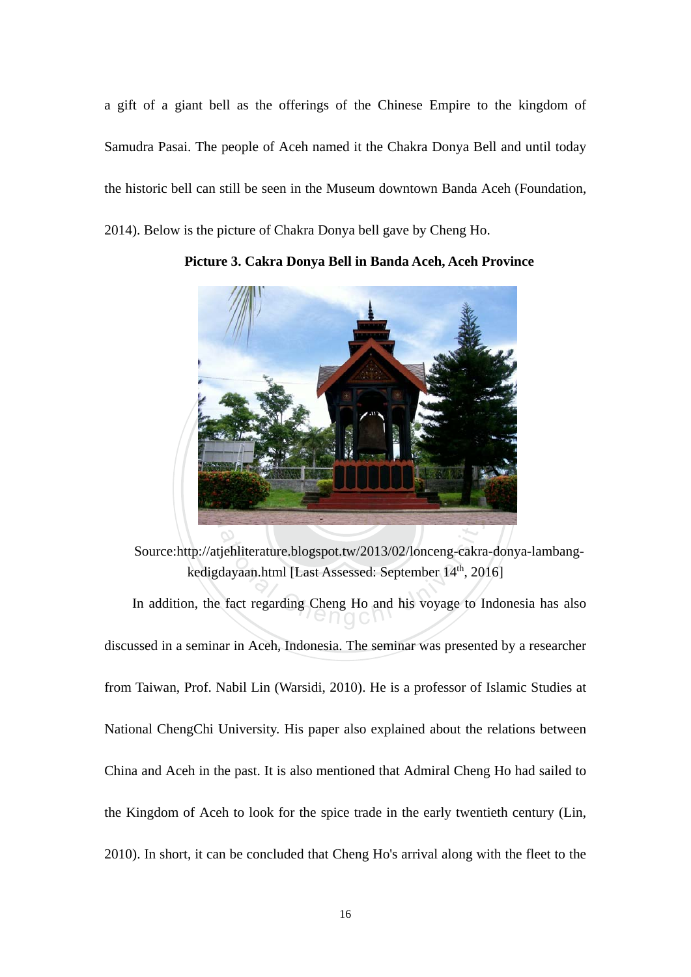a gift of a giant bell as the offerings of the Chinese Empire to the kingdom of Samudra Pasai. The people of Aceh named it the Chakra Donya Bell and until today the historic bell can still be seen in the Museum downtown Banda Aceh (Foundation, 2014). Below is the picture of Chakra Donya bell gave by Cheng Ho.



**Picture 3. Cakra Donya Bell in Banda Aceh, Aceh Province** 

dayaan.html [Last Assessed: September 14<sup>th</sup>, 20<br>fact regarding Cheng Ho and his voyage to I Source:http://atjehliterature.blogspot.tw/2013/02/lonceng-cakra-donya-lambangkedigdayaan.html [Last Assessed: September 14<sup>th</sup>, 2016]

In addition, the fact regarding Cheng Ho and his voyage to Indonesia has also discussed in a seminar in Aceh, Indonesia. The seminar was presented by a researcher from Taiwan, Prof. Nabil Lin (Warsidi, 2010). He is a professor of Islamic Studies at National ChengChi University. His paper also explained about the relations between China and Aceh in the past. It is also mentioned that Admiral Cheng Ho had sailed to the Kingdom of Aceh to look for the spice trade in the early twentieth century (Lin, 2010). In short, it can be concluded that Cheng Ho's arrival along with the fleet to the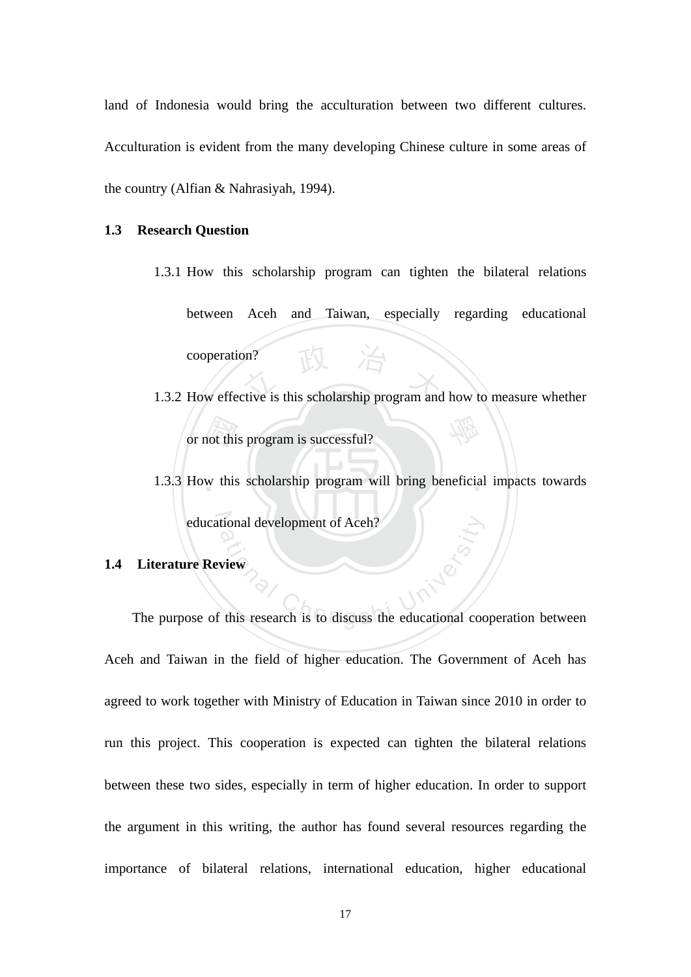land of Indonesia would bring the acculturation between two different cultures. Acculturation is evident from the many developing Chinese culture in some areas of the country (Alfian & Nahrasiyah, 1994).

#### **1.3 Research Question**

- cooperation?<br>
1.3.2 How effective is this scholarship program and how to measure whether 1.3.1 How this scholarship program can tighten the bilateral relations between Aceh and Taiwan, especially regarding educational cooperation?
- not thi 學 or not this program is successful?
- 1.3.3 How this scholarship program will bring beneficial impacts towards educational development of Aceh?

## **1.4 Literature Review**

educational development of Aceh?<br>
Literature Review<br>
The purpose of this research is to discuss the educational cooperation between Aceh and Taiwan in the field of higher education. The Government of Aceh has agreed to work together with Ministry of Education in Taiwan since 2010 in order to run this project. This cooperation is expected can tighten the bilateral relations between these two sides, especially in term of higher education. In order to support the argument in this writing, the author has found several resources regarding the importance of bilateral relations, international education, higher educational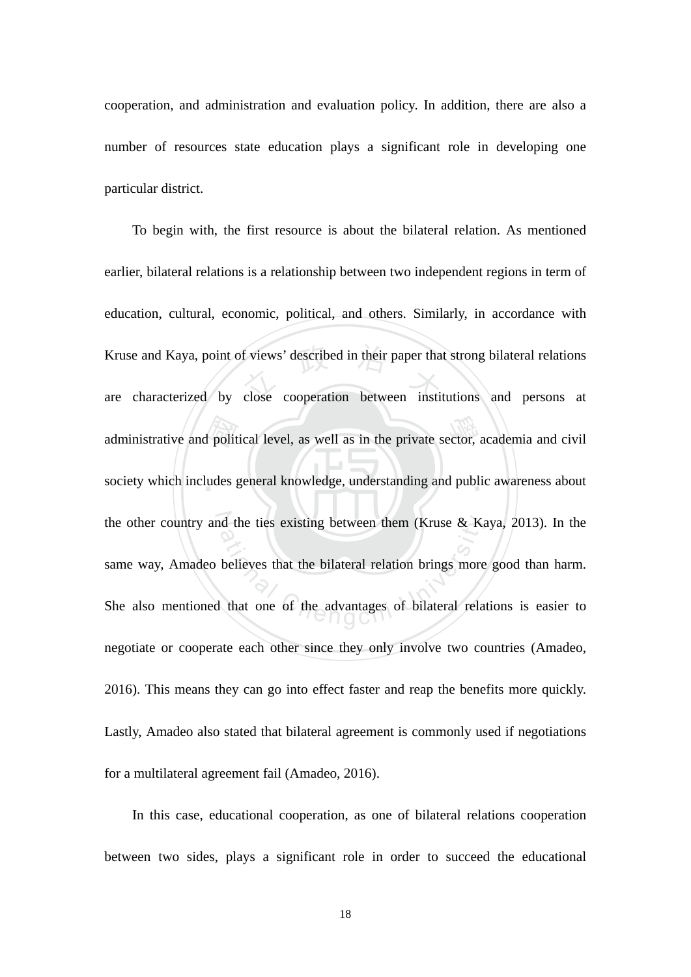cooperation, and administration and evaluation policy. In addition, there are also a number of resources state education plays a significant role in developing one particular district.

administrative and political level, as well as in the private sector, academia and civil<br>society which includes general knowledge, understanding and public awareness about Kruse and Kaya, point of views' described in their paper that strong bilateral relations<br>are characterized by close cooperation between institutions and persons at society which includes general knowledge, understanding and public awareness about the other country and the ties existing between them (Kruse & Kaya, 2013). In the at the ties existing between them (Kruse & Ka)<br>believes that the bilateral relation brings more<br>that one of the advantages of bilateral relation To begin with, the first resource is about the bilateral relation. As mentioned earlier, bilateral relations is a relationship between two independent regions in term of education, cultural, economic, political, and others. Similarly, in accordance with are characterized by close cooperation between institutions and persons at same way, Amadeo believes that the bilateral relation brings more good than harm. She also mentioned that one of the advantages of bilateral relations is easier to negotiate or cooperate each other since they only involve two countries (Amadeo, 2016). This means they can go into effect faster and reap the benefits more quickly. Lastly, Amadeo also stated that bilateral agreement is commonly used if negotiations for a multilateral agreement fail (Amadeo, 2016).

In this case, educational cooperation, as one of bilateral relations cooperation between two sides, plays a significant role in order to succeed the educational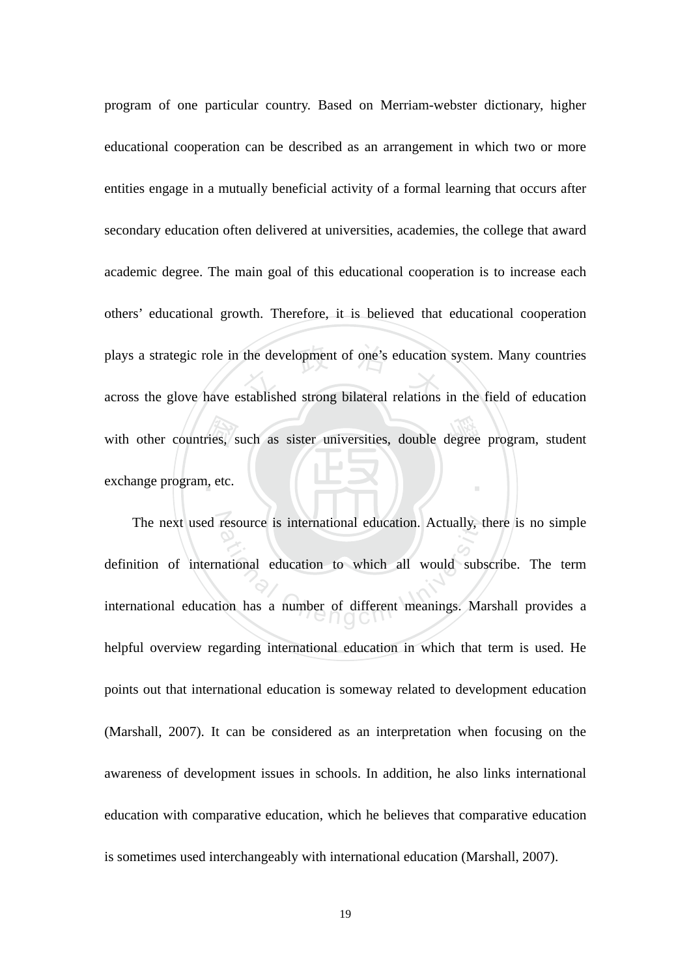with other countries, such as sister universities, double degree program, student<br>exchange program, etc. plays a strategic role in the development of one's education system. Many countries<br>across the glove have established strong bilateral relations in the field of education ‧ program of one particular country. Based on Merriam-webster dictionary, higher educational cooperation can be described as an arrangement in which two or more entities engage in a mutually beneficial activity of a formal learning that occurs after secondary education often delivered at universities, academies, the college that award academic degree. The main goal of this educational cooperation is to increase each others' educational growth. Therefore, it is believed that educational cooperation across the glove have established strong bilateral relations in the field of education exchange program, etc.

The next used resource is international education. Actually, there is no simple resource is international education. Actually, the resource is international education to which all would substitution has a number of different meanings. Ma definition of international education to which all would subscribe. The term international education has a number of different meanings. Marshall provides a helpful overview regarding international education in which that term is used. He points out that international education is someway related to development education (Marshall, 2007). It can be considered as an interpretation when focusing on the awareness of development issues in schools. In addition, he also links international education with comparative education, which he believes that comparative education is sometimes used interchangeably with international education (Marshall, 2007).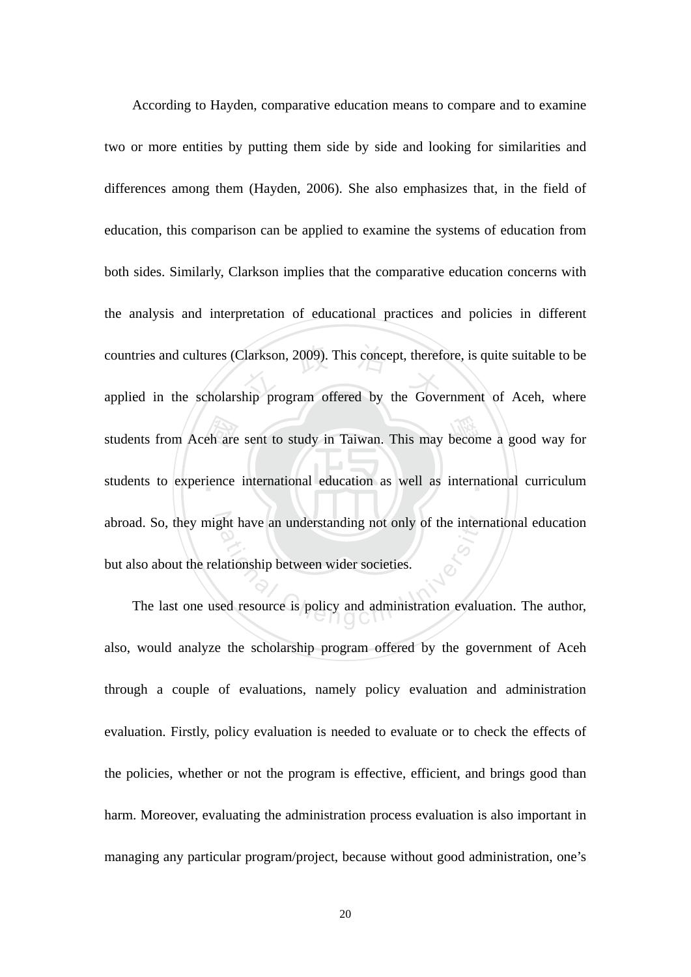students from Aceh are sent to study in Taiwan. This may become a good way for<br>students to experience international education as well as international curriculum countries and cultures (Clarkson, 2009). This concept, therefore, is quite suitable to be<br>applied in the scholarship program offered by the Government of Aceh, where students to experience international education as well as international curriculum abroad. So, they might have an understanding not only of the international education which have an understanding not only of the internal values<br>ationship between wider societies.<br>Let resource is policy and administration evalues According to Hayden, comparative education means to compare and to examine two or more entities by putting them side by side and looking for similarities and differences among them (Hayden, 2006). She also emphasizes that, in the field of education, this comparison can be applied to examine the systems of education from both sides. Similarly, Clarkson implies that the comparative education concerns with the analysis and interpretation of educational practices and policies in different countries and cultures (Clarkson, 2009). This concept, therefore, is quite suitable to be but also about the relationship between wider societies.

The last one used resource is policy and administration evaluation. The author, also, would analyze the scholarship program offered by the government of Aceh through a couple of evaluations, namely policy evaluation and administration evaluation. Firstly, policy evaluation is needed to evaluate or to check the effects of the policies, whether or not the program is effective, efficient, and brings good than harm. Moreover, evaluating the administration process evaluation is also important in managing any particular program/project, because without good administration, one's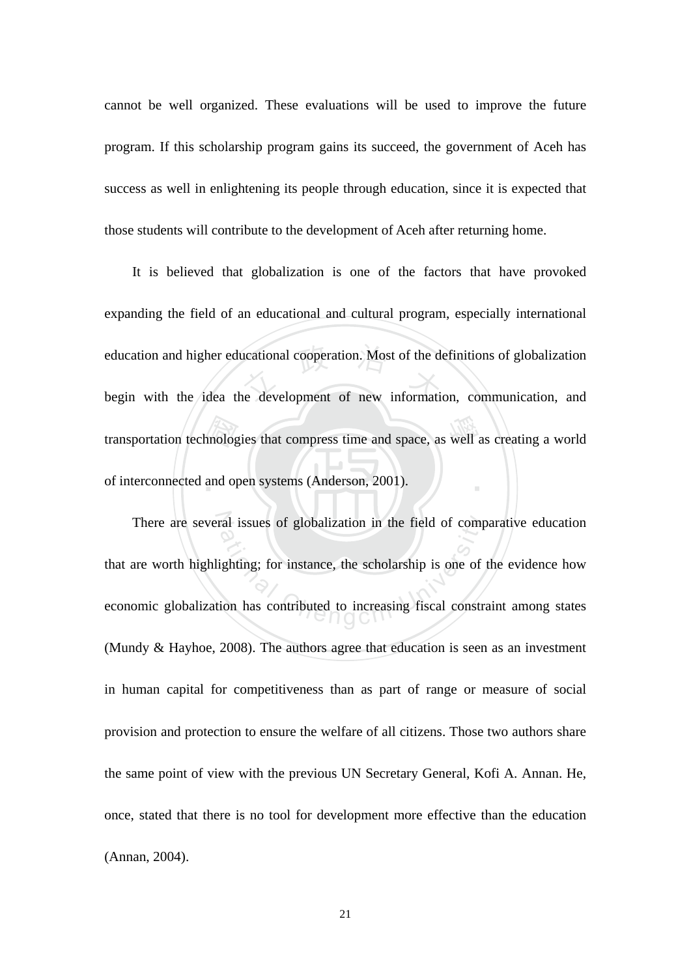cannot be well organized. These evaluations will be used to improve the future program. If this scholarship program gains its succeed, the government of Aceh has success as well in enlightening its people through education, since it is expected that those students will contribute to the development of Aceh after returning home.

nolog<br>and op education and higher educational cooperation. Most of the definitions of globalization<br>begin with the idea the development of new information, communication, and transportation technologies that compress time and space, as well as creating a world ‧ It is believed that globalization is one of the factors that have provoked expanding the field of an educational and cultural program, especially international education and higher educational cooperation. Most of the definitions of globalization of interconnected and open systems (Anderson, 2001).

There are several issues of globalization in the field of comparative education ral issues of globalization in the field of comparison is such that<br>ighting; for instance, the scholarship is one of<br>ion has contributed to increasing fiscal constration that are worth highlighting; for instance, the scholarship is one of the evidence how economic globalization has contributed to increasing fiscal constraint among states (Mundy & Hayhoe, 2008). The authors agree that education is seen as an investment in human capital for competitiveness than as part of range or measure of social provision and protection to ensure the welfare of all citizens. Those two authors share the same point of view with the previous UN Secretary General, Kofi A. Annan. He, once, stated that there is no tool for development more effective than the education (Annan, 2004).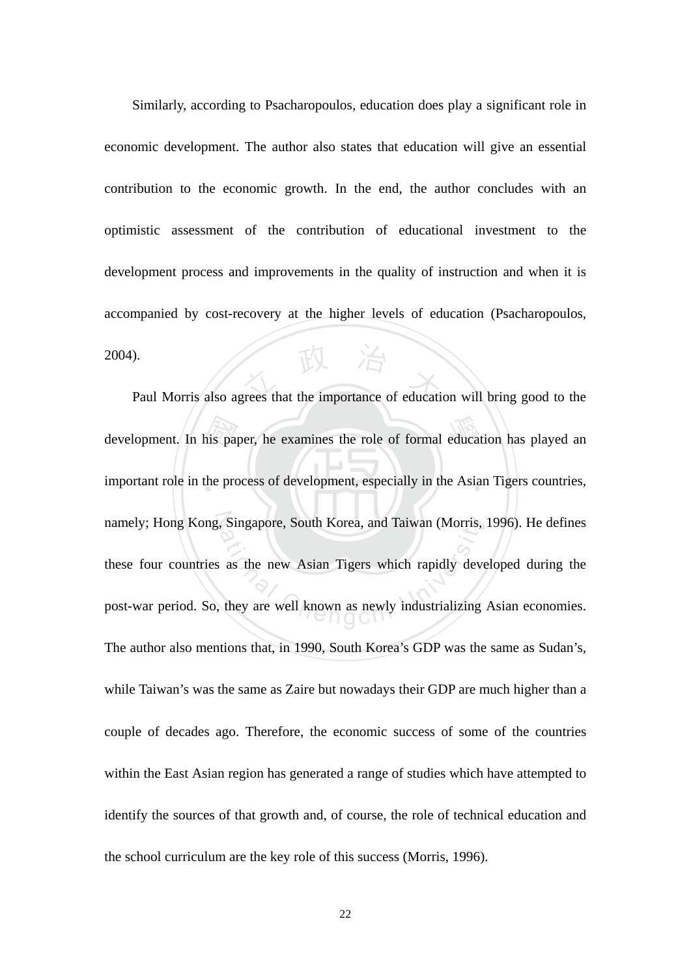paul Morris also agrees that the importance of education will bring good to the Similarly, according to Psacharopoulos, education does play a significant role in economic development. The author also states that education will give an essential contribution to the economic growth. In the end, the author concludes with an optimistic assessment of the contribution of educational investment to the development process and improvements in the quality of instruction and when it is accompanied by cost-recovery at the higher levels of education (Psacharopoulos, 2004).

development. In his paper, he examines the role of formal education has played an important role in the process of development, especially in the Asian Tigers countries, important role in the process of development, especially in the Asian Tigers countries, namely; Hong Kong, Singapore, South Korea, and Taiwan (Morris, 1996). He defines Singapore, South Korea, and Taiwan (Morris,<br>as the new Asian Tigers which rapidly deverthey are well known as newly industrializing these four countries as the new Asian Tigers which rapidly developed during the post-war period. So, they are well known as newly industrializing Asian economies. The author also mentions that, in 1990, South Korea's GDP was the same as Sudan's, while Taiwan's was the same as Zaire but nowadays their GDP are much higher than a couple of decades ago. Therefore, the economic success of some of the countries within the East Asian region has generated a range of studies which have attempted to identify the sources of that growth and, of course, the role of technical education and the school curriculum are the key role of this success (Morris, 1996).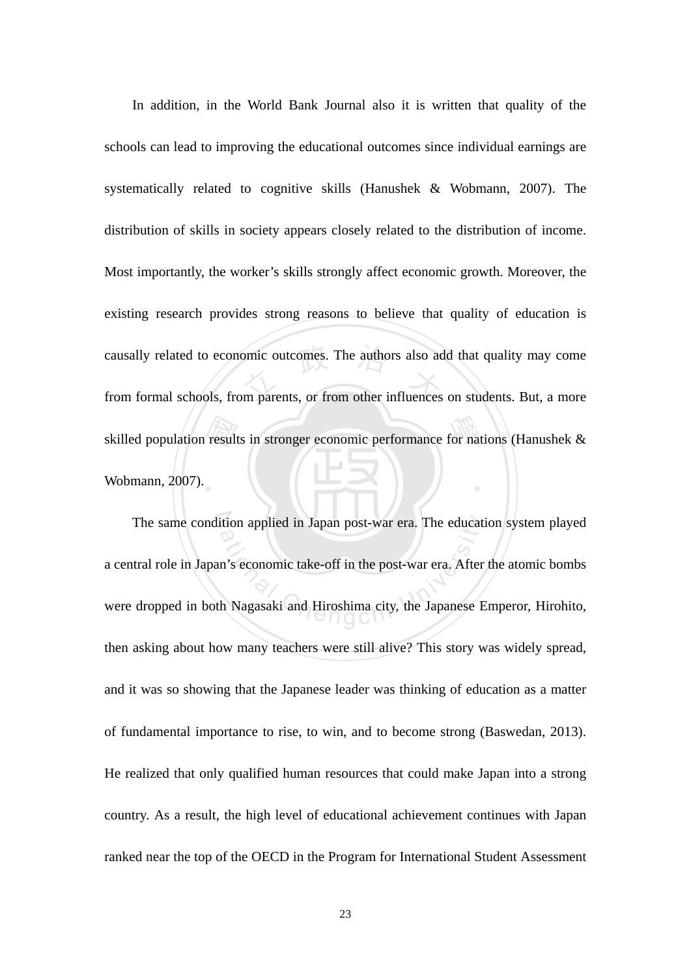skilled population results in stronger economic performance for nations (Hanushek & Wobmann, 2007). causally related to economic outcomes. The authors also add that quality may come<br>from formal schools, from parents, or from other influences on students. But, a more ‧ In addition, in the World Bank Journal also it is written that quality of the schools can lead to improving the educational outcomes since individual earnings are systematically related to cognitive skills (Hanushek & Wobmann, 2007). The distribution of skills in society appears closely related to the distribution of income. Most importantly, the worker's skills strongly affect economic growth. Moreover, the existing research provides strong reasons to believe that quality of education is from formal schools, from parents, or from other influences on students. But, a more Wobmann, 2007).

The same condition applied in Japan post-war era. The education system played ition applied in Japan post-war era. The education<br>in's economic take-off in the post-war era. After<br>the Nagasaki and Hiroshima city, the Japanese E a central role in Japan's economic take-off in the post-war era. After the atomic bombs were dropped in both Nagasaki and Hiroshima city, the Japanese Emperor, Hirohito, then asking about how many teachers were still alive? This story was widely spread, and it was so showing that the Japanese leader was thinking of education as a matter of fundamental importance to rise, to win, and to become strong (Baswedan, 2013). He realized that only qualified human resources that could make Japan into a strong country. As a result, the high level of educational achievement continues with Japan ranked near the top of the OECD in the Program for International Student Assessment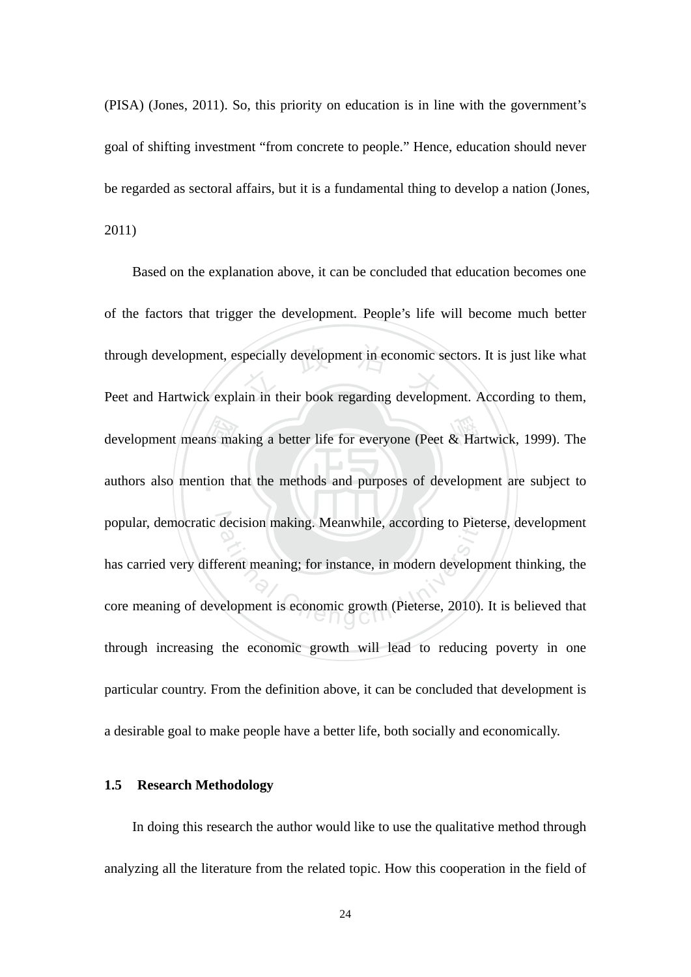(PISA) (Jones, 2011). So, this priority on education is in line with the government's goal of shifting investment "from concrete to people." Hence, education should never be regarded as sectoral affairs, but it is a fundamental thing to develop a nation (Jones, 2011)

development means making a better life for everyone (Peet & Hartwick, 1999). The authors also mention that the methods and purposes of development are subject to through development, especially development in economic sectors. It is just like what<br>Peet and Hartwick explain in their book regarding development. According to them, authors also mention that the methods and purposes of development are subject to popular, democratic decision making. Meanwhile, according to Pieterse, development decision making. Meanwhile, according to Pieto<br>erent meaning; for instance, in modern develops<br>elopment is economic growth (Pieterse, 2010). Based on the explanation above, it can be concluded that education becomes one of the factors that trigger the development. People's life will become much better Peet and Hartwick explain in their book regarding development. According to them, has carried very different meaning; for instance, in modern development thinking, the core meaning of development is economic growth (Pieterse, 2010). It is believed that through increasing the economic growth will lead to reducing poverty in one particular country. From the definition above, it can be concluded that development is a desirable goal to make people have a better life, both socially and economically.

#### **1.5 Research Methodology**

In doing this research the author would like to use the qualitative method through analyzing all the literature from the related topic. How this cooperation in the field of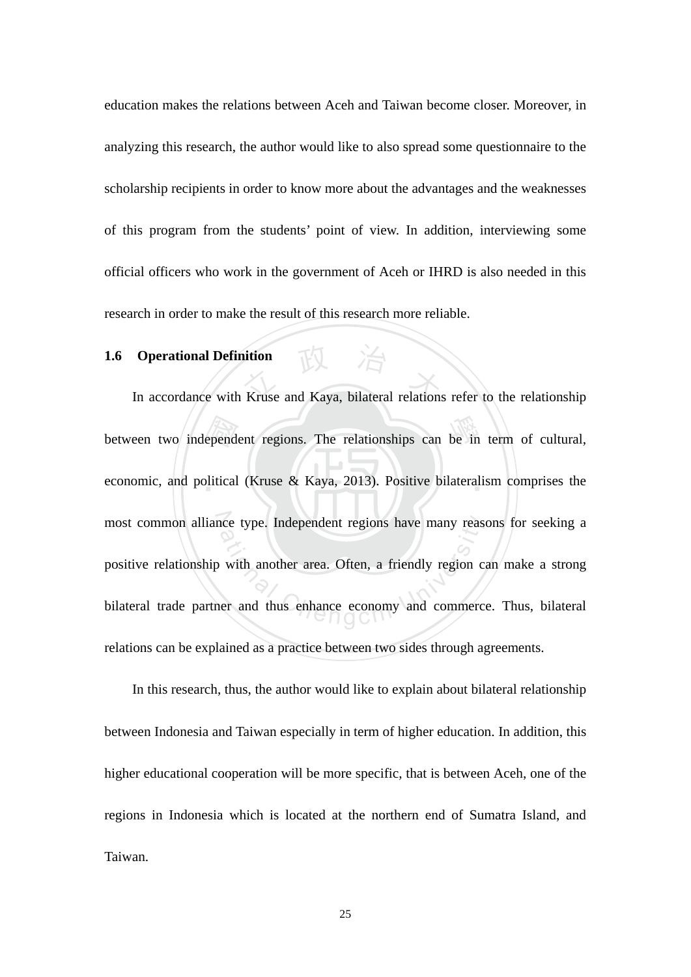education makes the relations between Aceh and Taiwan become closer. Moreover, in analyzing this research, the author would like to also spread some questionnaire to the scholarship recipients in order to know more about the advantages and the weaknesses of this program from the students' point of view. In addition, interviewing some official officers who work in the government of Aceh or IHRD is also needed in this research in order to make the result of this research more reliable.

#### **1.6 Operational Definition**

economic, and political (Kruse & Kaya, 2013). Positive bilateralism comprises the between two independent regions. The relationships can be in term of cultural,<br>economic, and political (Kruse & Kaya, 2013). Positive bilateralism comprises the Operational Definition<br>In accordance with Kruse and Kaya, bilateral relations refer to the relationship most common alliance type. Independent regions have many reasons for seeking a ation content the person is also the many reason with another area. Often, a friendly region content and thus enhance economy and commercies positive relationship with another area. Often, a friendly region can make a strong bilateral trade partner and thus enhance economy and commerce. Thus, bilateral relations can be explained as a practice between two sides through agreements.

In this research, thus, the author would like to explain about bilateral relationship between Indonesia and Taiwan especially in term of higher education. In addition, this higher educational cooperation will be more specific, that is between Aceh, one of the regions in Indonesia which is located at the northern end of Sumatra Island, and Taiwan.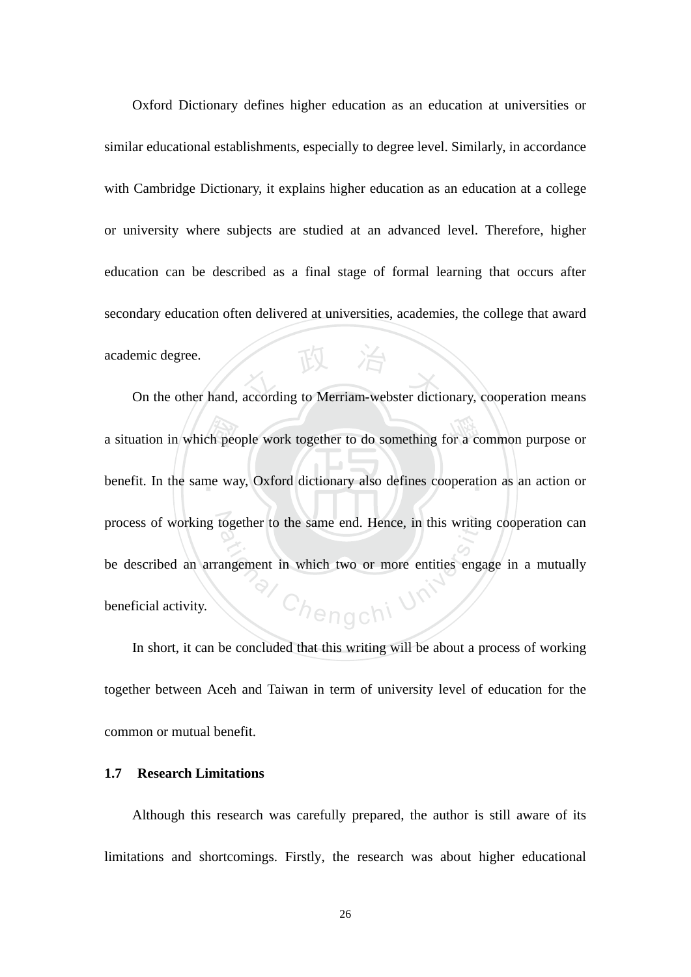emic degree.<br>
On the other hand, according to Merriam-webster dictionary, cooperation means Oxford Dictionary defines higher education as an education at universities or similar educational establishments, especially to degree level. Similarly, in accordance with Cambridge Dictionary, it explains higher education as an education at a college or university where subjects are studied at an advanced level. Therefore, higher education can be described as a final stage of formal learning that occurs after secondary education often delivered at universities, academies, the college that award academic degree.

a situation in which people work together to do something for a common purpose or benefit. In the same way, Oxford dictionary also defines cooperation as an action or benefit. In the same way, Oxford dictionary also defines cooperation as an action or process of working together to the same end. Hence, in this writing cooperation can Chengchi Un be described an arrangement in which two or more entities engage in a mutually beneficial activity.

In short, it can be concluded that this writing will be about a process of working together between Aceh and Taiwan in term of university level of education for the common or mutual benefit.

#### **1.7 Research Limitations**

Although this research was carefully prepared, the author is still aware of its limitations and shortcomings. Firstly, the research was about higher educational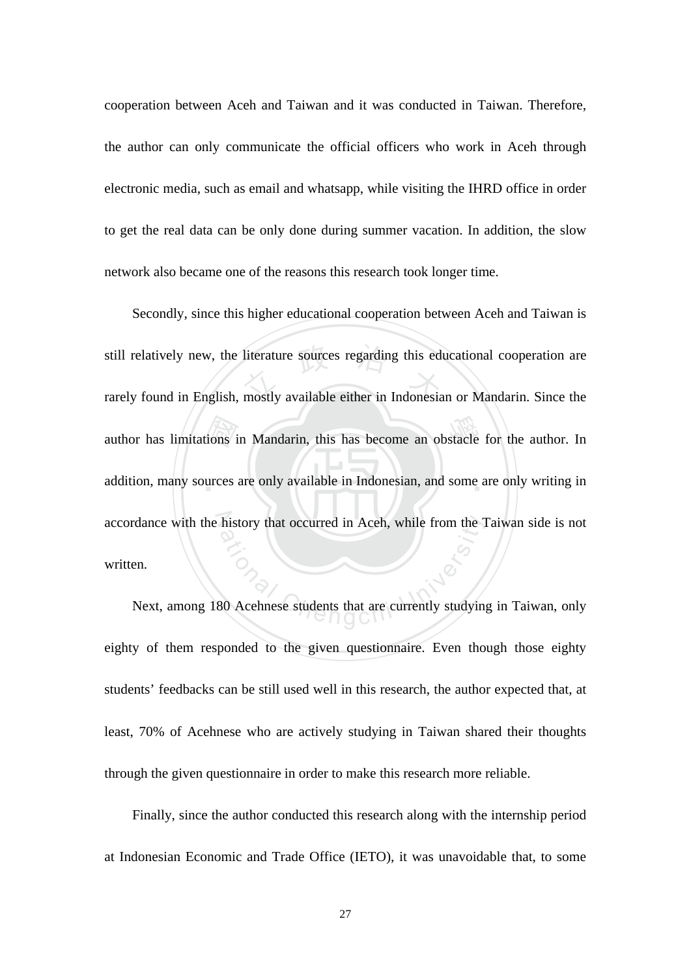cooperation between Aceh and Taiwan and it was conducted in Taiwan. Therefore, the author can only communicate the official officers who work in Aceh through electronic media, such as email and whatsapp, while visiting the IHRD office in order to get the real data can be only done during summer vacation. In addition, the slow network also became one of the reasons this research took longer time.

ions i<br>urces still relatively new, the literature sources regarding this educational cooperation are<br>rarely found in English, mostly available either in Indonesian or Mandarin. Since the author has limitations in Mandarin, this has become an obstacle for the author. In addition, many sources are only available in Indonesian, and some are only writing in accordance with the history that occurred in Aceh, while from the Taiwan side is not history that occurred in Aceh, while from the 1<br>at 1<br>30 Acehnese students that are currently studyin Secondly, since this higher educational cooperation between Aceh and Taiwan is rarely found in English, mostly available either in Indonesian or Mandarin. Since the written.

Next, among 180 Acehnese students that are currently studying in Taiwan, only eighty of them responded to the given questionnaire. Even though those eighty students' feedbacks can be still used well in this research, the author expected that, at least, 70% of Acehnese who are actively studying in Taiwan shared their thoughts through the given questionnaire in order to make this research more reliable.

Finally, since the author conducted this research along with the internship period at Indonesian Economic and Trade Office (IETO), it was unavoidable that, to some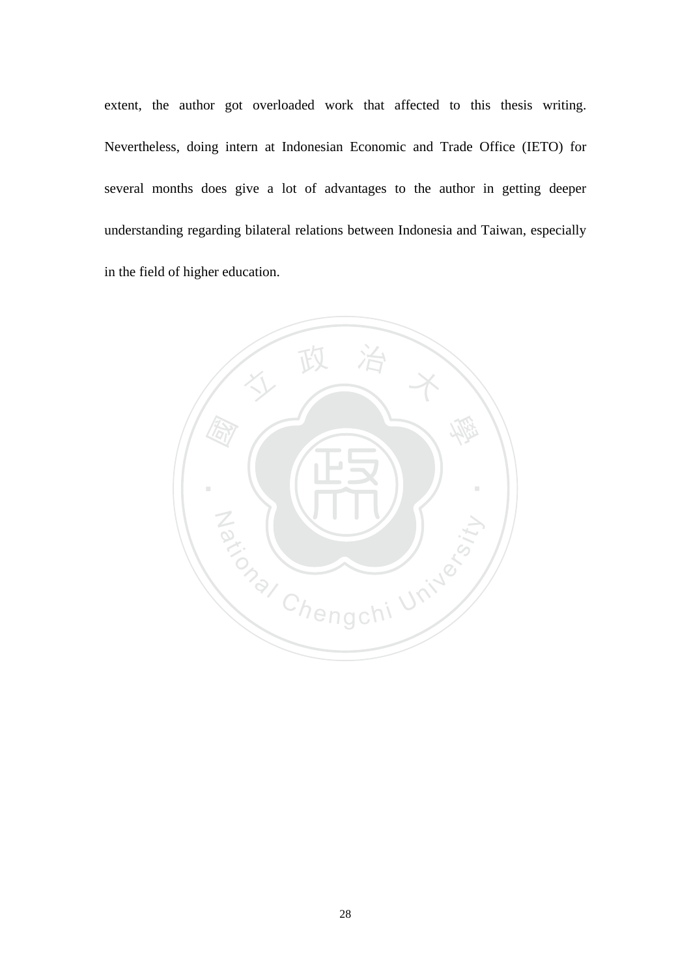extent, the author got overloaded work that affected to this thesis writing. Nevertheless, doing intern at Indonesian Economic and Trade Office (IETO) for several months does give a lot of advantages to the author in getting deeper understanding regarding bilateral relations between Indonesia and Taiwan, especially in the field of higher education.

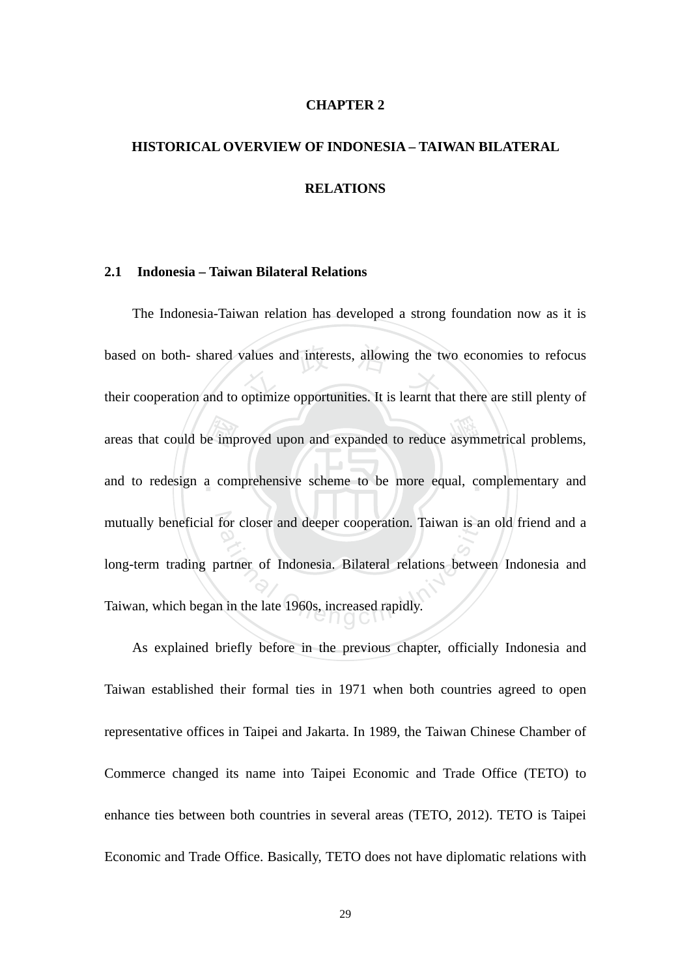#### **CHAPTER 2**

## **HISTORICAL OVERVIEW OF INDONESIA – TAIWAN BILATERAL RELATIONS**

#### **2.1 Indonesia – Taiwan Bilateral Relations**

e imp<br>a con based on both- shared values and interests, allowing the two economies to refocus<br>their cooperation and to optimize opportunities. It is learnt that there are still plenty of areas that could be improved upon and expanded to reduce asymmetrical problems, and to redesign a comprehensive scheme to be more equal, complementary and mutually beneficial for closer and deeper cooperation. Taiwan is an old friend and a for closer and deeper cooperation. Taiwan is an<br>artner of Indonesia. Bilateral relations between<br>in the late 1960s, increased rapidly. The Indonesia-Taiwan relation has developed a strong foundation now as it is based on both- shared values and interests, allowing the two economies to refocus long-term trading partner of Indonesia. Bilateral relations between Indonesia and Taiwan, which began in the late 1960s, increased rapidly.

As explained briefly before in the previous chapter, officially Indonesia and Taiwan established their formal ties in 1971 when both countries agreed to open representative offices in Taipei and Jakarta. In 1989, the Taiwan Chinese Chamber of Commerce changed its name into Taipei Economic and Trade Office (TETO) to enhance ties between both countries in several areas (TETO, 2012). TETO is Taipei Economic and Trade Office. Basically, TETO does not have diplomatic relations with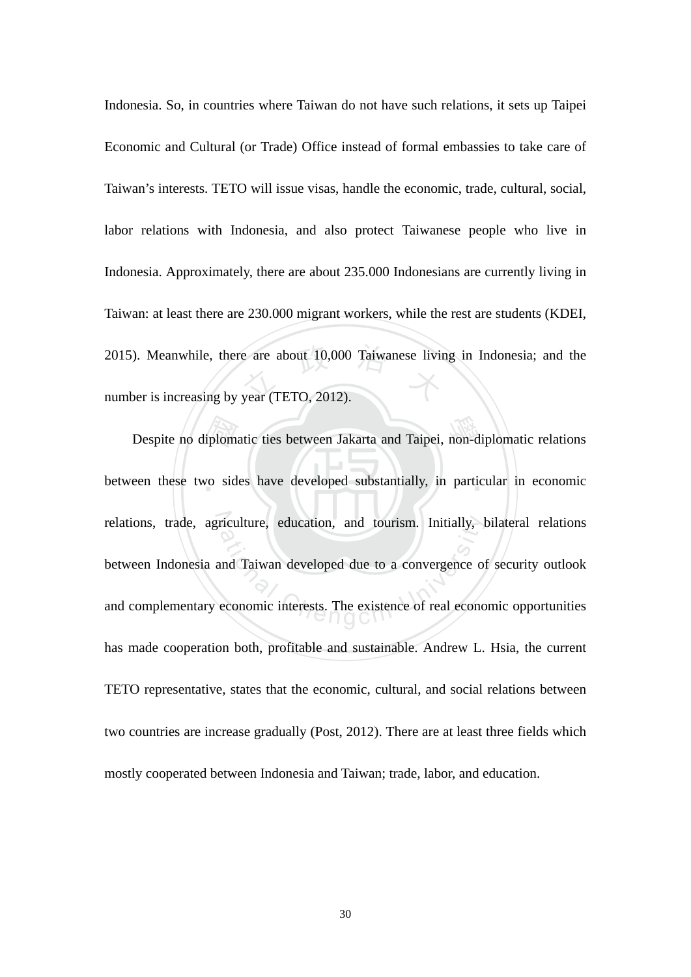2015). Meanwhile, there are about 10,000 Taiwanese living in Indonesia; and the number is increasing by year (TETO, 2012). Indonesia. So, in countries where Taiwan do not have such relations, it sets up Taipei Economic and Cultural (or Trade) Office instead of formal embassies to take care of Taiwan's interests. TETO will issue visas, handle the economic, trade, cultural, social, labor relations with Indonesia, and also protect Taiwanese people who live in Indonesia. Approximately, there are about 235.000 Indonesians are currently living in Taiwan: at least there are 230.000 migrant workers, while the rest are students (KDEI, number is increasing by year (TETO, 2012).

Despite no diplomatic ties between Jakarta and Taipei, non-diplomatic relations<br>een these two sides have developed substantially, in particular in economic between these two sides have developed substantially, in particular in economic relations, trade, agriculture, education, and tourism. Initially, bilateral relations riculture, education, and tourism. Initially, leads<br>and Taiwan developed due to a convergence of<br>economic interests. The existence of real economic between Indonesia and Taiwan developed due to a convergence of security outlook and complementary economic interests. The existence of real economic opportunities has made cooperation both, profitable and sustainable. Andrew L. Hsia, the current TETO representative, states that the economic, cultural, and social relations between two countries are increase gradually (Post, 2012). There are at least three fields which mostly cooperated between Indonesia and Taiwan; trade, labor, and education.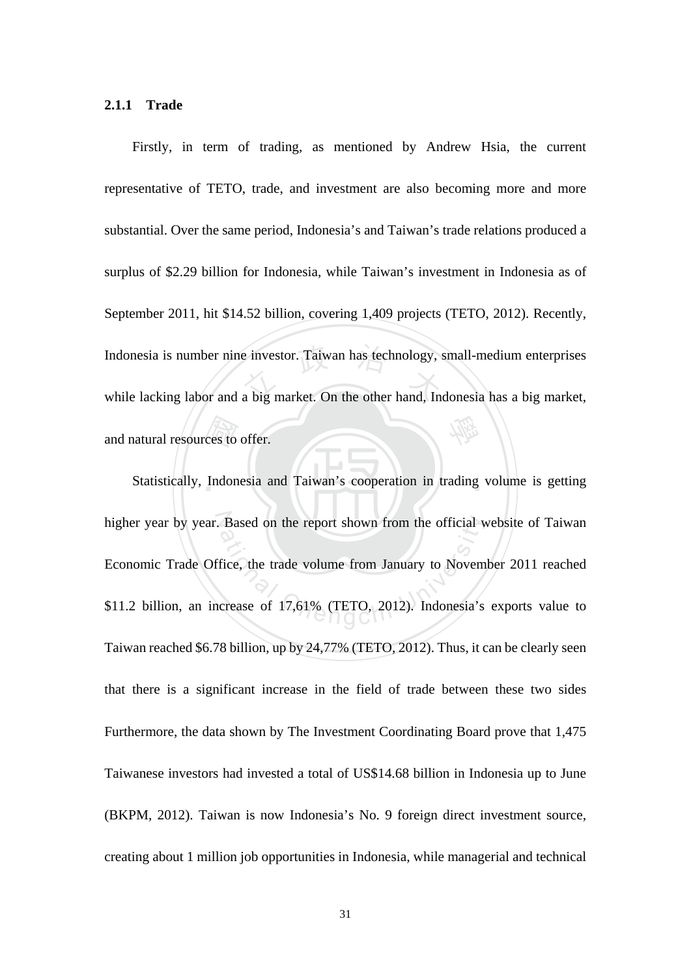#### **2.1.1 Trade**

ces to<br>Indon Indonesia is number nine investor. Taiwan has technology, small-medium enterprises<br>while lacking labor and a big market. On the other hand, Indonesia has a big market, 學 Firstly, in term of trading, as mentioned by Andrew Hsia, the current representative of TETO, trade, and investment are also becoming more and more substantial. Over the same period, Indonesia's and Taiwan's trade relations produced a surplus of \$2.29 billion for Indonesia, while Taiwan's investment in Indonesia as of September 2011, hit \$14.52 billion, covering 1,409 projects (TETO, 2012). Recently, while lacking labor and a big market. On the other hand, Indonesia has a big market, and natural resources to offer.

Statistically, Indonesia and Taiwan's cooperation in trading volume is getting higher year by year. Based on the report shown from the official website of Taiwan Based on the report shown from the official v<br>fice, the trade volume from January to Novem<br>crease of 17,61% (TETO, 2012). Indonesia's Economic Trade Office, the trade volume from January to November 2011 reached \$11.2 billion, an increase of 17,61% (TETO, 2012). Indonesia's exports value to Taiwan reached \$6.78 billion, up by 24,77% (TETO, 2012). Thus, it can be clearly seen that there is a significant increase in the field of trade between these two sides Furthermore, the data shown by The Investment Coordinating Board prove that 1,475 Taiwanese investors had invested a total of US\$14.68 billion in Indonesia up to June (BKPM, 2012). Taiwan is now Indonesia's No. 9 foreign direct investment source, creating about 1 million job opportunities in Indonesia, while managerial and technical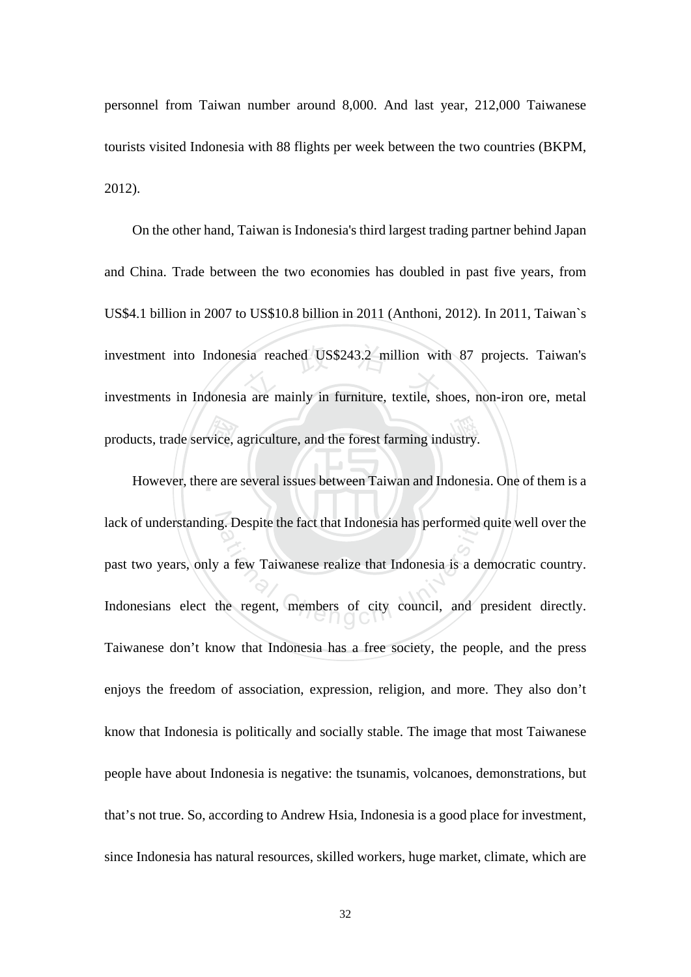personnel from Taiwan number around 8,000. And last year, 212,000 Taiwanese tourists visited Indonesia with 88 flights per week between the two countries (BKPM, 2012).

products, trade service, agriculture, and the forest farming industry.<br>However, there are several issues between Taiwan and Indonesi investment into Indonesia reached US\$243.2 million with 87 projects. Taiwan's<br>investments in Indonesia are mainly in furniture, textile, shoes, non-iron ore, metal On the other hand, Taiwan is Indonesia's third largest trading partner behind Japan and China. Trade between the two economies has doubled in past five years, from US\$4.1 billion in 2007 to US\$10.8 billion in 2011 (Anthoni, 2012). In 2011, Taiwan`s investments in Indonesia are mainly in furniture, textile, shoes, non-iron ore, metal

However, there are several issues between Taiwan and Indonesia. One of them is a lack of understanding. Despite the fact that Indonesia has performed quite well over the g. Despite the fact that Indonesia has performed on<br>a few Taiwanese realize that Indonesia is a de<br>he regent, members of city council, and p past two years, only a few Taiwanese realize that Indonesia is a democratic country. Indonesians elect the regent, members of city council, and president directly. Taiwanese don't know that Indonesia has a free society, the people, and the press enjoys the freedom of association, expression, religion, and more. They also don't know that Indonesia is politically and socially stable. The image that most Taiwanese people have about Indonesia is negative: the tsunamis, volcanoes, demonstrations, but that's not true. So, according to Andrew Hsia, Indonesia is a good place for investment, since Indonesia has natural resources, skilled workers, huge market, climate, which are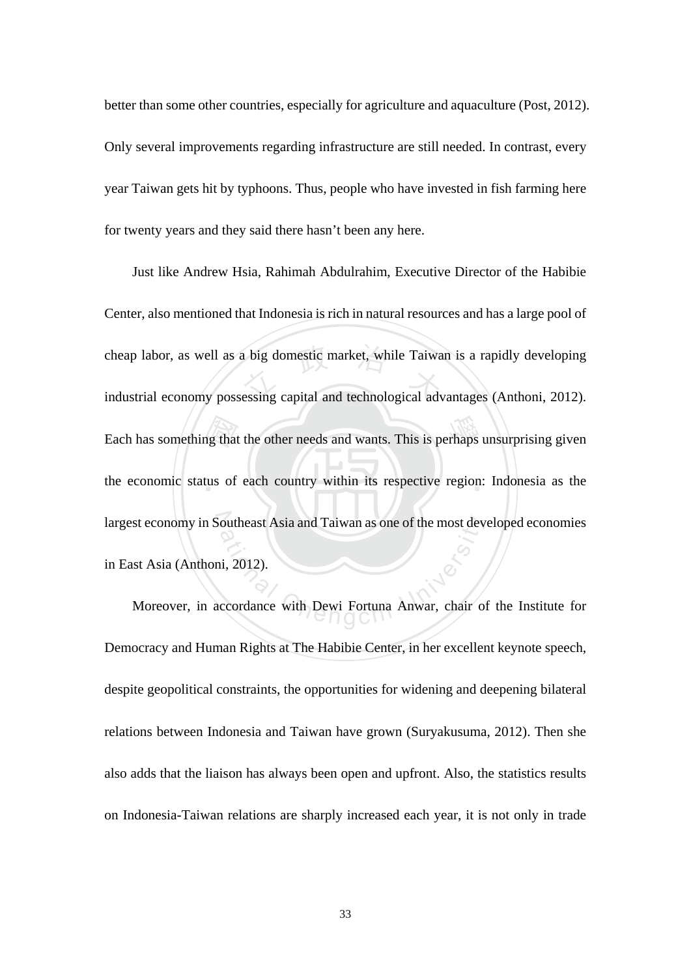better than some other countries, especially for agriculture and aquaculture (Post, 2012). Only several improvements regarding infrastructure are still needed. In contrast, every year Taiwan gets hit by typhoons. Thus, people who have invested in fish farming here for twenty years and they said there hasn't been any here.

ng that<br>tus of cheap labor, as well as a big domestic market, while Taiwan is a rapidly developing<br>industrial economy possessing capital and technological advantages (Anthoni, 2012). Each has something that the other needs and wants. This is perhaps unsurprising given the economic status of each country within its respective region: Indonesia as the largest economy in Southeast Asia and Taiwan as one of the most developed economies outheast Asia and Taiwan as one of the most dev<br>ii, 2012).<br>ccordance with Dewi Fortuna Anwar, chair of Just like Andrew Hsia, Rahimah Abdulrahim, Executive Director of the Habibie Center, also mentioned that Indonesia is rich in natural resources and has a large pool of industrial economy possessing capital and technological advantages (Anthoni, 2012). in East Asia (Anthoni, 2012).

Moreover, in accordance with Dewi Fortuna Anwar, chair of the Institute for Democracy and Human Rights at The Habibie Center, in her excellent keynote speech, despite geopolitical constraints, the opportunities for widening and deepening bilateral relations between Indonesia and Taiwan have grown (Suryakusuma, 2012). Then she also adds that the liaison has always been open and upfront. Also, the statistics results on Indonesia-Taiwan relations are sharply increased each year, it is not only in trade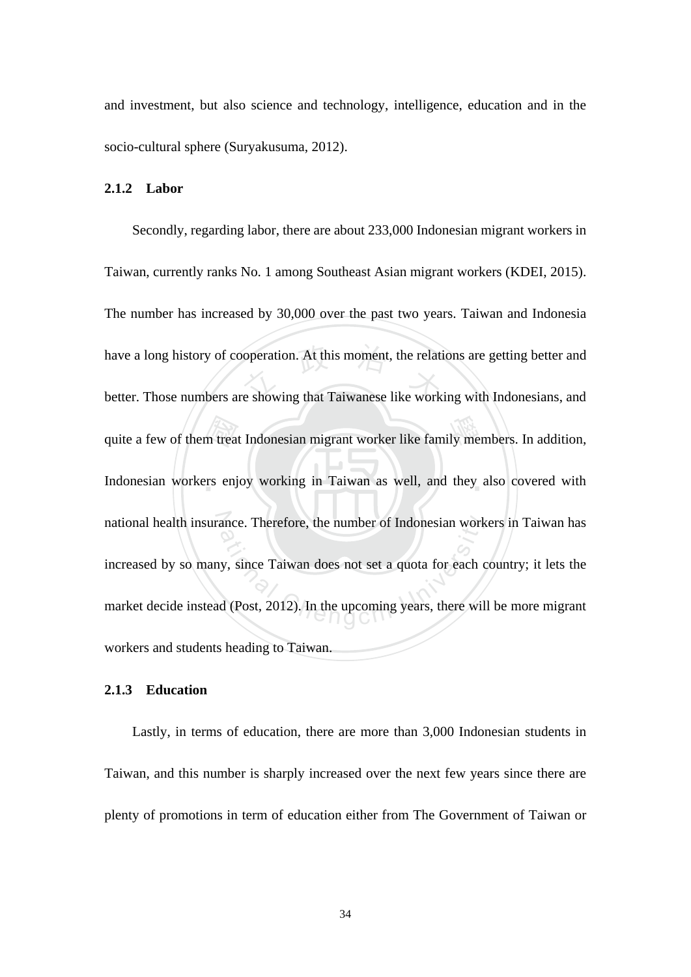and investment, but also science and technology, intelligence, education and in the socio-cultural sphere (Suryakusuma, 2012).

#### **2.1.2 Labor**

m trea<br>rs enj have a long history of cooperation. At this moment, the relations are getting better and<br>better. Those numbers are showing that Taiwanese like working with Indonesians, and quite a few of them treat Indonesian migrant worker like family members. In addition, Indonesian workers enjoy working in Taiwan as well, and they also covered with national health insurance. Therefore, the number of Indonesian workers in Taiwan has ance. Therefore, the number of Indonesian work<br>y, since Taiwan does not set a quota for each c<br>d (Post, 2012). In the upcoming years, there wil Secondly, regarding labor, there are about 233,000 Indonesian migrant workers in Taiwan, currently ranks No. 1 among Southeast Asian migrant workers (KDEI, 2015). The number has increased by 30,000 over the past two years. Taiwan and Indonesia better. Those numbers are showing that Taiwanese like working with Indonesians, and increased by so many, since Taiwan does not set a quota for each country; it lets the market decide instead (Post, 2012). In the upcoming years, there will be more migrant workers and students heading to Taiwan.

#### **2.1.3 Education**

Lastly, in terms of education, there are more than 3,000 Indonesian students in Taiwan, and this number is sharply increased over the next few years since there are plenty of promotions in term of education either from The Government of Taiwan or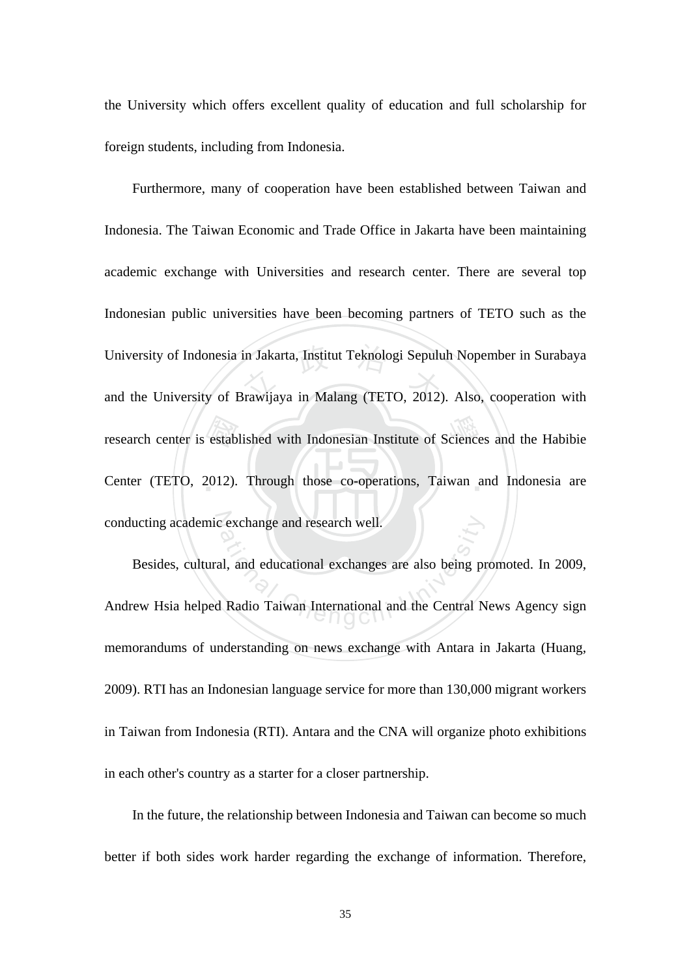the University which offers excellent quality of education and full scholarship for foreign students, including from Indonesia.

 $\frac{1}{2}$ estab University of Indonesia in Jakarta, Institut Teknologi Sepuluh Nopember in Surabaya<br>and the University of Brawijaya in Malang (TETO, 2012). Also, cooperation with research center is established with Indonesian Institute of Sciences and the Habibie Center (TETO, 2012). Through those co-operations, Taiwan and Indonesia are conducting academic exchange and research well. Furthermore, many of cooperation have been established between Taiwan and Indonesia. The Taiwan Economic and Trade Office in Jakarta have been maintaining academic exchange with Universities and research center. There are several top Indonesian public universities have been becoming partners of TETO such as the and the University of Brawijaya in Malang (TETO, 2012). Also, cooperation with

Exchange and research well.<br>
al, and educational exchanges are also being provided and the Central N<br>
Radio Taiwan International and the Central N Besides, cultural, and educational exchanges are also being promoted. In 2009, Andrew Hsia helped Radio Taiwan International and the Central News Agency sign memorandums of understanding on news exchange with Antara in Jakarta (Huang, 2009). RTI has an Indonesian language service for more than 130,000 migrant workers in Taiwan from Indonesia (RTI). Antara and the CNA will organize photo exhibitions in each other's country as a starter for a closer partnership.

In the future, the relationship between Indonesia and Taiwan can become so much better if both sides work harder regarding the exchange of information. Therefore,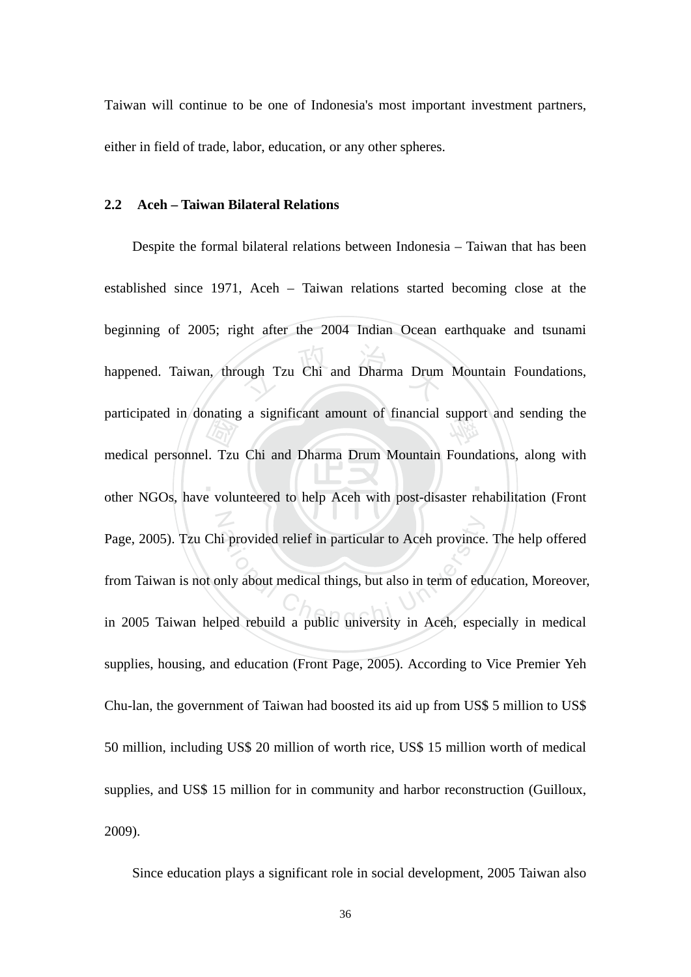Taiwan will continue to be one of Indonesia's most important investment partners, either in field of trade, labor, education, or any other spheres.

#### **2.2 Aceh – Taiwan Bilateral Relations**

 $\blacksquare$  $\frac{1}{\sqrt{2}}$ <br>1. Tzu ough Tzu Chi and Dharma Drum participated in donating a significant amount of financial support and sending the N Page, 2005). Tzu Chi provided relief in particular to Aceh province. The help offered<br>from Taiwan is not only about medical things, but also in term of education, Moreover,<br>in 2005 Taiwan helped rebuild a public university Despite the formal bilateral relations between Indonesia – Taiwan that has been established since 1971, Aceh – Taiwan relations started becoming close at the beginning of 2005; right after the 2004 Indian Ocean earthquake and tsunami happened. Taiwan, through Tzu Chi and Dharma Drum Mountain Foundations, medical personnel. Tzu Chi and Dharma Drum Mountain Foundations, along with other NGOs, have volunteered to help Aceh with post-disaster rehabilitation (Front Page, 2005). Tzu Chi provided relief in particular to Aceh province. The help offered from Taiwan is not only about medical things, but also in term of education, Moreover, supplies, housing, and education (Front Page, 2005). According to Vice Premier Yeh Chu-lan, the government of Taiwan had boosted its aid up from US\$ 5 million to US\$ 50 million, including US\$ 20 million of worth rice, US\$ 15 million worth of medical supplies, and US\$ 15 million for in community and harbor reconstruction (Guilloux, 2009).

Since education plays a significant role in social development, 2005 Taiwan also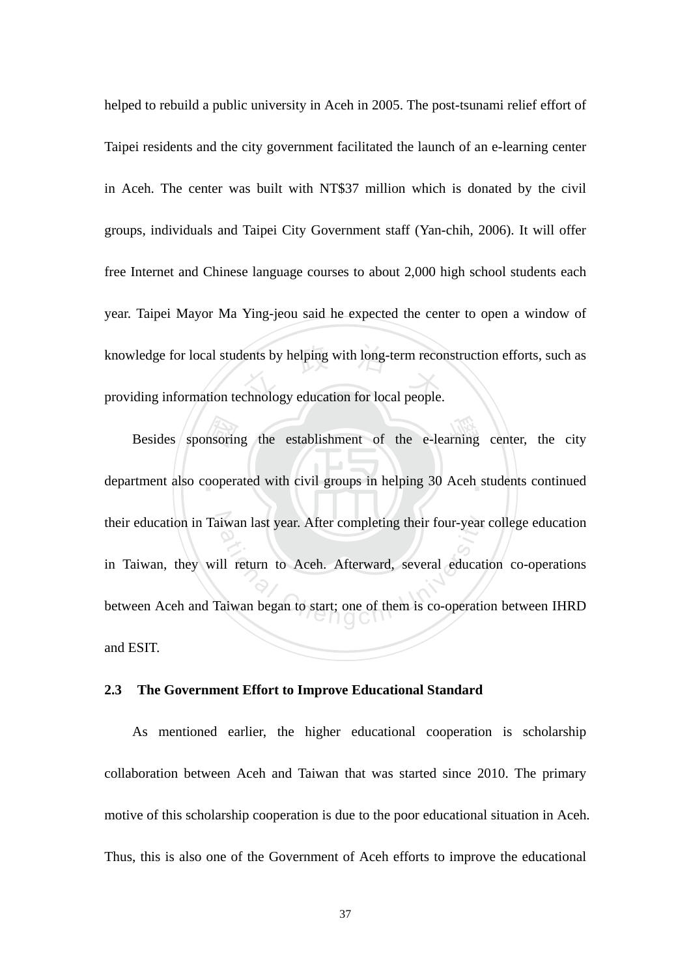knowledge for local students by helping with long-term reconstruction efforts, such as<br>providing information technology education for local people. helped to rebuild a public university in Aceh in 2005. The post-tsunami relief effort of Taipei residents and the city government facilitated the launch of an e-learning center in Aceh. The center was built with NT\$37 million which is donated by the civil groups, individuals and Taipei City Government staff (Yan-chih, 2006). It will offer free Internet and Chinese language courses to about 2,000 high school students each year. Taipei Mayor Ma Ying-jeou said he expected the center to open a window of providing information technology education for local people.

Besides sponsoring the establishment of the e-learning center, the city<br>trenent also cooperated with civil groups in helping 30 Aceh students continued department also cooperated with civil groups in helping 30 Aceh students continued their education in Taiwan last year. After completing their four-year college education iwan last year. After completing their four-year<br>
Il return to Aceh. Afterward, several educat<br>
Chengchi University and began to start; one of them is co-operation in Taiwan, they will return to Aceh. Afterward, several education co-operations between Aceh and Taiwan began to start; one of them is co-operation between IHRD and ESIT.

#### **2.3 The Government Effort to Improve Educational Standard**

As mentioned earlier, the higher educational cooperation is scholarship collaboration between Aceh and Taiwan that was started since 2010. The primary motive of this scholarship cooperation is due to the poor educational situation in Aceh. Thus, this is also one of the Government of Aceh efforts to improve the educational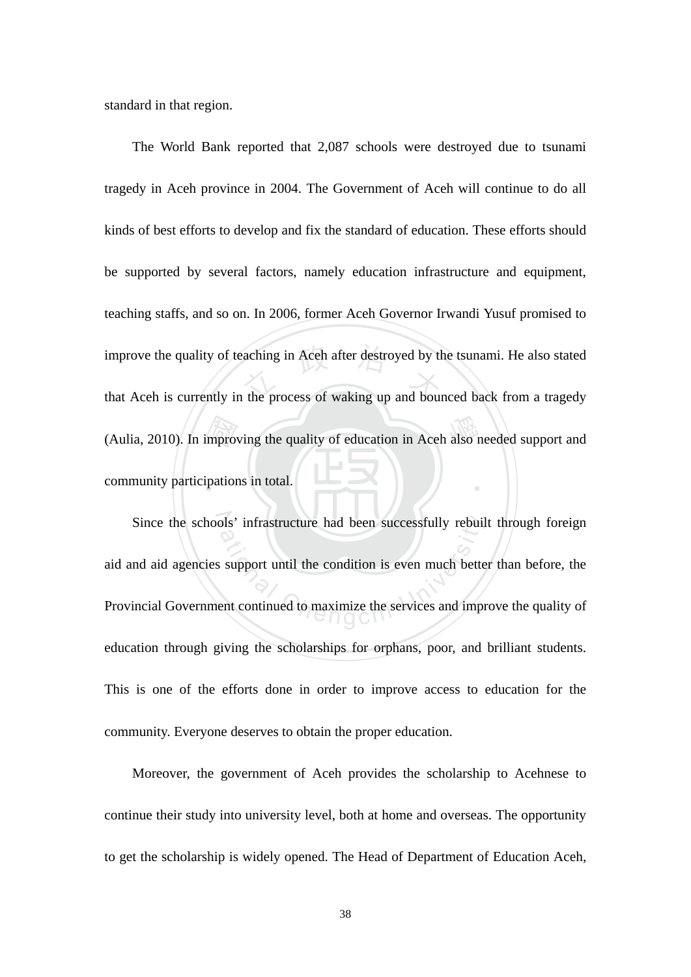standard in that region.

‧improversity<br>ipation improve the quality of teaching in Aceh after destroyed by the tsunami. He also stated<br>that Aceh is currently in the process of waking up and bounced back from a tragedy (Aulia, 2010). In improving the quality of education in Aceh also needed support and ‧ The World Bank reported that 2,087 schools were destroyed due to tsunami tragedy in Aceh province in 2004. The Government of Aceh will continue to do all kinds of best efforts to develop and fix the standard of education. These efforts should be supported by several factors, namely education infrastructure and equipment, teaching staffs, and so on. In 2006, former Aceh Governor Irwandi Yusuf promised to improve the quality of teaching in Aceh after destroyed by the tsunami. He also stated community participations in total.

Since the schools' infrastructure had been successfully rebuilt through foreign best infrastructure had been successfully rebuils<br>at interest support until the condition is even much better<br>the continued to maximize the services and improved to the services and improved to the services and improved to aid and aid agencies support until the condition is even much better than before, the Provincial Government continued to maximize the services and improve the quality of education through giving the scholarships for orphans, poor, and brilliant students. This is one of the efforts done in order to improve access to education for the community. Everyone deserves to obtain the proper education.

Moreover, the government of Aceh provides the scholarship to Acehnese to continue their study into university level, both at home and overseas. The opportunity to get the scholarship is widely opened. The Head of Department of Education Aceh,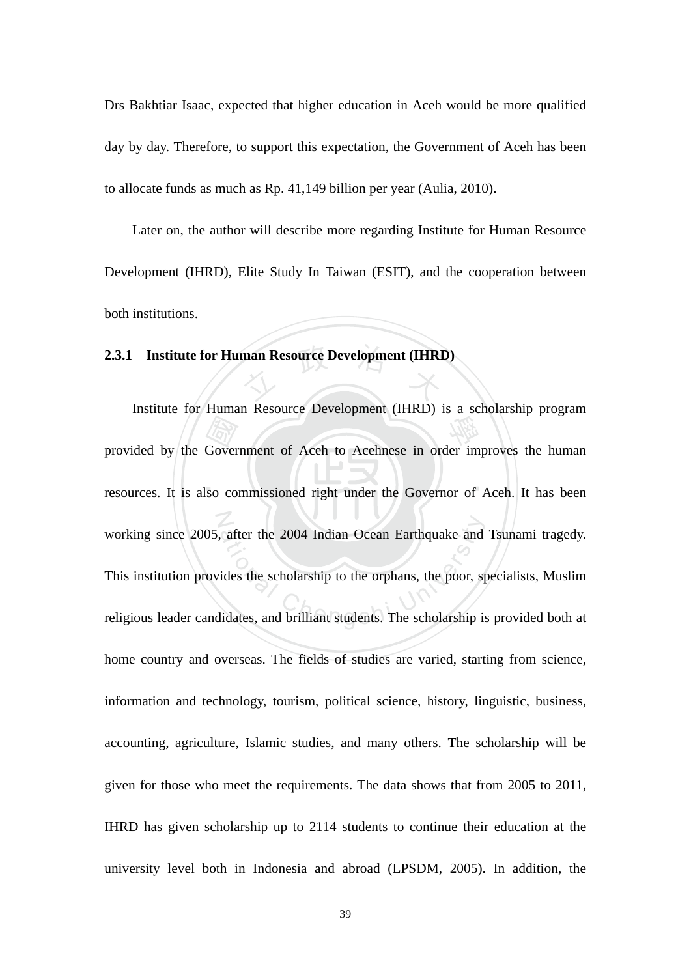Drs Bakhtiar Isaac, expected that higher education in Aceh would be more qualified day by day. Therefore, to support this expectation, the Government of Aceh has been to allocate funds as much as Rp. 41,149 billion per year (Aulia, 2010).

Later on, the author will describe more regarding Institute for Human Resource Development (IHRD), Elite Study In Taiwan (ESIT), and the cooperation between both institutions.

# **2.3.1 Institute for Human Resource Development (IHRD)**

resources. It is also commissioned right under the Governor of Aceh. It has been Example in the procedure of the procedure of the Acehnese in order im<br>
So commissioned right under the Governor of N working since 2005, after the 2004 Indian Ocean Earthquake and Tsunami tragedy.<br>This institution provides the scholarship to the orphans, the poor, specialists, Muslim<br>religious leader candidates, and brilliant students. T Institute for Human Resource Development (IHRD) is a scholarship program provided by the Government of Aceh to Acehnese in order improves the human working since 2005, after the 2004 Indian Ocean Earthquake and Tsunami tragedy. This institution provides the scholarship to the orphans, the poor, specialists, Muslim home country and overseas. The fields of studies are varied, starting from science, information and technology, tourism, political science, history, linguistic, business, accounting, agriculture, Islamic studies, and many others. The scholarship will be given for those who meet the requirements. The data shows that from 2005 to 2011, IHRD has given scholarship up to 2114 students to continue their education at the university level both in Indonesia and abroad (LPSDM, 2005). In addition, the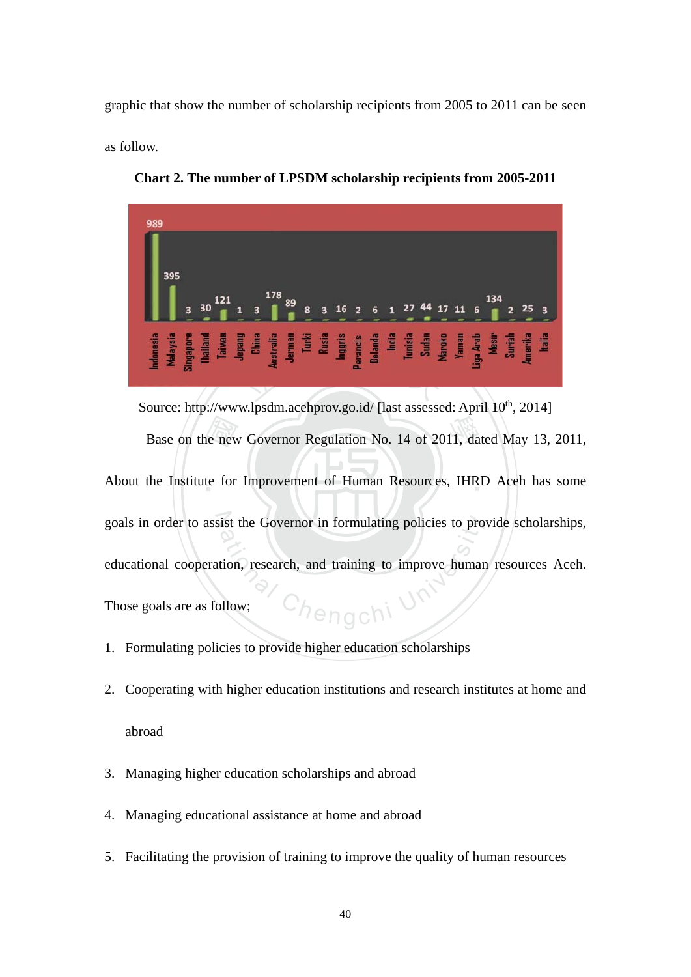graphic that show the number of scholarship recipients from 2005 to 2011 can be seen

as follow.



**Chart 2. The number of LPSDM scholarship recipients from 2005-2011** 

Base on the new Governor Regulation No. 14 of 2011, dated May 13, 2011, the Institute for Improvement of Human Resources, IHRD Aceh has some About the Institute for Improvement of Human Resources, IHRD Aceh has some goals in order to assist the Governor in formulating policies to provide scholarships, ist the Governor in formulating policies to pro<br>tion, research, and training to improve human<br>pllow; Source: http://www.lpsdm.acehprov.go.id/ [last assessed: April 10<sup>th</sup>, 2014] educational cooperation, research, and training to improve human resources Aceh.

Those goals are as follow;

- 1. Formulating policies to provide higher education scholarships
- 2. Cooperating with higher education institutions and research institutes at home and abroad
- 3. Managing higher education scholarships and abroad
- 4. Managing educational assistance at home and abroad
- 5. Facilitating the provision of training to improve the quality of human resources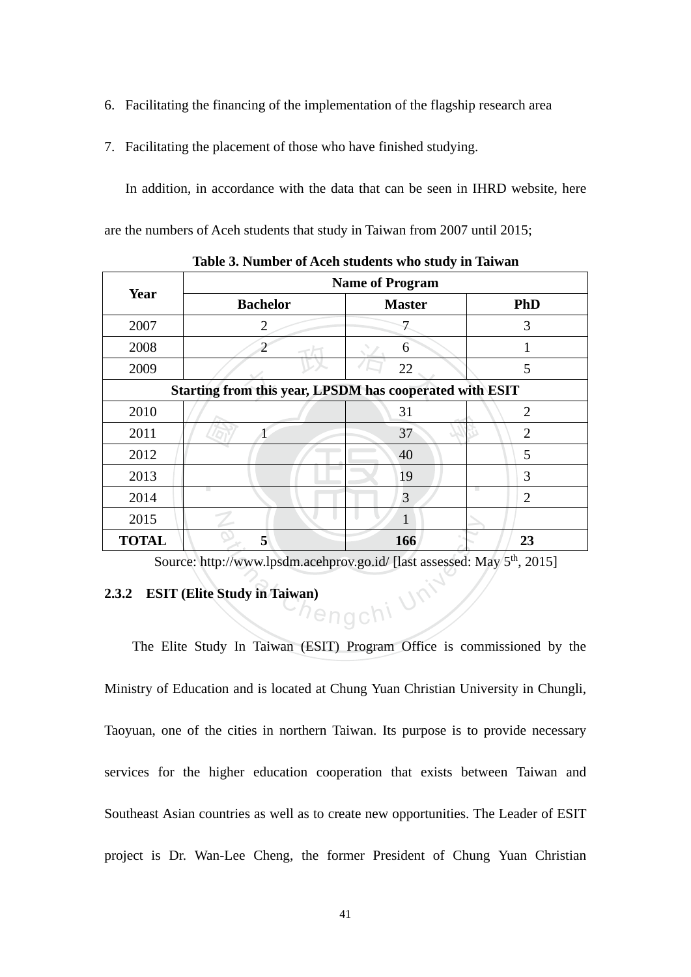- 6. Facilitating the financing of the implementation of the flagship research area
- 7. Facilitating the placement of those who have finished studying.

In addition, in accordance with the data that can be seen in IHRD website, here are the numbers of Aceh students that study in Taiwan from 2007 until 2015;

| Year                                                    | <b>Name of Program</b> |               |                |
|---------------------------------------------------------|------------------------|---------------|----------------|
|                                                         | <b>Bachelor</b>        | <b>Master</b> | PhD            |
| 2007                                                    | 2                      |               | 3              |
| 2008                                                    | ว                      | 6             |                |
| 2009                                                    |                        | 22            | 5              |
| Starting from this year, LPSDM has cooperated with ESIT |                        |               |                |
| 2010                                                    |                        | 31            | $\overline{2}$ |
| 2011                                                    |                        | 37            | $\overline{2}$ |
| 2012                                                    |                        | 40            | 5              |
| 2013                                                    |                        | 19            | 3              |
| 2014                                                    |                        | 3             | $\overline{2}$ |
| 2015                                                    |                        |               |                |
| <b>TOTAL</b>                                            | 5                      | 166           | 23             |

**Table 3. Number of Aceh students who study in Taiwan** 

Source: http://www.lpsdm.acehprov.go.id/ [last assessed: May 5<sup>th</sup>, 2015]

### **2.3.2 ESIT (Elite Study in Taiwan)**

ational Chengchi University The Elite Study In Taiwan (ESIT) Program Office is commissioned by the Ministry of Education and is located at Chung Yuan Christian University in Chungli, Taoyuan, one of the cities in northern Taiwan. Its purpose is to provide necessary services for the higher education cooperation that exists between Taiwan and Southeast Asian countries as well as to create new opportunities. The Leader of ESIT project is Dr. Wan-Lee Cheng, the former President of Chung Yuan Christian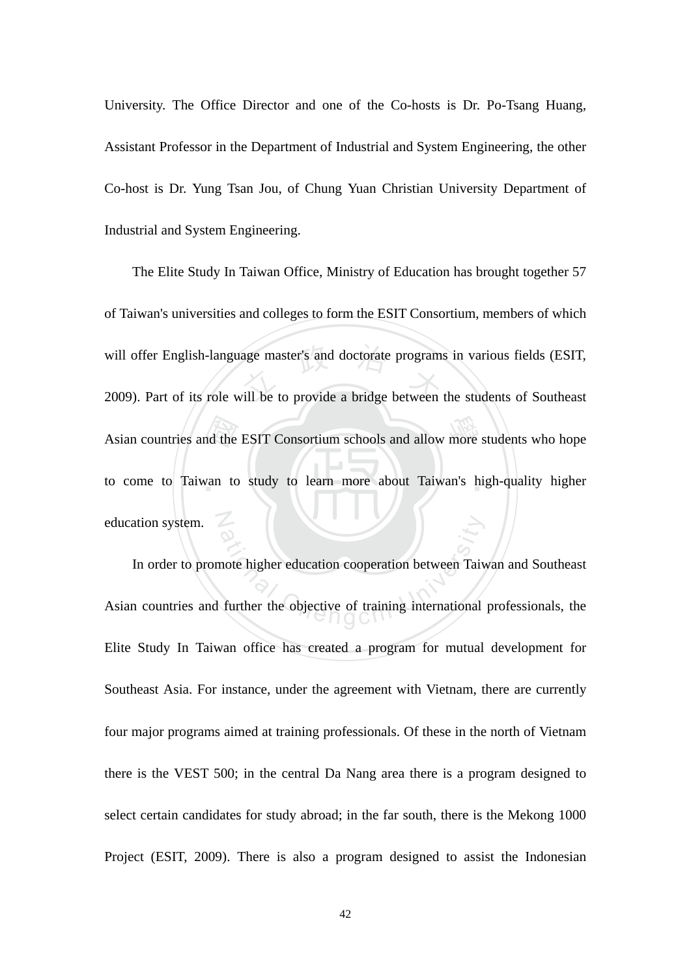University. The Office Director and one of the Co-hosts is Dr. Po-Tsang Huang, Assistant Professor in the Department of Industrial and System Engineering, the other Co-host is Dr. Yung Tsan Jou, of Chung Yuan Christian University Department of Industrial and System Engineering.

Asian countries and the ESIT Consortium schools and allow more students who hope<br>to come to Taiwan to study to learn more about Taiwan's high-quality higher will offer English-language master's and doctorate programs in various fields (ESIT,<br>2009). Part of its role will be to provide a bridge between the students of Southeast to come to Taiwan to study to learn more about Taiwan's high-quality higher N The Elite Study In Taiwan Office, Ministry of Education has brought together 57 of Taiwan's universities and colleges to form the ESIT Consortium, members of which 2009). Part of its role will be to provide a bridge between the students of Southeast education system.

ation<br>
and the displacement of the displacement of the displacement of the displacement<br>
Chenge of training international<br>
Chenge of training international<br>
Chenge of the displacement of the displacement of the displacemen In order to promote higher education cooperation between Taiwan and Southeast Asian countries and further the objective of training international professionals, the Elite Study In Taiwan office has created a program for mutual development for Southeast Asia. For instance, under the agreement with Vietnam, there are currently four major programs aimed at training professionals. Of these in the north of Vietnam there is the VEST 500; in the central Da Nang area there is a program designed to select certain candidates for study abroad; in the far south, there is the Mekong 1000 Project (ESIT, 2009). There is also a program designed to assist the Indonesian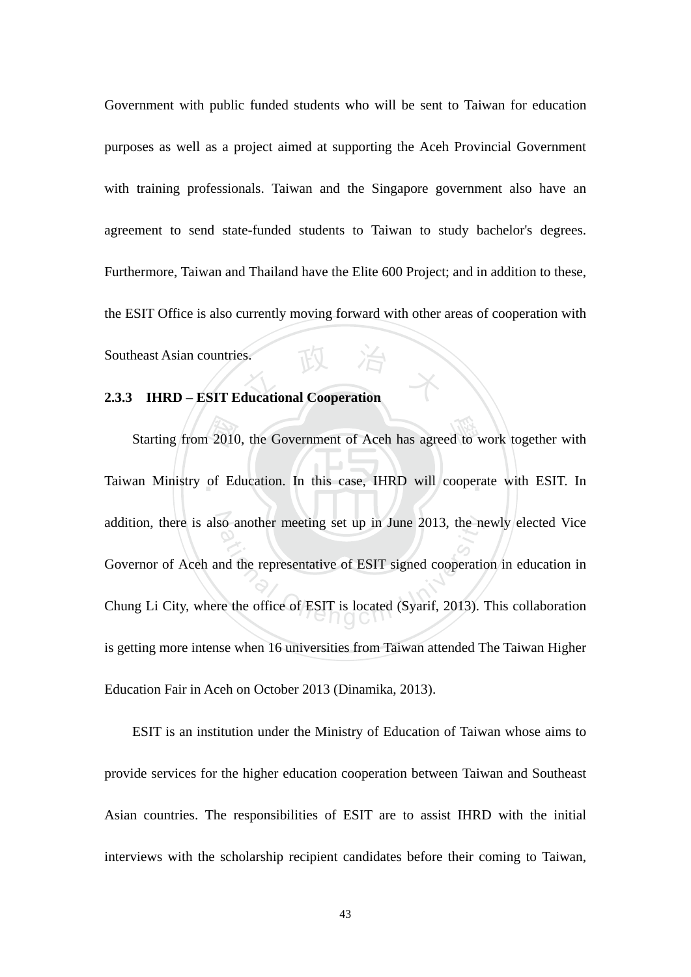Southeast Asian countries.<br>2.3.3 **IHRD – ESIT Educational Cooperation** Government with public funded students who will be sent to Taiwan for education purposes as well as a project aimed at supporting the Aceh Provincial Government with training professionals. Taiwan and the Singapore government also have an agreement to send state-funded students to Taiwan to study bachelor's degrees. Furthermore, Taiwan and Thailand have the Elite 600 Project; and in addition to these, the ESIT Office is also currently moving forward with other areas of cooperation with Southeast Asian countries.

Starting from 2010, the Government of Aceh has agreed to work together with<br>an Ministry of Education. In this case, IHRD will cooperate with ESIT. In Taiwan Ministry of Education. In this case, IHRD will cooperate with ESIT. In addition, there is also another meeting set up in June 2013, the newly elected Vice so another meeting set up in June 2013, the net<br>and the representative of ESIT signed cooperation<br>re the office of ESIT is located (Syarif, 2013). Governor of Aceh and the representative of ESIT signed cooperation in education in Chung Li City, where the office of ESIT is located (Syarif, 2013). This collaboration is getting more intense when 16 universities from Taiwan attended The Taiwan Higher Education Fair in Aceh on October 2013 (Dinamika, 2013).

ESIT is an institution under the Ministry of Education of Taiwan whose aims to provide services for the higher education cooperation between Taiwan and Southeast Asian countries. The responsibilities of ESIT are to assist IHRD with the initial interviews with the scholarship recipient candidates before their coming to Taiwan,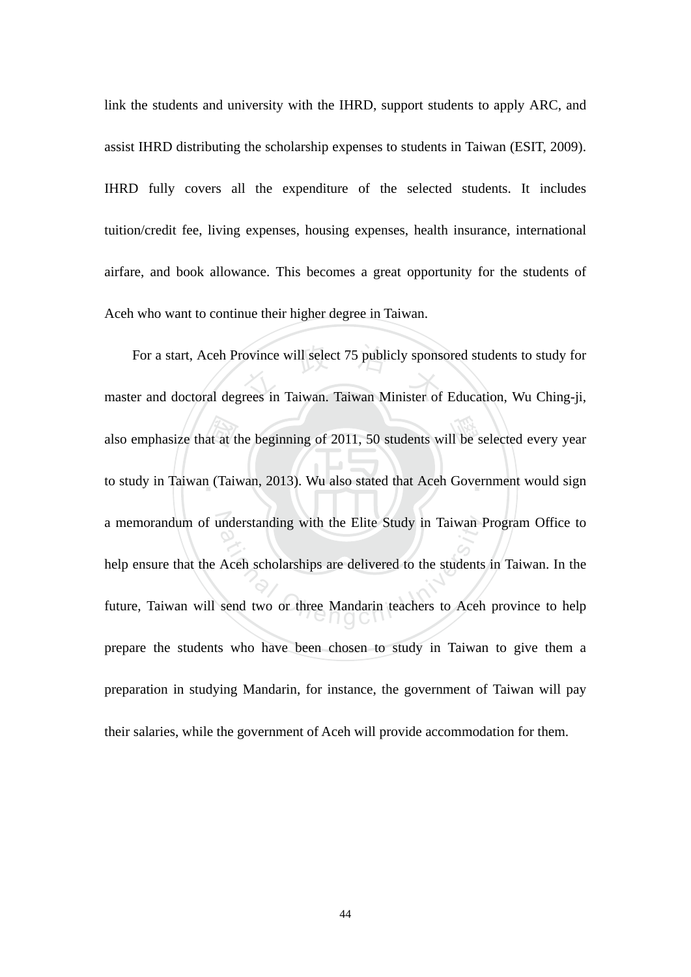link the students and university with the IHRD, support students to apply ARC, and assist IHRD distributing the scholarship expenses to students in Taiwan (ESIT, 2009). IHRD fully covers all the expenditure of the selected students. It includes tuition/credit fee, living expenses, housing expenses, health insurance, international airfare, and book allowance. This becomes a great opportunity for the students of Aceh who want to continue their higher degree in Taiwan.

also emphasize that at the beginning of 2011, 50 students will be selected every year<br>to study in Taiwan (Taiwan, 2013). Wu also stated that Aceh Government would sign For a start, Aceh Province will select 75 publicly sponsored students to study for<br>master and doctoral degrees in Taiwan. Taiwan Minister of Education, Wu Ching-ji, to study in Taiwan (Taiwan, 2013). Wu also stated that Aceh Government would sign a memorandum of understanding with the Elite Study in Taiwan Program Office to Inderstanding with the Elite Study in Taiwan I<br>Aceh scholarships are delivered to the students<br>send two or three Mandarin teachers to Aceh For a start, Aceh Province will select 75 publicly sponsored students to study for help ensure that the Aceh scholarships are delivered to the students in Taiwan. In the future, Taiwan will send two or three Mandarin teachers to Aceh province to help prepare the students who have been chosen to study in Taiwan to give them a preparation in studying Mandarin, for instance, the government of Taiwan will pay their salaries, while the government of Aceh will provide accommodation for them.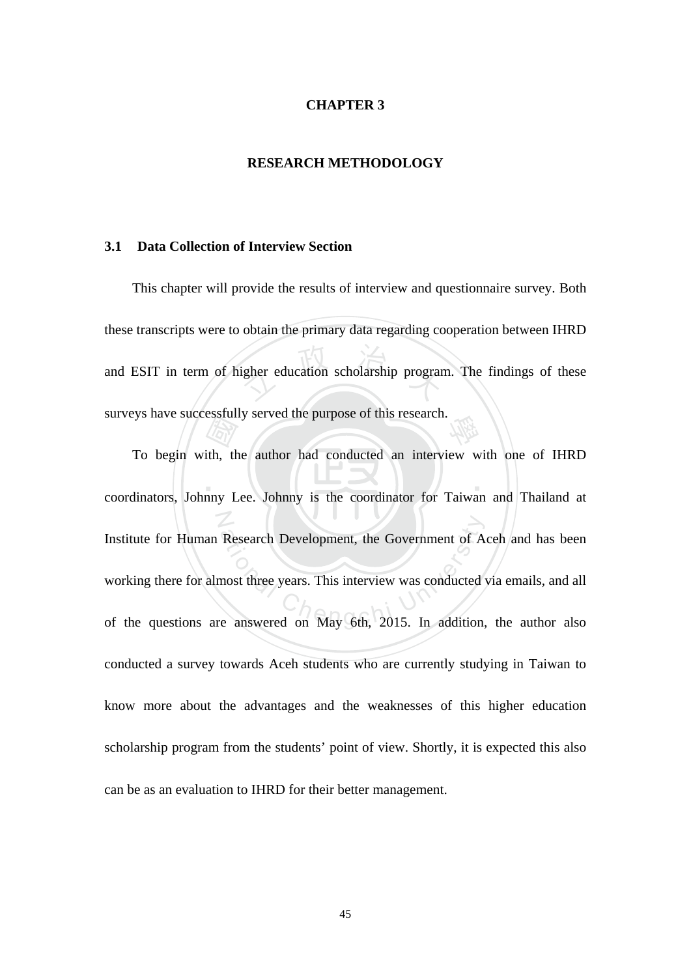#### **CHAPTER 3**

#### **RESEARCH METHODOLOGY**

#### **3.1 Data Collection of Interview Section**

igher education scholarship program 學 This chapter will provide the results of interview and questionnaire survey. Both these transcripts were to obtain the primary data regarding cooperation between IHRD and ESIT in term of higher education scholarship program. The findings of these surveys have successfully served the purpose of this research.

 $\blacksquare$  $\frac{1}{\sqrt{2}}$ <br>ith, then  $\frac{1}{\sqrt{2}}$ N Institute for Human Research Development, the Government of Aceh and has been<br>working there for almost three years. This interview was conducted via emails, and all<br>of the questions are answered on May 6th, 2015. In additi To begin with, the author had conducted an interview with one of IHRD coordinators, Johnny Lee. Johnny is the coordinator for Taiwan and Thailand at Institute for Human Research Development, the Government of Aceh and has been working there for almost three years. This interview was conducted via emails, and all conducted a survey towards Aceh students who are currently studying in Taiwan to know more about the advantages and the weaknesses of this higher education scholarship program from the students' point of view. Shortly, it is expected this also can be as an evaluation to IHRD for their better management.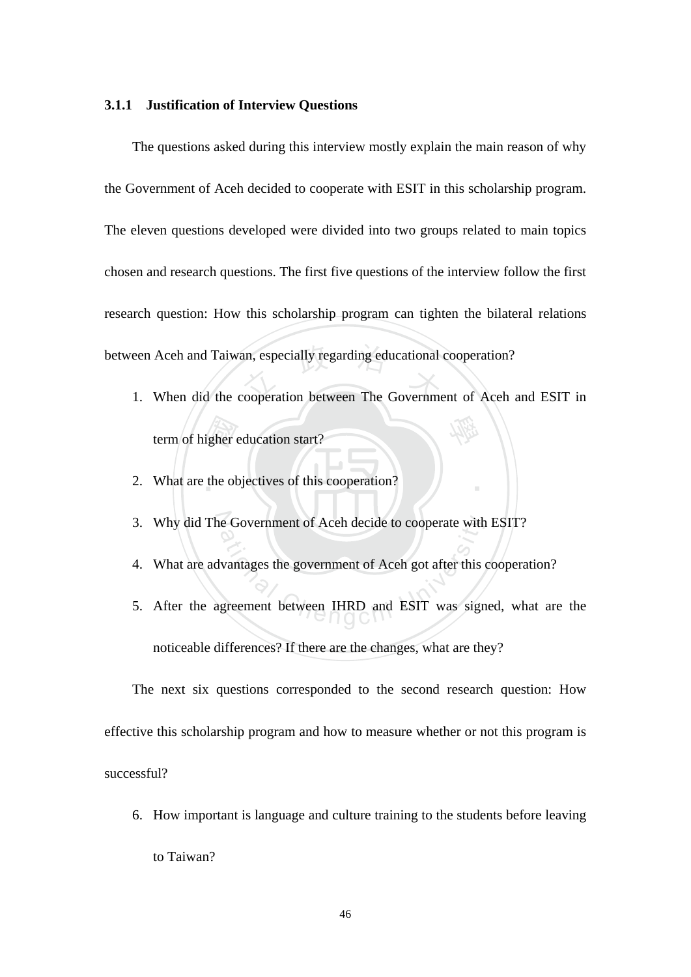#### **3.1.1 Justification of Interview Questions**

between Aceh and Taiwan, especially regarding educational cooperation?<br>1. When did the cooperation between The Government of Aceh a The questions asked during this interview mostly explain the main reason of why the Government of Aceh decided to cooperate with ESIT in this scholarship program. The eleven questions developed were divided into two groups related to main topics chosen and research questions. The first five questions of the interview follow the first research question: How this scholarship program can tighten the bilateral relations

igher of 學 1. When did the cooperation between The Government of Aceh and ESIT in term of higher education start?

‧

- 2. What are the objectives of this cooperation?
- 3. Why did The Government of Aceh decide to cooperate with ESIT?
- 4. What are advantages the government of Aceh got after this cooperation?
- e Government of Aceh decide to cooperate with<br>vantages the government of Aceh got after this<br>greement between IHRD and ESIT was sign 5. After the agreement between IHRD and ESIT was signed, what are the noticeable differences? If there are the changes, what are they?

The next six questions corresponded to the second research question: How effective this scholarship program and how to measure whether or not this program is successful?

6. How important is language and culture training to the students before leaving

to Taiwan?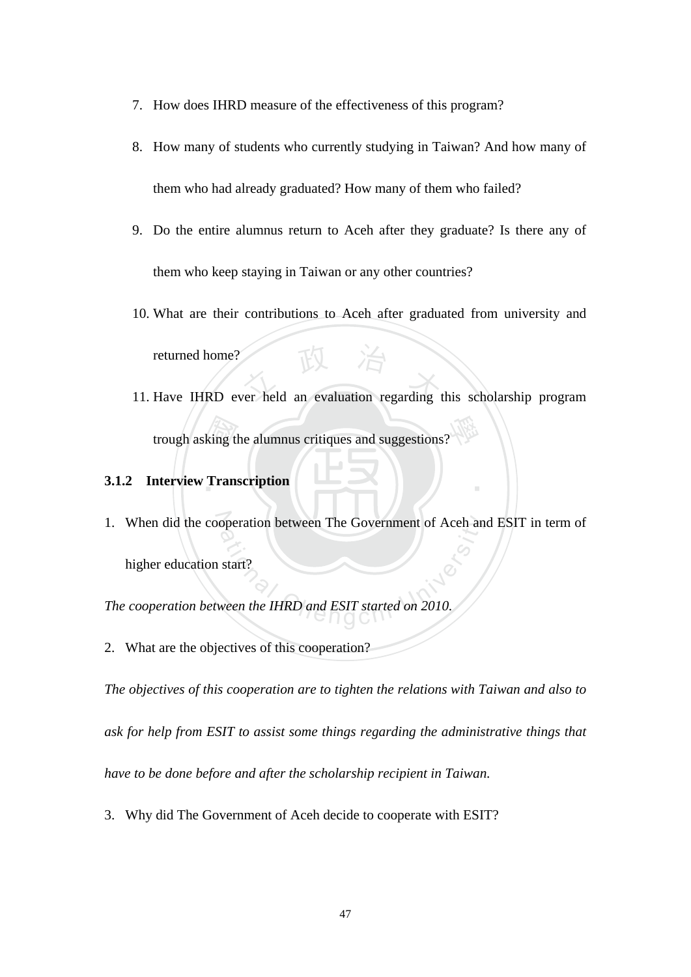- 7. How does IHRD measure of the effectiveness of this program?
- 8. How many of students who currently studying in Taiwan? And how many of them who had already graduated? How many of them who failed?
- 9. Do the entire alumnus return to Aceh after they graduate? Is there any of them who keep staying in Taiwan or any other countries?
- returned home?<br>
11. Have IHRD ever held an evaluation regarding this scholarship program 10. What are their contributions to Aceh after graduated from university and returned home?
- king tl<br>Trans 學 trough asking the alumnus critiques and suggestions?

‧

### **3.1.2 Interview Transcription**

1. When did the cooperation between The Government of Aceh and ESIT in term of<br>higher education start?<br>The cooperation between the IHRD and ESIT started on 2010. higher education start?

*The cooperation between the IHRD and ESIT started on 2010.* 

2. What are the objectives of this cooperation?

*The objectives of this cooperation are to tighten the relations with Taiwan and also to ask for help from ESIT to assist some things regarding the administrative things that have to be done before and after the scholarship recipient in Taiwan.*

3. Why did The Government of Aceh decide to cooperate with ESIT?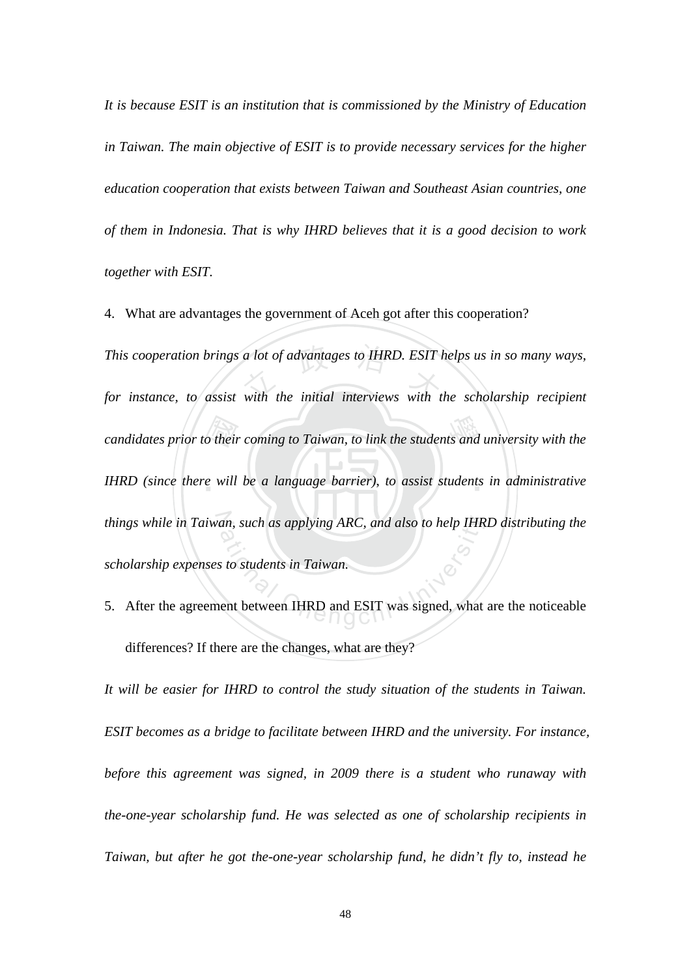*It is because ESIT is an institution that is commissioned by the Ministry of Education in Taiwan. The main objective of ESIT is to provide necessary services for the higher education cooperation that exists between Taiwan and Southeast Asian countries, one of them in Indonesia. That is why IHRD believes that it is a good decision to work together with ESIT.* 

candidates prior to their coming to Taiwan, to link the students and university with the<br>IHRD (since there will be a language barrier), to assist students in administrative *This cooperation brings a lot of advantages to IHRD. ESIT helps us in so many ways,*<br>for instance, to assist with the initial interviews with the scholarship recipient IHRD (since there will be a language barrier), to assist students in administrative *things while in Taiwan, such as applying ARC, and also to help IHRD distributing the* an, such as applying ARC, and also to help IHR<br>s to students in Taiwan.<br>ent between IHRD and ESIT was signed, what 4. What are advantages the government of Aceh got after this cooperation? *for instance, to assist with the initial interviews with the scholarship recipient scholarship expenses to students in Taiwan.*

5. After the agreement between IHRD and ESIT was signed, what are the noticeable differences? If there are the changes, what are they?

*It will be easier for IHRD to control the study situation of the students in Taiwan. ESIT becomes as a bridge to facilitate between IHRD and the university. For instance, before this agreement was signed, in 2009 there is a student who runaway with the-one-year scholarship fund. He was selected as one of scholarship recipients in Taiwan, but after he got the-one-year scholarship fund, he didn't fly to, instead he*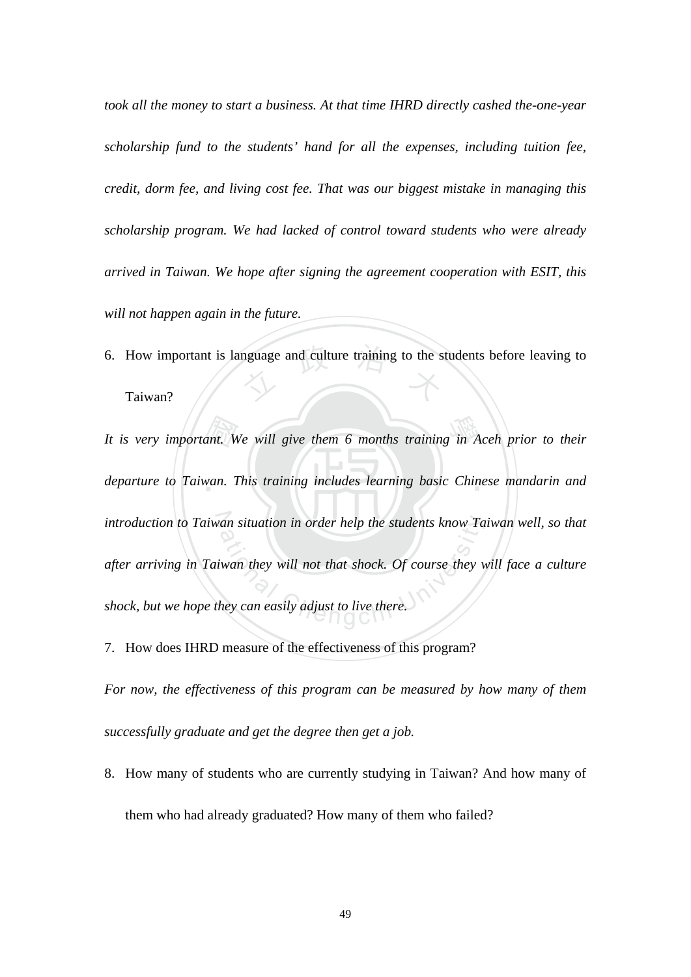*took all the money to start a business. At that time IHRD directly cashed the-one-year scholarship fund to the students' hand for all the expenses, including tuition fee, credit, dorm fee, and living cost fee. That was our biggest mistake in managing this scholarship program. We had lacked of control toward students who were already arrived in Taiwan. We hope after signing the agreement cooperation with ESIT, this will not happen again in the future.* 

6. How important is language and culture training to the students before leaving to Taiwan? Taiwan?

ant. W<br>van. 1 學 *It is very important. We will give them 6 months training in Aceh prior to their*  departure to Taiwan. This training includes learning basic Chinese mandarin and introduction to Taiwan situation in order help the students know Taiwan well, so that an situation in order help the students know Ta<br>iwan they will not that shock. Of course they w<br>hey can easily adjust to live there. *after arriving in Taiwan they will not that shock. Of course they will face a culture shock, but we hope they can easily adjust to live there.* 

7. How does IHRD measure of the effectiveness of this program?

*For now, the effectiveness of this program can be measured by how many of them successfully graduate and get the degree then get a job.* 

8. How many of students who are currently studying in Taiwan? And how many of them who had already graduated? How many of them who failed?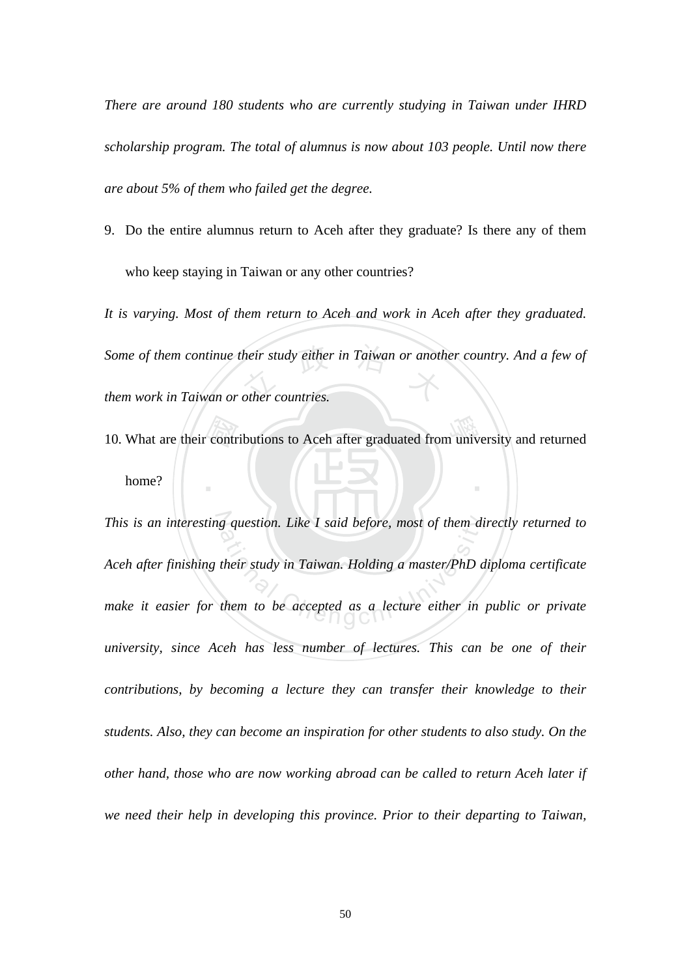*There are around 180 students who are currently studying in Taiwan under IHRD scholarship program. The total of alumnus is now about 103 people. Until now there are about 5% of them who failed get the degree.* 

9. Do the entire alumnus return to Aceh after they graduate? Is there any of them who keep staying in Taiwan or any other countries?

*Some of them continue their study either in Taiwan or another country. And a few of*<br>them work in Taiwan or other countries. *It is varying. Most of them return to Aceh and work in Aceh after they graduated. them work in Taiwan or other countries.* 

10. What are their contributions to Aceh after graduated from university and returned home? ‧ home?

N *This is an interesting question. Like I said before, most of them directly returned to*  g question. Like I said before, most of them di<br>their study in Taiwan. Holding a master/PhD d<br>them to be accepted as a lecture either in *Aceh after finishing their study in Taiwan. Holding a master/PhD diploma certificate*  make it easier for them to be accepted as a lecture either in public or private *university, since Aceh has less number of lectures. This can be one of their contributions, by becoming a lecture they can transfer their knowledge to their students. Also, they can become an inspiration for other students to also study. On the other hand, those who are now working abroad can be called to return Aceh later if we need their help in developing this province. Prior to their departing to Taiwan,*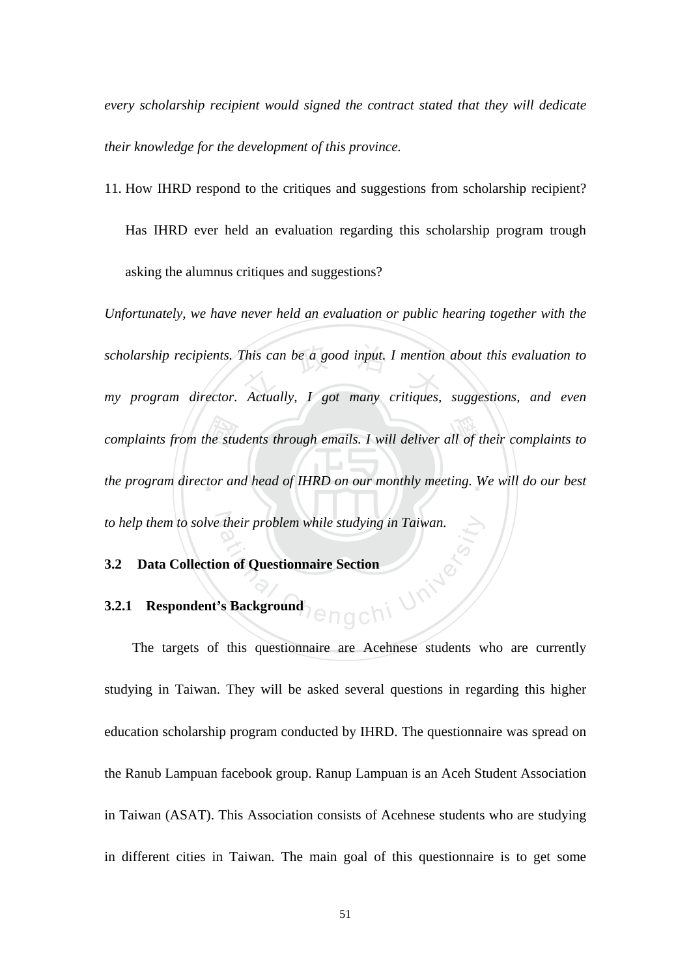*every scholarship recipient would signed the contract stated that they will dedicate their knowledge for the development of this province.* 

11. How IHRD respond to the critiques and suggestions from scholarship recipient? Has IHRD ever held an evaluation regarding this scholarship program trough asking the alumnus critiques and suggestions?

complaints from the students through emails. I will deliver all of their complaints to<br>the program director and head of IHRD on our monthly meeting. We will do our best *scholarship recipients. This can be a good input. I mention about this evaluation to*<br>
my program director. Actually, I got many critiques, suggestions, and even the program director and head of IHRD on our monthly meeting. We will do our best to help them to solve their problem while studying in Taiwan. *Unfortunately, we have never held an evaluation or public hearing together with the my program director. Actually, I got many critiques, suggestions, and even* 

#### **3.2 Data Collection of Questionnaire Section**

#### **3.2.1 Respondent's Background**

ngchi University The targets of this questionnaire are Acehnese students who are currently studying in Taiwan. They will be asked several questions in regarding this higher education scholarship program conducted by IHRD. The questionnaire was spread on the Ranub Lampuan facebook group. Ranup Lampuan is an Aceh Student Association in Taiwan (ASAT). This Association consists of Acehnese students who are studying in different cities in Taiwan. The main goal of this questionnaire is to get some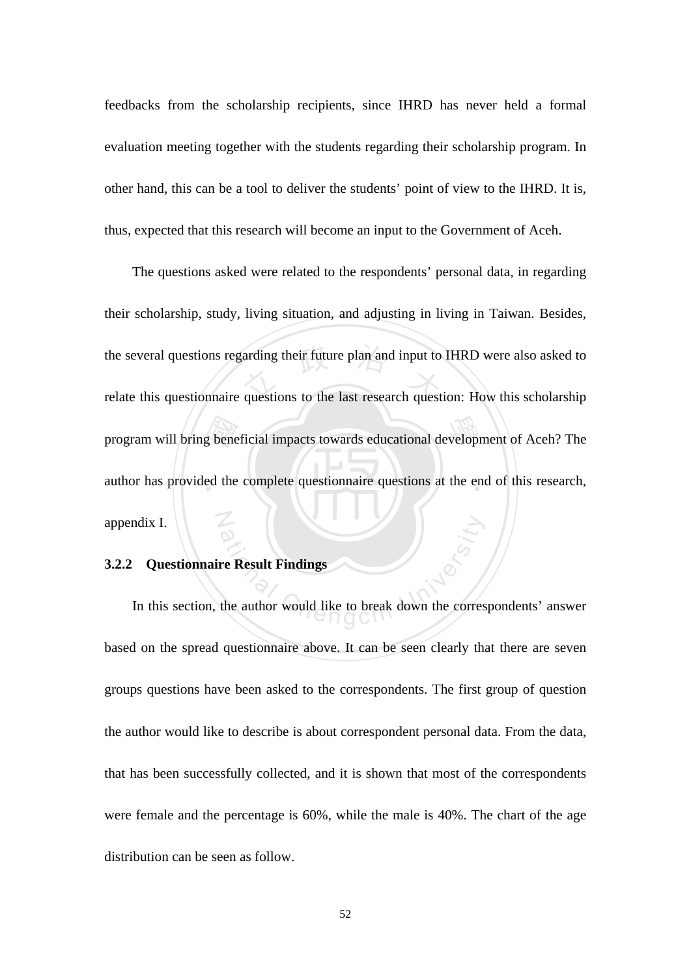feedbacks from the scholarship recipients, since IHRD has never held a formal evaluation meeting together with the students regarding their scholarship program. In other hand, this can be a tool to deliver the students' point of view to the IHRD. It is, thus, expected that this research will become an input to the Government of Aceh.

program will bring beneficial impacts towards educational development of Aceh? The author has provided the complete questionnaire questions at the end of this research, the several questions regarding their future plan and input to IHRD were also asked to<br>relate this questionnaire questions to the last research question: How this scholarship author has provided the complete questionnaire questions at the end of this research, N The questions asked were related to the respondents' personal data, in regarding their scholarship, study, living situation, and adjusting in living in Taiwan. Besides, relate this questionnaire questions to the last research question: How this scholarship appendix I.

#### **3.2.2 Questionnaire Result Findings**

re Result Findings<br>the author would like to break down the correst In this section, the author would like to break down the correspondents' answer based on the spread questionnaire above. It can be seen clearly that there are seven groups questions have been asked to the correspondents. The first group of question the author would like to describe is about correspondent personal data. From the data, that has been successfully collected, and it is shown that most of the correspondents were female and the percentage is 60%, while the male is 40%. The chart of the age distribution can be seen as follow.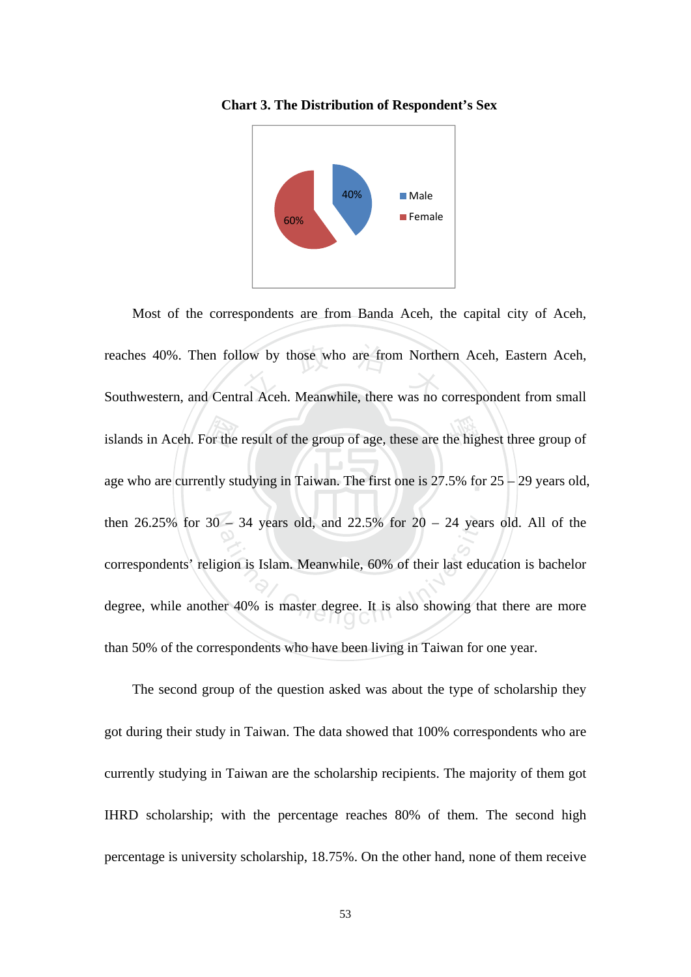



islands in Aceh. For the result of the group of age, these are the highest three group of age who are currently studying in Taiwan. The first one is  $27.5\%$  for  $25 - 29$  years old, reaches 40%. Then follow by those who are from Northern Aceh, Eastern Aceh,<br>Southwestern, and Central Aceh. Meanwhile, there was no correspondent from small age who are currently studying in Taiwan. The first one is 27.5% for 25 – 29 years old, then  $26.25\%$  for  $30 - 34$  years old, and  $22.5\%$  for  $20 - 24$  years old. All of the - 34 years old, and 22.5% for 20 - 24 years<br>gion is Islam. Meanwhile, 60% of their last edu<br>er 40% is master degree. It is also showing the Most of the correspondents are from Banda Aceh, the capital city of Aceh, Southwestern, and Central Aceh. Meanwhile, there was no correspondent from small correspondents' religion is Islam. Meanwhile, 60% of their last education is bachelor degree, while another 40% is master degree. It is also showing that there are more than 50% of the correspondents who have been living in Taiwan for one year.

The second group of the question asked was about the type of scholarship they got during their study in Taiwan. The data showed that 100% correspondents who are currently studying in Taiwan are the scholarship recipients. The majority of them got IHRD scholarship; with the percentage reaches 80% of them. The second high percentage is university scholarship, 18.75%. On the other hand, none of them receive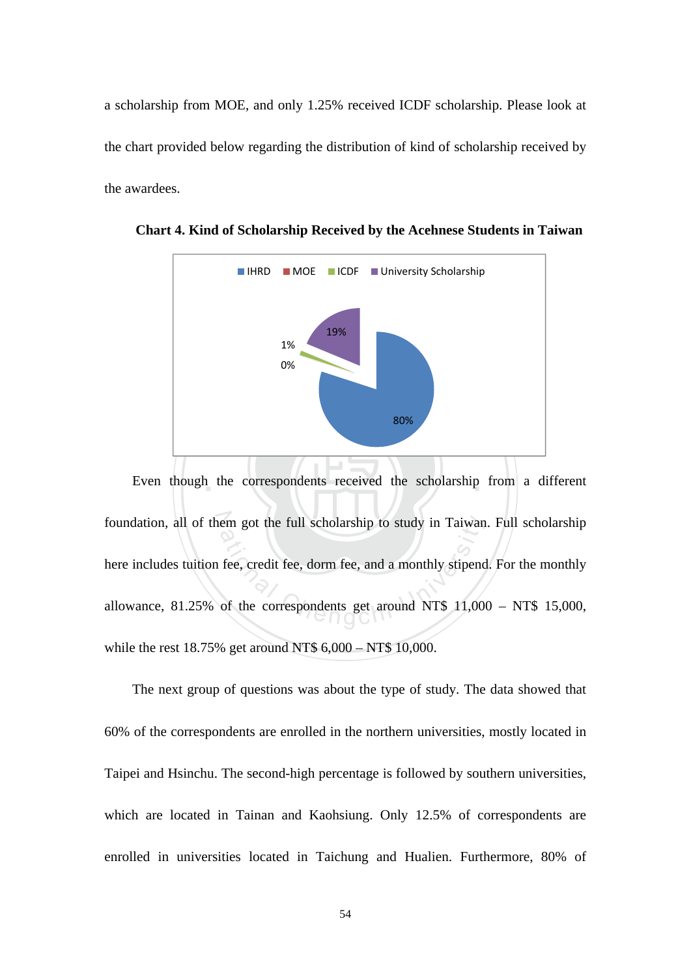a scholarship from MOE, and only 1.25% received ICDF scholarship. Please look at the chart provided below regarding the distribution of kind of scholarship received by the awardees.



**Chart 4. Kind of Scholarship Received by the Acehnese Students in Taiwan** 

Even though the correspondents received the scholarship from a different foundation, all of them got the full scholarship to study in Taiwan. Full scholarship em got the full scholarship to study in Taiwan<br>fee, credit fee, dorm fee, and a monthly stipend<br>of the correspondents get around NT\$ 11,00 here includes tuition fee, credit fee, dorm fee, and a monthly stipend. For the monthly allowance, 81.25% of the correspondents get around NT\$ 11,000 – NT\$ 15,000, while the rest 18.75% get around NT\$ 6,000 – NT\$ 10,000.

The next group of questions was about the type of study. The data showed that 60% of the correspondents are enrolled in the northern universities, mostly located in Taipei and Hsinchu. The second-high percentage is followed by southern universities, which are located in Tainan and Kaohsiung. Only 12.5% of correspondents are enrolled in universities located in Taichung and Hualien. Furthermore, 80% of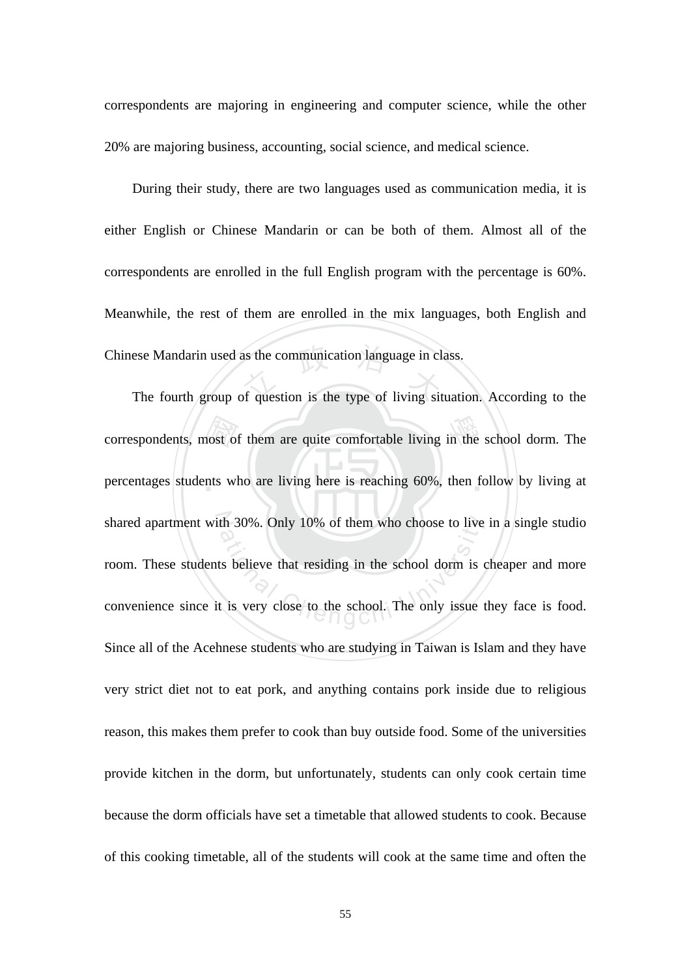correspondents are majoring in engineering and computer science, while the other 20% are majoring business, accounting, social science, and medical science.

Chinese Mandarin used as the communication language in class.<br>The fourth group of question is the type of living situation During their study, there are two languages used as communication media, it is either English or Chinese Mandarin or can be both of them. Almost all of the correspondents are enrolled in the full English program with the percentage is 60%. Meanwhile, the rest of them are enrolled in the mix languages, both English and

correspondents, most of them are quite comfortable living in the school dorm. The percentages students who are living here is reaching 60%, then follow by living at percentages students who are living here is reaching 60%, then follow by living at shared apartment with 30%. Only 10% of them who choose to live in a single studio th 30%. Only 10% of them who choose to live<br>ts believe that residing in the school dorm is c<br>t is very close to the school. The only issue t The fourth group of question is the type of living situation. According to the room. These students believe that residing in the school dorm is cheaper and more convenience since it is very close to the school. The only issue they face is food. Since all of the Acehnese students who are studying in Taiwan is Islam and they have very strict diet not to eat pork, and anything contains pork inside due to religious reason, this makes them prefer to cook than buy outside food. Some of the universities provide kitchen in the dorm, but unfortunately, students can only cook certain time because the dorm officials have set a timetable that allowed students to cook. Because of this cooking timetable, all of the students will cook at the same time and often the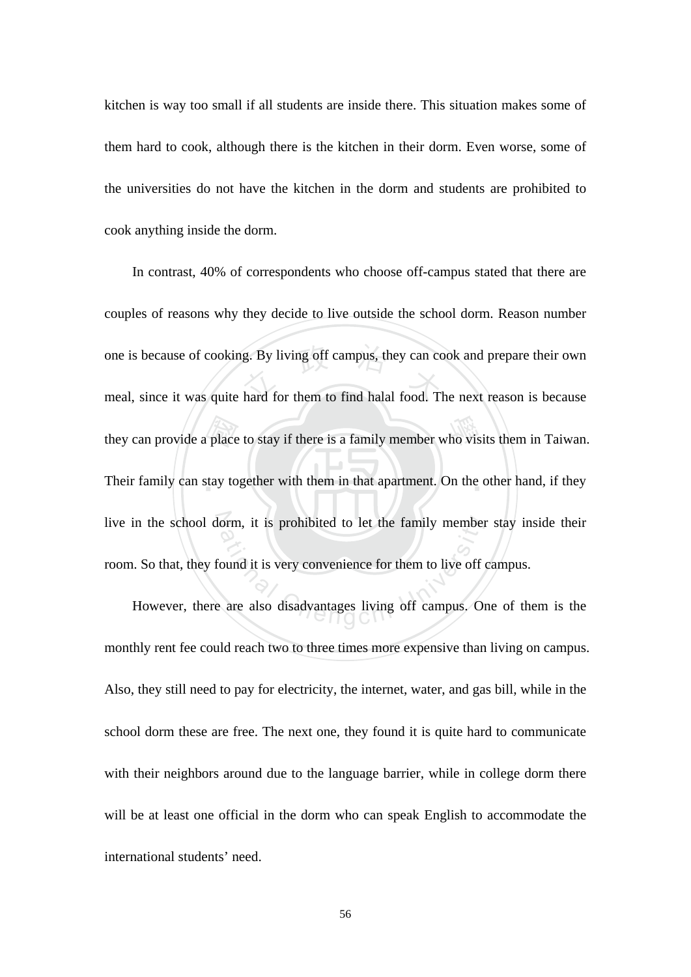kitchen is way too small if all students are inside there. This situation makes some of them hard to cook, although there is the kitchen in their dorm. Even worse, some of the universities do not have the kitchen in the dorm and students are prohibited to cook anything inside the dorm.

they can provide a place to stay if there is a family member who visits them in Taiwan.<br>Their family can stay together with them in that apartment. On the other hand, if they one is because of cooking. By living off campus, they can cook and prepare their own<br>meal, since it was quite hard for them to find halal food. The next reason is because Their family can stay together with them in that apartment. On the other hand, if they live in the school dorm, it is prohibited to let the family member stay inside their orm, it is prohibited to let the family member<br>ound it is very convenience for them to live off<br>are also disadvantages living off campus. On In contrast, 40% of correspondents who choose off-campus stated that there are couples of reasons why they decide to live outside the school dorm. Reason number meal, since it was quite hard for them to find halal food. The next reason is because room. So that, they found it is very convenience for them to live off campus.

However, there are also disadvantages living off campus. One of them is the monthly rent fee could reach two to three times more expensive than living on campus. Also, they still need to pay for electricity, the internet, water, and gas bill, while in the school dorm these are free. The next one, they found it is quite hard to communicate with their neighbors around due to the language barrier, while in college dorm there will be at least one official in the dorm who can speak English to accommodate the international students' need.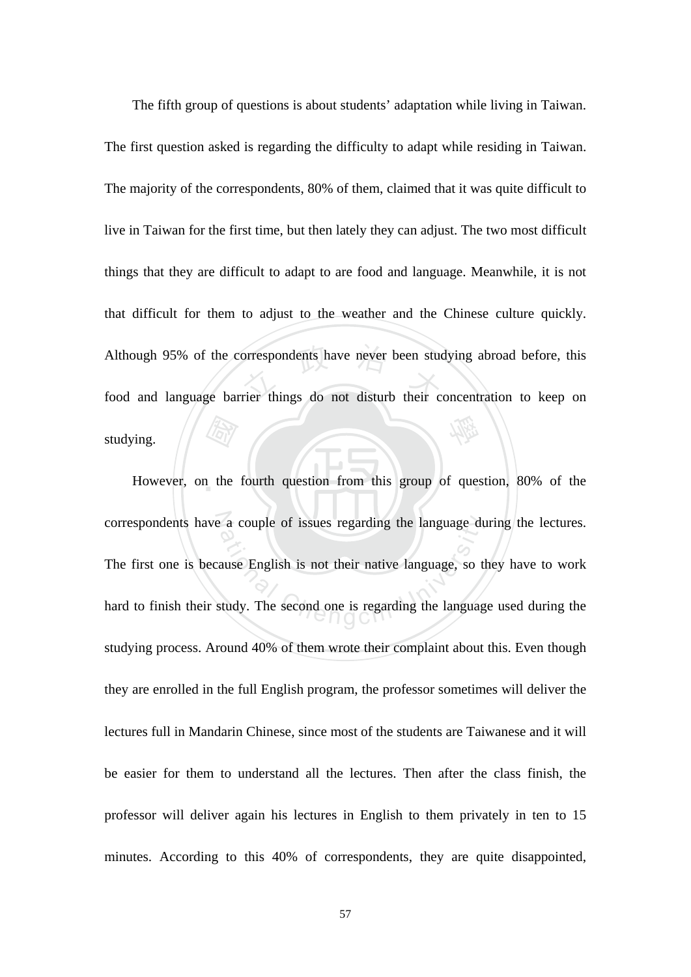a the Although 95% of the correspondents have never been studying abroad before, this<br>food and language barrier things do not disturb their concentration to keep on 學 The fifth group of questions is about students' adaptation while living in Taiwan. The first question asked is regarding the difficulty to adapt while residing in Taiwan. The majority of the correspondents, 80% of them, claimed that it was quite difficult to live in Taiwan for the first time, but then lately they can adjust. The two most difficult things that they are difficult to adapt to are food and language. Meanwhile, it is not that difficult for them to adjust to the weather and the Chinese culture quickly. food and language barrier things do not disturb their concentration to keep on studying.

However, on the fourth question from this group of question, 80% of the correspondents have a couple of issues regarding the language during the lectures. a couple of issues regarding the language du<br>
ause English is not their native language, so the<br>
study. The second one is regarding the language The first one is because English is not their native language, so they have to work hard to finish their study. The second one is regarding the language used during the studying process. Around 40% of them wrote their complaint about this. Even though they are enrolled in the full English program, the professor sometimes will deliver the lectures full in Mandarin Chinese, since most of the students are Taiwanese and it will be easier for them to understand all the lectures. Then after the class finish, the professor will deliver again his lectures in English to them privately in ten to 15 minutes. According to this 40% of correspondents, they are quite disappointed,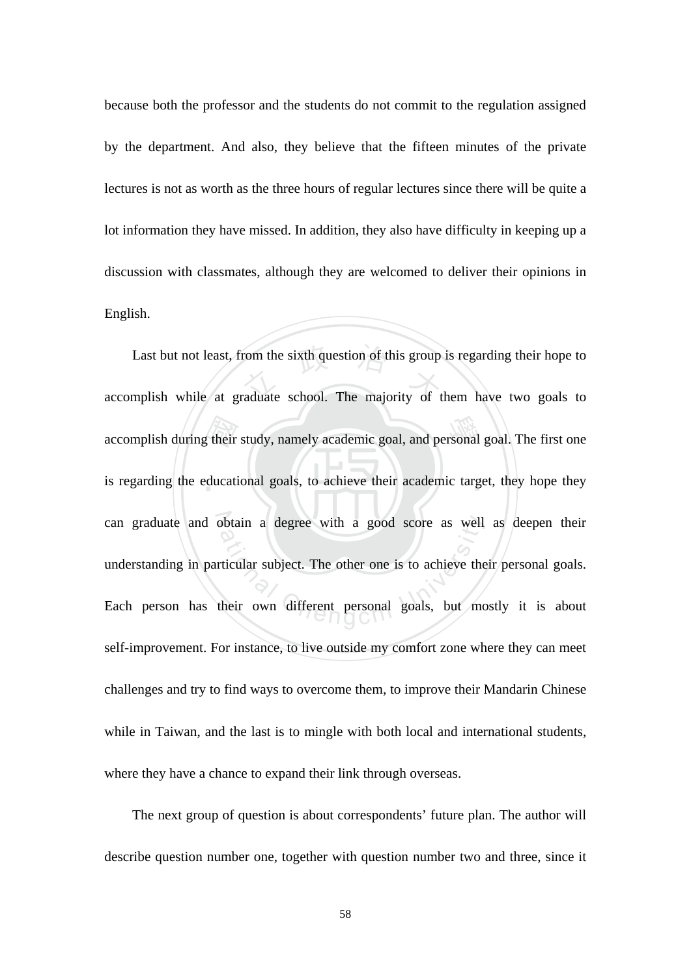because both the professor and the students do not commit to the regulation assigned by the department. And also, they believe that the fifteen minutes of the private lectures is not as worth as the three hours of regular lectures since there will be quite a lot information they have missed. In addition, they also have difficulty in keeping up a discussion with classmates, although they are welcomed to deliver their opinions in English.

accomplish during their study, namely academic goal, and personal goal. The first one<br>is regarding the educational goals, to achieve their academic target, they hope they Last but not least, from the sixth question of this group is regarding their hope to<br>mplish while at graduate school. The majority of them have two goals to is regarding the educational goals, to achieve their academic target, they hope they can graduate and obtain a degree with a good score as well as deepen their ation a degree with a good score as well<br>ticular subject. The other one is to achieve the<br>their own different personal goals, but mo accomplish while at graduate school. The majority of them have two goals to understanding in particular subject. The other one is to achieve their personal goals. Each person has their own different personal goals, but mostly it is about self-improvement. For instance, to live outside my comfort zone where they can meet challenges and try to find ways to overcome them, to improve their Mandarin Chinese while in Taiwan, and the last is to mingle with both local and international students, where they have a chance to expand their link through overseas.

The next group of question is about correspondents' future plan. The author will describe question number one, together with question number two and three, since it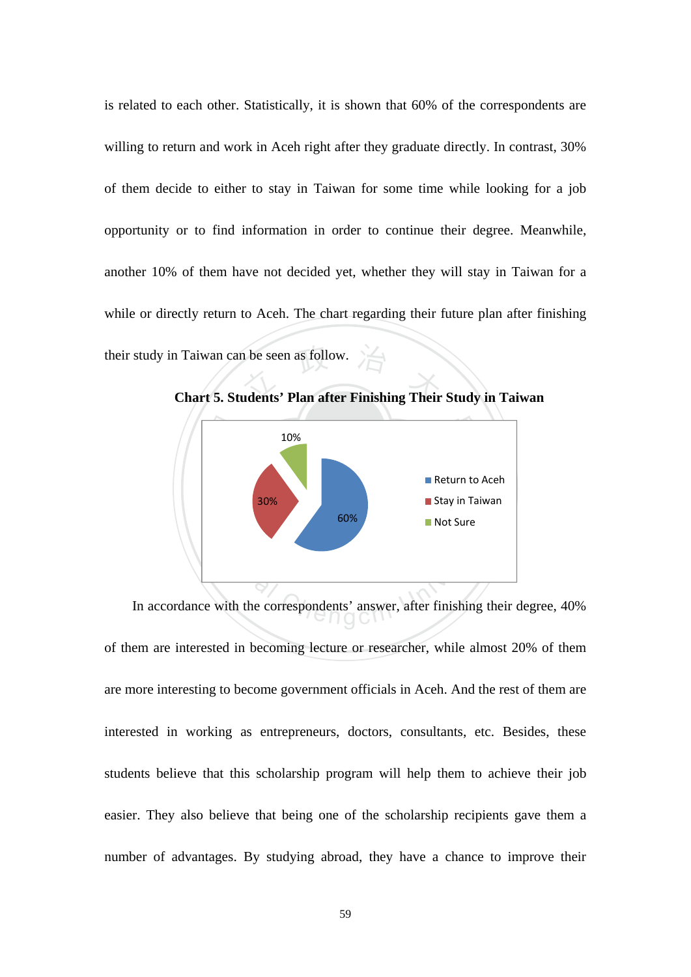**Chart 5. Students' Plan after Finishing Their Study in Taiwan** is related to each other. Statistically, it is shown that 60% of the correspondents are willing to return and work in Aceh right after they graduate directly. In contrast, 30% of them decide to either to stay in Taiwan for some time while looking for a job opportunity or to find information in order to continue their degree. Meanwhile, another 10% of them have not decided yet, whether they will stay in Taiwan for a while or directly return to Aceh. The chart regarding their future plan after finishing their study in Taiwan can be seen as follow.



In accordance with the correspondents' answer, after finishing their degree, 40% of them are interested in becoming lecture or researcher, while almost 20% of them are more interesting to become government officials in Aceh. And the rest of them are interested in working as entrepreneurs, doctors, consultants, etc. Besides, these students believe that this scholarship program will help them to achieve their job easier. They also believe that being one of the scholarship recipients gave them a number of advantages. By studying abroad, they have a chance to improve their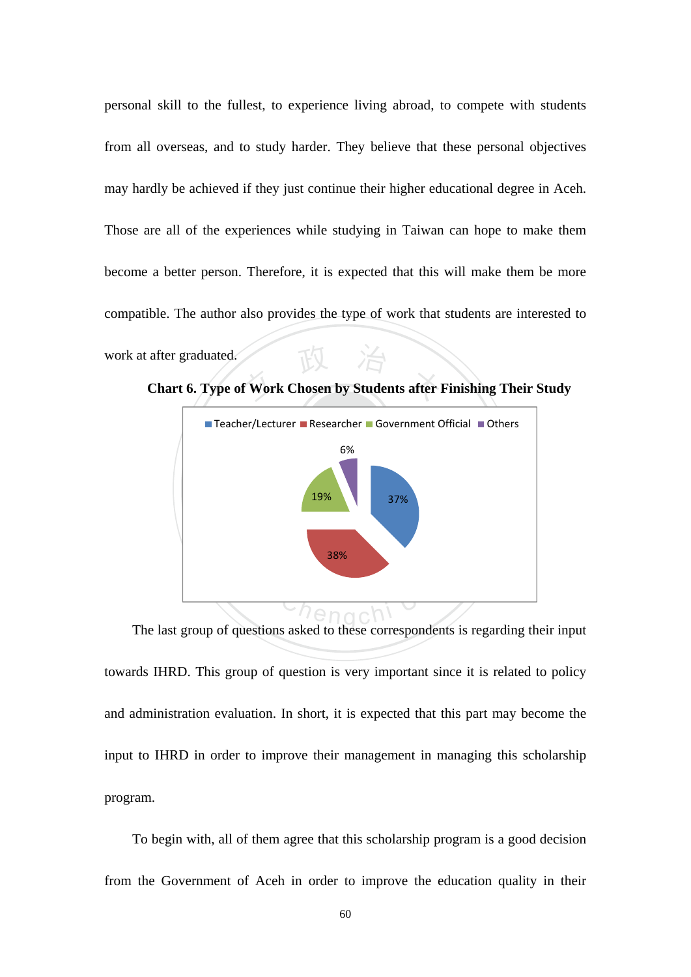after graduated.<br> **Chart 6. Type of Work Chosen by Students after Finishing Their Study** personal skill to the fullest, to experience living abroad, to compete with students from all overseas, and to study harder. They believe that these personal objectives may hardly be achieved if they just continue their higher educational degree in Aceh. Those are all of the experiences while studying in Taiwan can hope to make them become a better person. Therefore, it is expected that this will make them be more compatible. The author also provides the type of work that students are interested to work at after graduated.



The last group of questions asked to these correspondents is regarding their input towards IHRD. This group of question is very important since it is related to policy and administration evaluation. In short, it is expected that this part may become the input to IHRD in order to improve their management in managing this scholarship program.

To begin with, all of them agree that this scholarship program is a good decision from the Government of Aceh in order to improve the education quality in their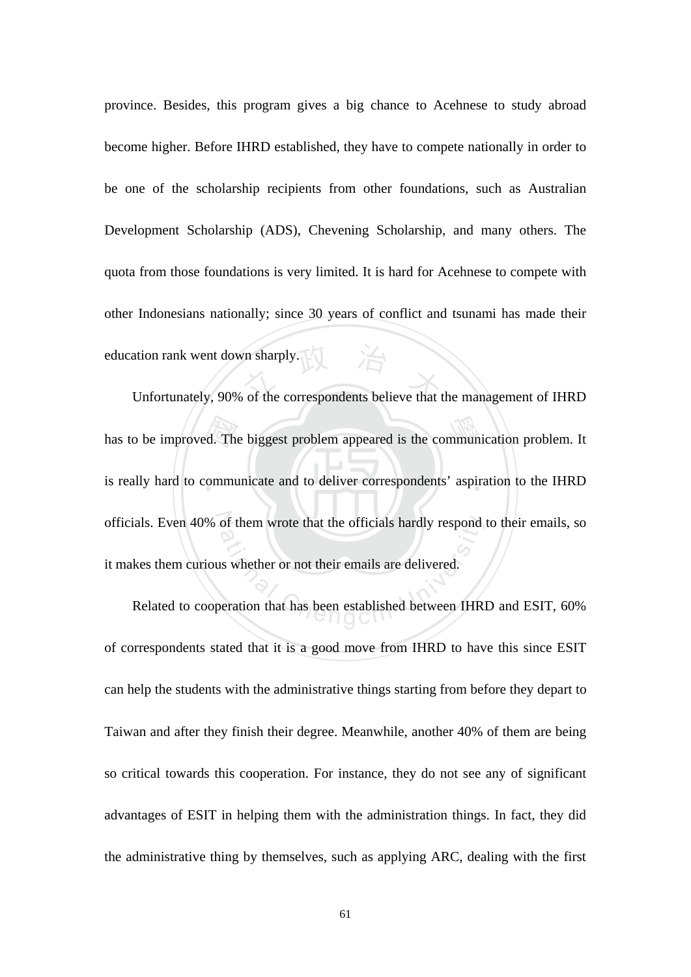ation rank went down sharply.<br>Unfortunately, 90% of the correspondents believe that the management of IHRD province. Besides, this program gives a big chance to Acehnese to study abroad become higher. Before IHRD established, they have to compete nationally in order to be one of the scholarship recipients from other foundations, such as Australian Development Scholarship (ADS), Chevening Scholarship, and many others. The quota from those foundations is very limited. It is hard for Acehnese to compete with other Indonesians nationally; since 30 years of conflict and tsunami has made their education rank went down sharply.

has to be improved. The biggest problem appeared is the communication problem. It<br>is really hard to communicate and to deliver correspondents' aspiration to the IHRD is really hard to communicate and to deliver correspondents' aspiration to the IHRD officials. Even 40% of them wrote that the officials hardly respond to their emails, so of them wrote that the officials hardly respond<br>as whether or not their emails are delivered.<br>beration that has been established between IHR it makes them curious whether or not their emails are delivered.

Related to cooperation that has been established between IHRD and ESIT, 60% of correspondents stated that it is a good move from IHRD to have this since ESIT can help the students with the administrative things starting from before they depart to Taiwan and after they finish their degree. Meanwhile, another 40% of them are being so critical towards this cooperation. For instance, they do not see any of significant advantages of ESIT in helping them with the administration things. In fact, they did the administrative thing by themselves, such as applying ARC, dealing with the first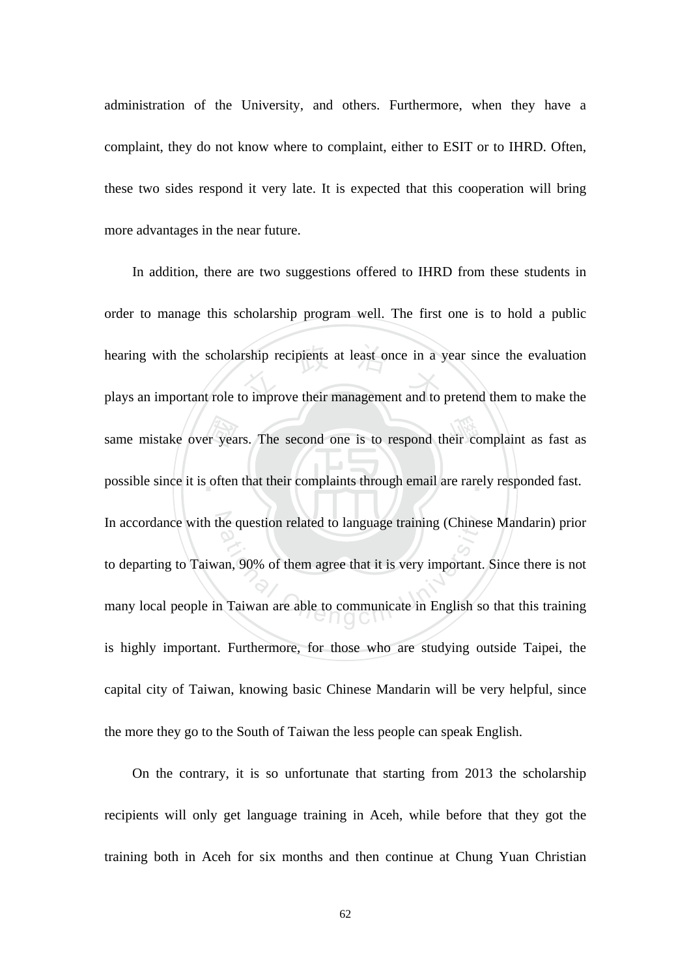administration of the University, and others. Furthermore, when they have a complaint, they do not know where to complaint, either to ESIT or to IHRD. Often, these two sides respond it very late. It is expected that this cooperation will bring more advantages in the near future.

same mistake over years. The second one is to respond their complaint as fast as possible since it is often that their complaints through email are rarely responded fast. hearing with the scholarship recipients at least once in a year since the evaluation<br>plays an important role to improve their management and to pretend them to make the possible since it is often that their complaints through email are rarely responded fast. In accordance with the question related to language training (Chinese Mandarin) prior the question related to language training (Chines<br>an, 90% of them agree that it is very important.<br>Taiwan are able to communicate in English so In addition, there are two suggestions offered to IHRD from these students in order to manage this scholarship program well. The first one is to hold a public plays an important role to improve their management and to pretend them to make the to departing to Taiwan, 90% of them agree that it is very important. Since there is not many local people in Taiwan are able to communicate in English so that this training is highly important. Furthermore, for those who are studying outside Taipei, the capital city of Taiwan, knowing basic Chinese Mandarin will be very helpful, since the more they go to the South of Taiwan the less people can speak English.

On the contrary, it is so unfortunate that starting from 2013 the scholarship recipients will only get language training in Aceh, while before that they got the training both in Aceh for six months and then continue at Chung Yuan Christian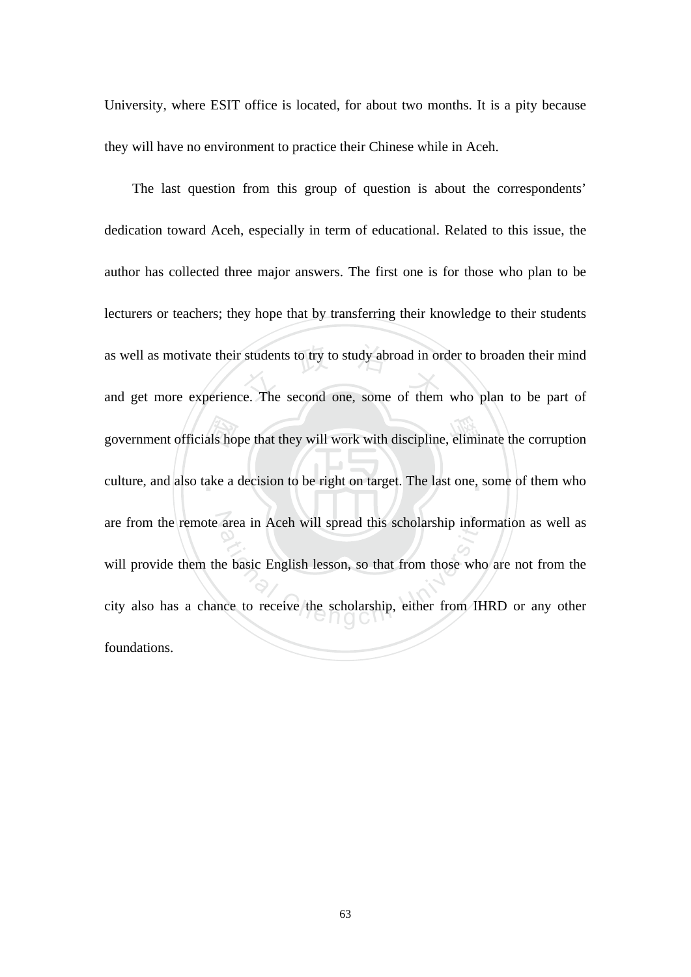University, where ESIT office is located, for about two months. It is a pity because they will have no environment to practice their Chinese while in Aceh.

culture, and also take a decision to be right on target. The last one, some of them who government officials hope that they will work with discipline, eliminate the corruption<br>culture, and also take a decision to be right on target. The last one, some of them who as well as motivate their students to try to study abroad in order to broaden their mind<br>and get more experience. The second one, some of them who plan to be part of are from the remote area in Aceh will spread this scholarship information as well as area in Aceh will spread this scholarship infor<br>a basic English lesson, so that from those who<br>ace to receive the scholarship, either from IH The last question from this group of question is about the correspondents' dedication toward Aceh, especially in term of educational. Related to this issue, the author has collected three major answers. The first one is for those who plan to be lecturers or teachers; they hope that by transferring their knowledge to their students and get more experience. The second one, some of them who plan to be part of will provide them the basic English lesson, so that from those who are not from the city also has a chance to receive the scholarship, either from IHRD or any other foundations.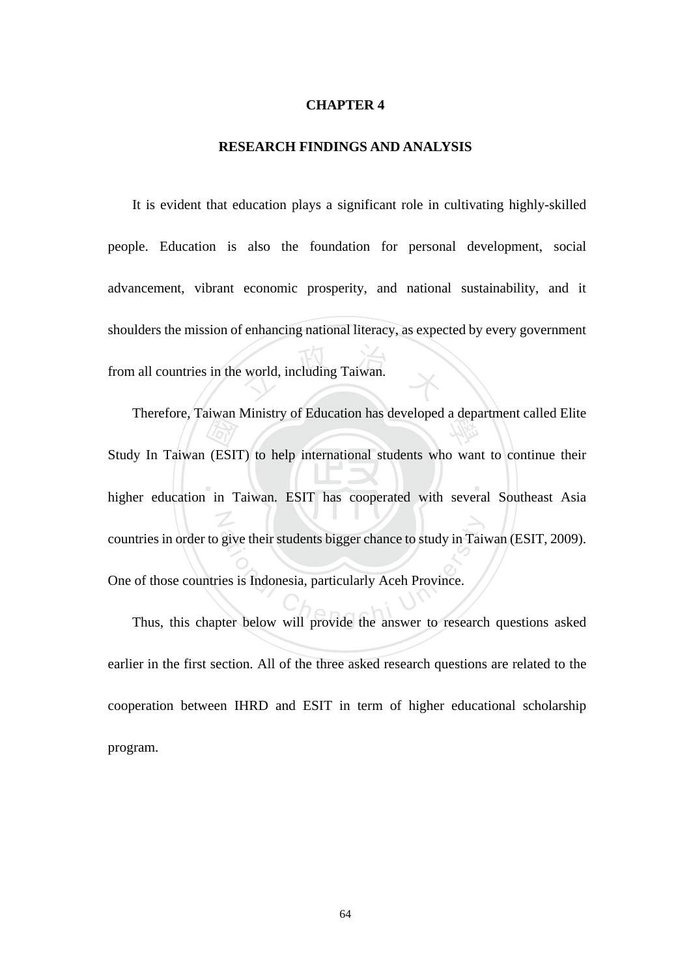#### **CHAPTER 4**

#### **RESEARCH FINDINGS AND ANALYSIS**

world, including Taiwan. It is evident that education plays a significant role in cultivating highly-skilled people. Education is also the foundation for personal development, social advancement, vibrant economic prosperity, and national sustainability, and it shoulders the mission of enhancing national literacy, as expected by every government from all countries in the world, including Taiwan.

 $\blacksquare$  $\begin{array}{c}\n\text{diam} \\
\hline\n\text{diam} \\
\text{diam} \\
\text{diam} \\
\text{diam} \\
\text{diam} \\
\text{diam} \\
\text{diam} \\
\text{diam} \\
\text{diam} \\
\text{diam} \\
\text{diam} \\
\text{diam} \\
\text{diam} \\
\text{diam} \\
\text{diam} \\
\text{diam} \\
\text{diam} \\
\text{diam} \\
\text{diam} \\
\text{diam} \\
\text{diam} \\
\text{diam} \\
\text{diam} \\
\text{diam} \\
\text{diam} \\
\text{diam} \\
\text{diam} \\
\text{diam} \\
\text{diam$ Therefore, Taiwan Ministry of Education has developed a department called Elite N htries in order to give their students bigger chance to study in Taiwan (ESIT, 2009).<br>
of those countries is Indonesia, particularly Aceh Province.<br>
Thus, this chapter below will provide the answer to research questions as Study In Taiwan (ESIT) to help international students who want to continue their higher education in Taiwan. ESIT has cooperated with several Southeast Asia countries in order to give their students bigger chance to study in Taiwan (ESIT, 2009). One of those countries is Indonesia, particularly Aceh Province.

earlier in the first section. All of the three asked research questions are related to the cooperation between IHRD and ESIT in term of higher educational scholarship program.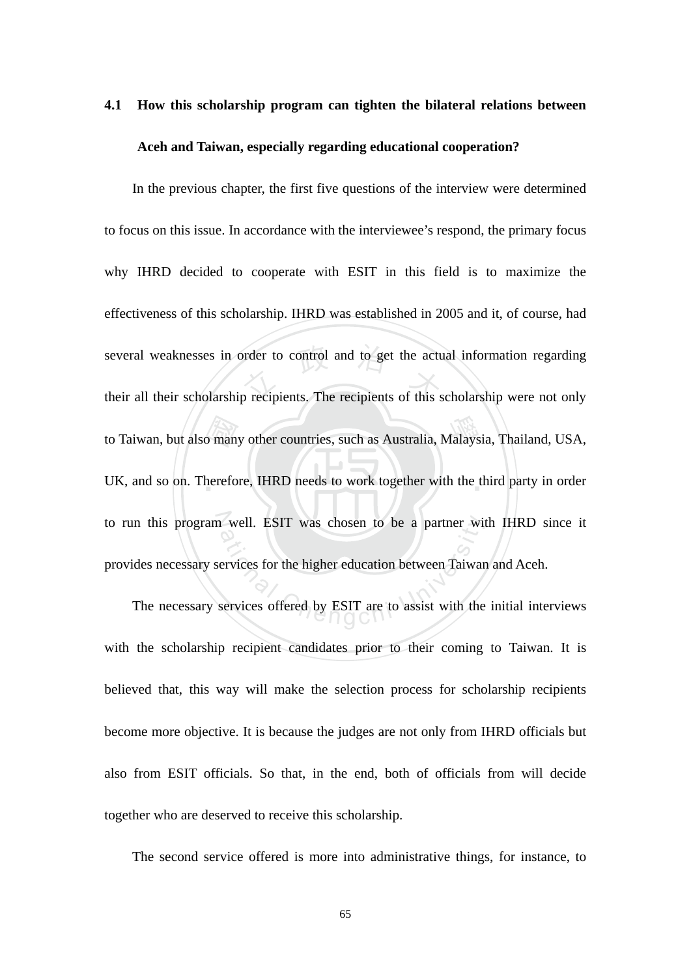# **4.1 How this scholarship program can tighten the bilateral relations between Aceh and Taiwan, especially regarding educational cooperation?**

to Taiwan, but also many other countries, such as Australia, Malaysia, Thailand, USA,<br>UK, and so on. Therefore, IHRD needs to work together with the third party in order several weaknesses in order to control and to get the actual information regarding<br>their all their scholarship recipients. The recipients of this scholarship were not only UK, and so on. Therefore, IHRD needs to work together with the third party in order to run this program well. ESIT was chosen to be a partner with IHRD since it ational Chengchi University and the average and the services for the higher education between Taiwar<br>
Services offered by ESIT are to assist with the In the previous chapter, the first five questions of the interview were determined to focus on this issue. In accordance with the interviewee's respond, the primary focus why IHRD decided to cooperate with ESIT in this field is to maximize the effectiveness of this scholarship. IHRD was established in 2005 and it, of course, had their all their scholarship recipients. The recipients of this scholarship were not only provides necessary services for the higher education between Taiwan and Aceh.

The necessary services offered by ESIT are to assist with the initial interviews with the scholarship recipient candidates prior to their coming to Taiwan. It is believed that, this way will make the selection process for scholarship recipients become more objective. It is because the judges are not only from IHRD officials but also from ESIT officials. So that, in the end, both of officials from will decide together who are deserved to receive this scholarship.

The second service offered is more into administrative things, for instance, to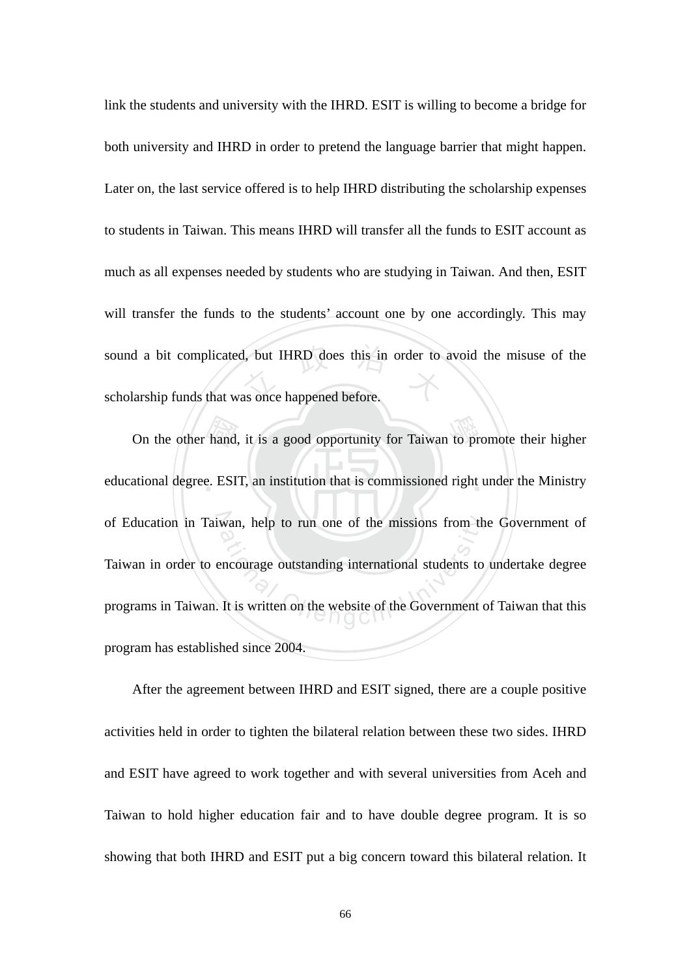sound a bit complicated, but IHRD does this in order to avoid the misuse of the<br>scholarship funds that was once happened before. link the students and university with the IHRD. ESIT is willing to become a bridge for both university and IHRD in order to pretend the language barrier that might happen. Later on, the last service offered is to help IHRD distributing the scholarship expenses to students in Taiwan. This means IHRD will transfer all the funds to ESIT account as much as all expenses needed by students who are studying in Taiwan. And then, ESIT will transfer the funds to the students' account one by one accordingly. This may scholarship funds that was once happened before.

On the other hand, it is a good opportunity for Taiwan to promote their higher<br>ational degree. ESIT, an institution that is commissioned right under the Ministry educational degree. ESIT, an institution that is commissioned right under the Ministry of Education in Taiwan, help to run one of the missions from the Government of wan, help to run one of the missions from the<br>encourage outstanding international students to<br>It is written on the website of the Government of Taiwan in order to encourage outstanding international students to undertake degree programs in Taiwan. It is written on the website of the Government of Taiwan that this program has established since 2004.

After the agreement between IHRD and ESIT signed, there are a couple positive activities held in order to tighten the bilateral relation between these two sides. IHRD and ESIT have agreed to work together and with several universities from Aceh and Taiwan to hold higher education fair and to have double degree program. It is so showing that both IHRD and ESIT put a big concern toward this bilateral relation. It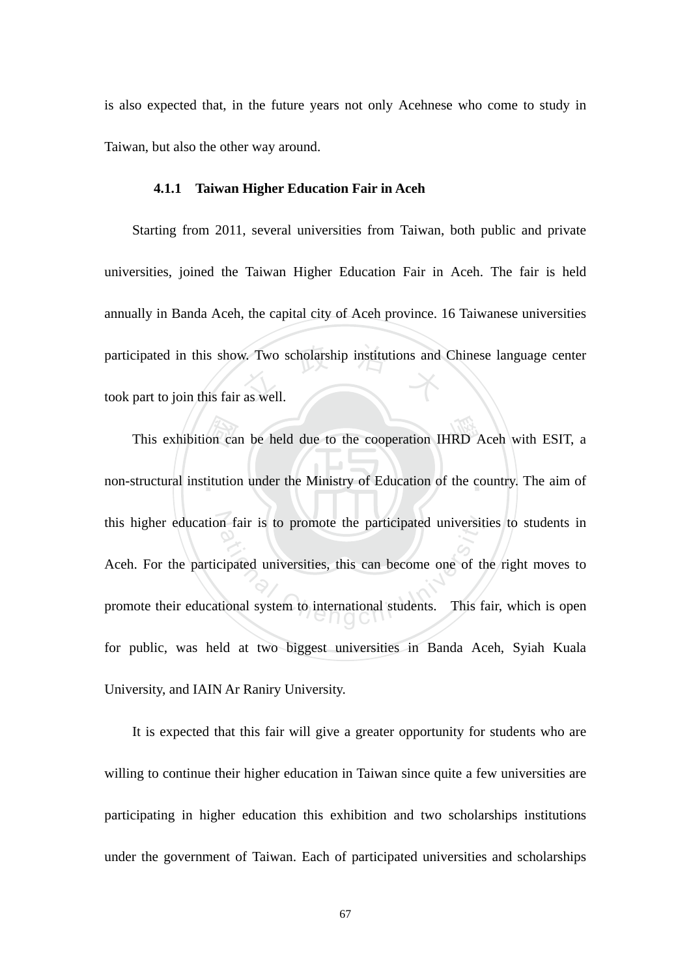is also expected that, in the future years not only Acehnese who come to study in Taiwan, but also the other way around.

#### **4.1.1 Taiwan Higher Education Fair in Aceh**

participated in this show. Two scholarship institutions and Chinese language center<br>took part to join this fair as well. Starting from 2011, several universities from Taiwan, both public and private universities, joined the Taiwan Higher Education Fair in Aceh. The fair is held annually in Banda Aceh, the capital city of Aceh province. 16 Taiwanese universities took part to join this fair as well.

This exhibition can be held due to the cooperation IHRD Aceh with ESIT, a<br>structural institution under the Ministry of Education of the country. The aim of non-structural institution under the Ministry of Education of the country. The aim of this higher education fair is to promote the participated universities to students in m fair is to promote the participated universit<br>cipated universities, this can become one of the<br>tional system to international students. This fa Aceh. For the participated universities, this can become one of the right moves to promote their educational system to international students. This fair, which is open for public, was held at two biggest universities in Banda Aceh, Syiah Kuala University, and IAIN Ar Raniry University.

It is expected that this fair will give a greater opportunity for students who are willing to continue their higher education in Taiwan since quite a few universities are participating in higher education this exhibition and two scholarships institutions under the government of Taiwan. Each of participated universities and scholarships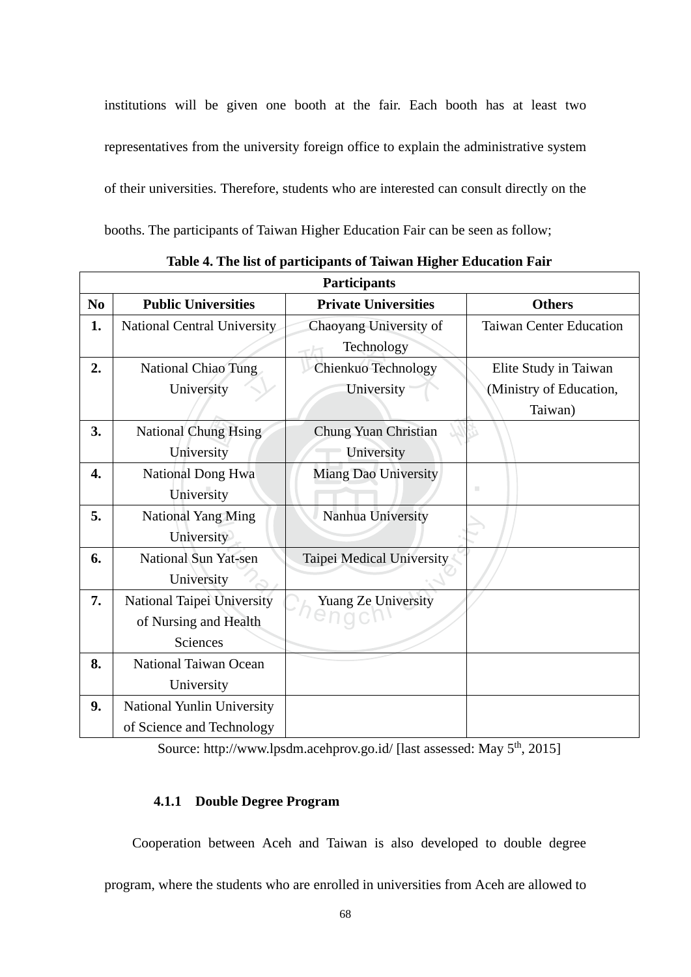institutions will be given one booth at the fair. Each booth has at least two representatives from the university foreign office to explain the administrative system of their universities. Therefore, students who are interested can consult directly on the booths. The participants of Taiwan Higher Education Fair can be seen as follow;

| <b>Participants</b> |                              |                             |                                |  |  |
|---------------------|------------------------------|-----------------------------|--------------------------------|--|--|
| No                  | <b>Public Universities</b>   | <b>Private Universities</b> | <b>Others</b>                  |  |  |
| 1.                  | National Central University  | Chaoyang University of      | <b>Taiwan Center Education</b> |  |  |
|                     |                              | Technology                  |                                |  |  |
| 2.                  | <b>National Chiao Tung</b>   | Chienkuo Technology         | Elite Study in Taiwan          |  |  |
|                     | University                   | University                  | (Ministry of Education,        |  |  |
|                     |                              |                             | Taiwan)                        |  |  |
| 3.                  | <b>National Chung Hsing</b>  | Chung Yuan Christian        |                                |  |  |
|                     | University                   | University                  |                                |  |  |
| 4.                  | National Dong Hwa            | Miang Dao University        |                                |  |  |
|                     | University                   |                             | ш                              |  |  |
| 5.                  | <b>National Yang Ming</b>    | Nanhua University           |                                |  |  |
|                     | University                   |                             |                                |  |  |
| 6.                  | <b>National Sun Yat-sen</b>  | Taipei Medical University   |                                |  |  |
|                     | University                   |                             |                                |  |  |
| 7.                  | National Taipei University   | Yuang Ze University         |                                |  |  |
|                     | of Nursing and Health        |                             |                                |  |  |
|                     | Sciences                     |                             |                                |  |  |
| 8.                  | <b>National Taiwan Ocean</b> |                             |                                |  |  |
|                     | University                   |                             |                                |  |  |
| 9.                  | National Yunlin University   |                             |                                |  |  |
|                     | of Science and Technology    |                             |                                |  |  |

**Table 4. The list of participants of Taiwan Higher Education Fair** 

Source: http://www.lpsdm.acehprov.go.id/ [last assessed: May 5<sup>th</sup>, 2015]

#### **4.1.1 Double Degree Program**

Cooperation between Aceh and Taiwan is also developed to double degree program, where the students who are enrolled in universities from Aceh are allowed to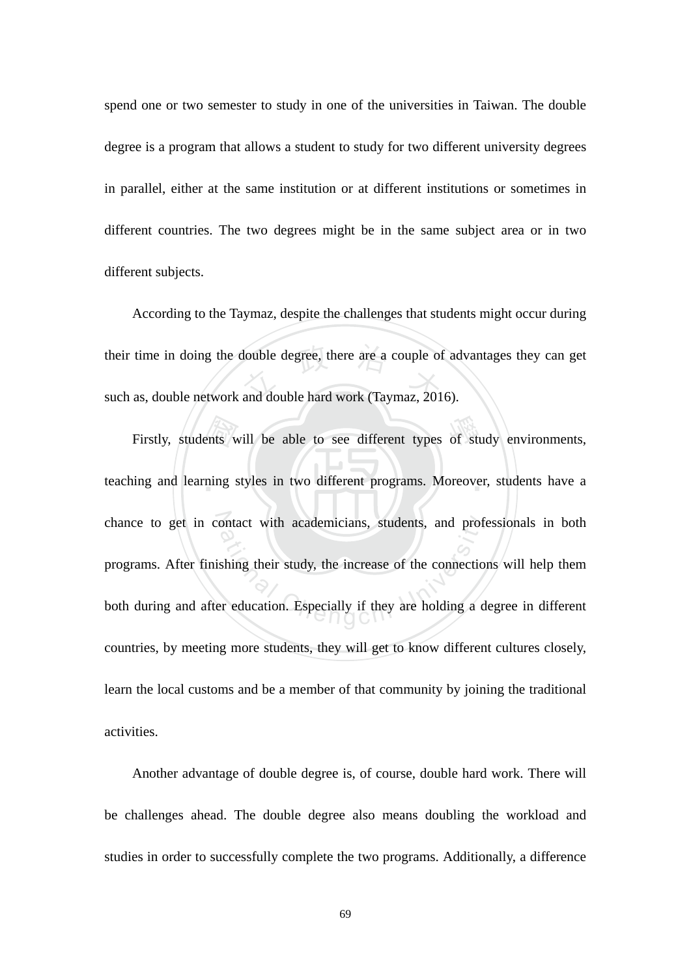spend one or two semester to study in one of the universities in Taiwan. The double degree is a program that allows a student to study for two different university degrees in parallel, either at the same institution or at different institutions or sometimes in different countries. The two degrees might be in the same subject area or in two different subjects.

their time in doing the double degree, there are a couple of advantages they can get<br>such as, double network and double hard work (Taymaz, 2016). According to the Taymaz, despite the challenges that students might occur during such as, double network and double hard work (Taymaz, 2016).

Firstly, students will be able to see different types of study environments,<br>ing and learning styles in two different programs. Moreover, students have a teaching and learning styles in two different programs. Moreover, students have a chance to get in contact with academicians, students, and professionals in both ontact with academicians, students, and proferential<br>shing their study, the increase of the connection<br>or education. Especially if they are holding a d programs. After finishing their study, the increase of the connections will help them both during and after education. Especially if they are holding a degree in different countries, by meeting more students, they will get to know different cultures closely, learn the local customs and be a member of that community by joining the traditional activities.

Another advantage of double degree is, of course, double hard work. There will be challenges ahead. The double degree also means doubling the workload and studies in order to successfully complete the two programs. Additionally, a difference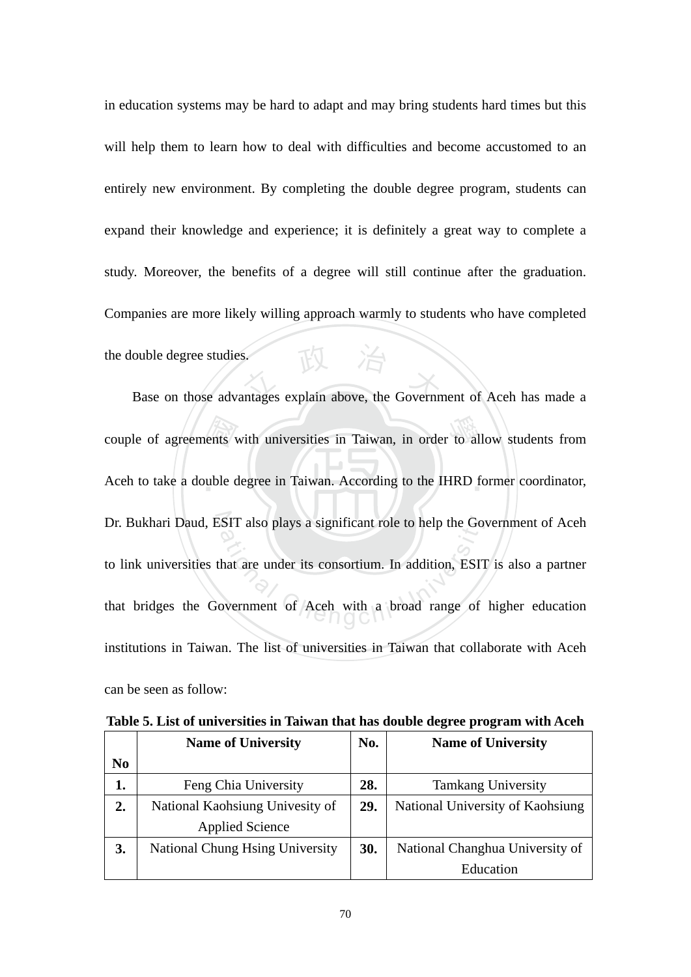base on those advantages explain above, the Government of Aceh has made a in education systems may be hard to adapt and may bring students hard times but this will help them to learn how to deal with difficulties and become accustomed to an entirely new environment. By completing the double degree program, students can expand their knowledge and experience; it is definitely a great way to complete a study. Moreover, the benefits of a degree will still continue after the graduation. Companies are more likely willing approach warmly to students who have completed the double degree studies.

couple of agreements with universities in Taiwan, in order to allow students from<br>Aceh to take a double degree in Taiwan. According to the IHRD former coordinator, Aceh to take a double degree in Taiwan. According to the IHRD former coordinator, Dr. Bukhari Daud, ESIT also plays a significant role to help the Government of Aceh SIT also plays a significant role to help the Go<br>
Anat are under its consortium. In addition, ESIT<br>
Dovernment of Aceh with a broad range of to link universities that are under its consortium. In addition, ESIT is also a partner that bridges the Government of Aceh with a broad range of higher education institutions in Taiwan. The list of universities in Taiwan that collaborate with Aceh can be seen as follow:

|                | No.<br><b>Name of University</b>      |     | <b>Name of University</b>        |  |
|----------------|---------------------------------------|-----|----------------------------------|--|
| N <sub>0</sub> |                                       |     |                                  |  |
| 1.             | Feng Chia University                  | 28. | <b>Tamkang University</b>        |  |
| 2.             | National Kaohsiung Univesity of       | 29. | National University of Kaohsiung |  |
|                | <b>Applied Science</b>                |     |                                  |  |
| 3.             | <b>National Chung Hing University</b> | 30. | National Changhua University of  |  |
|                |                                       |     | Education                        |  |

**Table 5. List of universities in Taiwan that has double degree program with Aceh**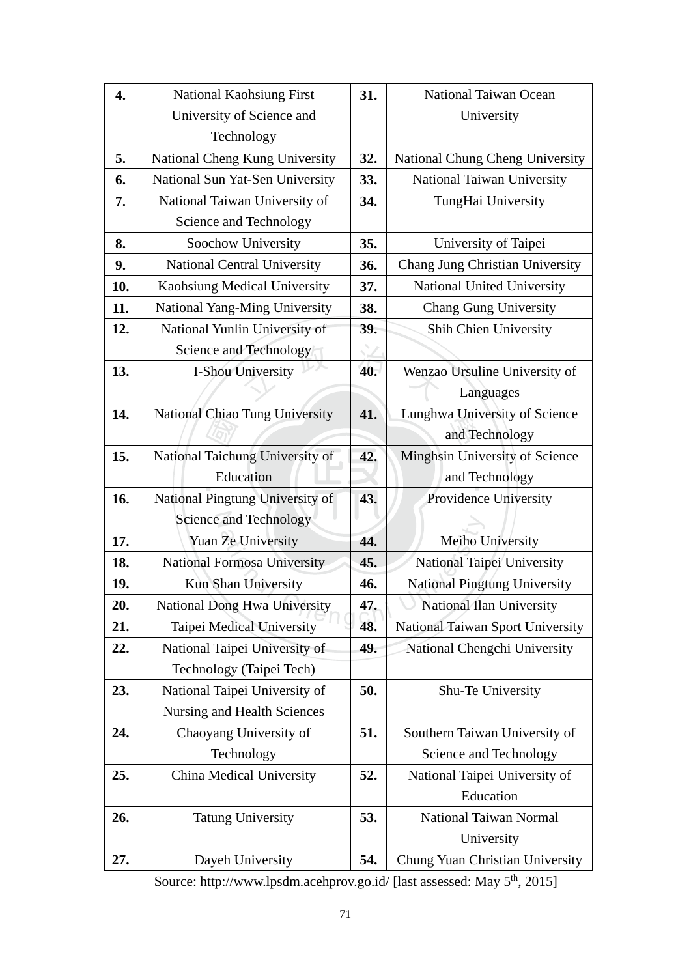| 4.  | <b>National Kaohsiung First</b>    | 31. | National Taiwan Ocean            |
|-----|------------------------------------|-----|----------------------------------|
|     | University of Science and          |     | University                       |
|     | Technology                         |     |                                  |
| 5.  | National Cheng Kung University     | 32. | National Chung Cheng University  |
| 6.  | National Sun Yat-Sen University    | 33. | National Taiwan University       |
| 7.  | National Taiwan University of      | 34. | TungHai University               |
|     | Science and Technology             |     |                                  |
| 8.  | Soochow University                 | 35. | University of Taipei             |
| 9.  | <b>National Central University</b> | 36. | Chang Jung Christian University  |
| 10. | Kaohsiung Medical University       | 37. | National United University       |
| 11. | National Yang-Ming University      | 38. | <b>Chang Gung University</b>     |
| 12. | National Yunlin University of      | 39. | Shih Chien University            |
|     | Science and Technology             |     |                                  |
| 13. | I-Shou University                  | 40. | Wenzao Ursuline University of    |
|     |                                    |     | Languages                        |
| 14. | National Chiao Tung University     | 41. | Lunghwa University of Science    |
|     |                                    |     | and Technology                   |
| 15. | National Taichung University of    | 42. | Minghsin University of Science   |
|     | Education                          |     | and Technology                   |
| 16. | National Pingtung University of    | 43. | Providence University            |
|     | Science and Technology             |     |                                  |
| 17. | Yuan Ze University                 | 44. | Meiho University                 |
| 18. | <b>National Formosa University</b> | 45. | National Taipei University       |
| 19. | Kun Shan University                | 46. | National Pingtung University     |
| 20. | National Dong Hwa University       | 47. | National Ilan University         |
| 21. | Taipei Medical University          | 48. | National Taiwan Sport University |
| 22. | National Taipei University of      | 49. | National Chengchi University     |
|     | Technology (Taipei Tech)           |     |                                  |
| 23. | National Taipei University of      | 50. | Shu-Te University                |
|     | Nursing and Health Sciences        |     |                                  |
| 24. | Chaoyang University of             | 51. | Southern Taiwan University of    |
|     | Technology                         |     | Science and Technology           |
| 25. | China Medical University           | 52. | National Taipei University of    |
|     |                                    |     | Education                        |
| 26. | <b>Tatung University</b>           | 53. | National Taiwan Normal           |
|     |                                    |     | University                       |
| 27. | Dayeh University                   | 54. | Chung Yuan Christian University  |

Source: http://www.lpsdm.acehprov.go.id/ [last assessed: May 5<sup>th</sup>, 2015]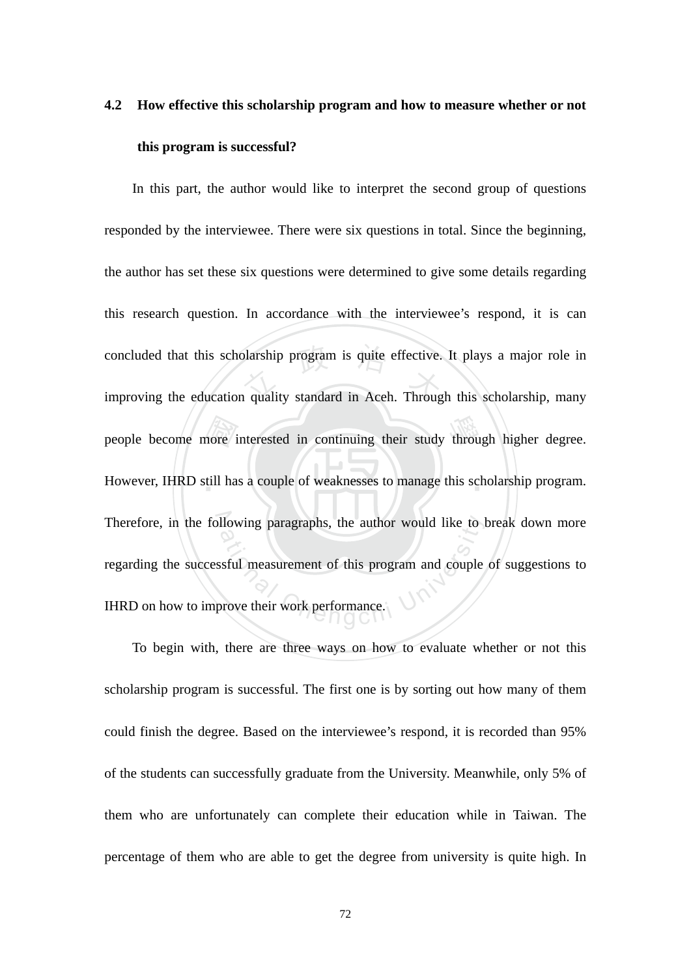# **4.2 How effective this scholarship program and how to measure whether or not this program is successful?**

people become more interested in continuing their study through higher degree.<br>However, IHRD still has a couple of weaknesses to manage this scholarship program. concluded that this scholarship program is quite effective. It plays a major role in<br>improving the education quality standard in Aceh. Through this scholarship, many However, IHRD still has a couple of weaknesses to manage this scholarship program. Therefore, in the following paragraphs, the author would like to break down more Ilowing paragraphs, the author would like to l<br>ssful measurement of this program and couple<br>prove their work performance. In this part, the author would like to interpret the second group of questions responded by the interviewee. There were six questions in total. Since the beginning, the author has set these six questions were determined to give some details regarding this research question. In accordance with the interviewee's respond, it is can improving the education quality standard in Aceh. Through this scholarship, many regarding the successful measurement of this program and couple of suggestions to IHRD on how to improve their work performance.

To begin with, there are three ways on how to evaluate whether or not this scholarship program is successful. The first one is by sorting out how many of them could finish the degree. Based on the interviewee's respond, it is recorded than 95% of the students can successfully graduate from the University. Meanwhile, only 5% of them who are unfortunately can complete their education while in Taiwan. The percentage of them who are able to get the degree from university is quite high. In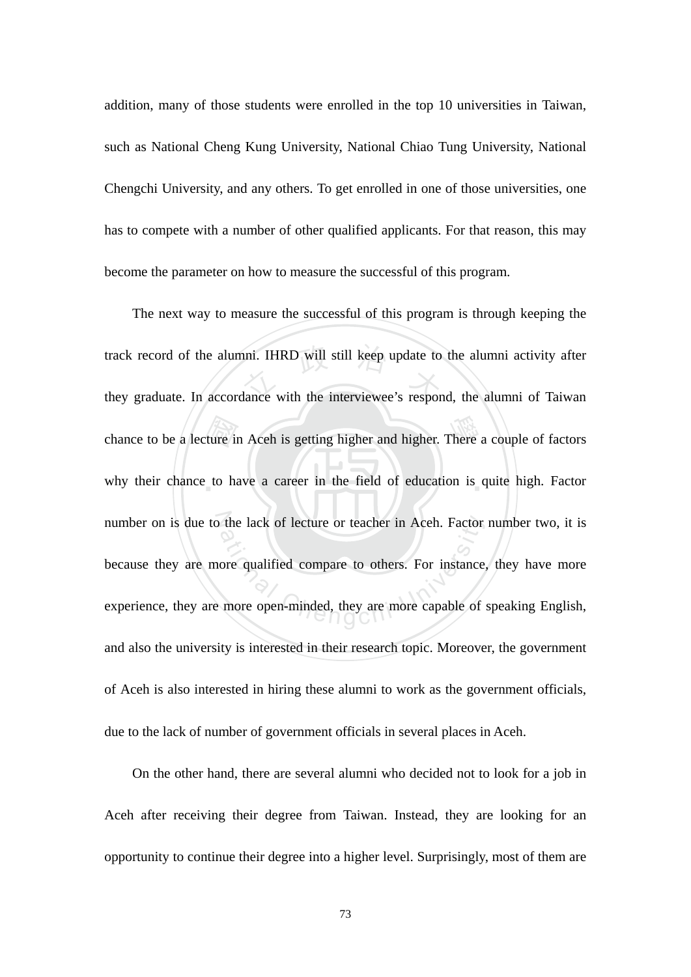addition, many of those students were enrolled in the top 10 universities in Taiwan, such as National Cheng Kung University, National Chiao Tung University, National Chengchi University, and any others. To get enrolled in one of those universities, one has to compete with a number of other qualified applicants. For that reason, this may become the parameter on how to measure the successful of this program.

chance to be a lecture in Aceh is getting higher and higher. There a couple of factors<br>why their chance to have a career in the field of education is quite high. Factor track record of the alumni. IHRD will still keep update to the alumni activity after<br>they graduate. In accordance with the interviewee's respond, the alumni of Taiwan why their chance to have a career in the field of education is quite high. Factor number on is due to the lack of lecture or teacher in Aceh. Factor number two, it is the lack of lecture or teacher in Aceh. Factor<br>ore qualified compare to others. For instance<br>more open-minded, they are more capable of The next way to measure the successful of this program is through keeping the they graduate. In accordance with the interviewee's respond, the alumni of Taiwan because they are more qualified compare to others. For instance, they have more experience, they are more open-minded, they are more capable of speaking English, and also the university is interested in their research topic. Moreover, the government of Aceh is also interested in hiring these alumni to work as the government officials, due to the lack of number of government officials in several places in Aceh.

On the other hand, there are several alumni who decided not to look for a job in Aceh after receiving their degree from Taiwan. Instead, they are looking for an opportunity to continue their degree into a higher level. Surprisingly, most of them are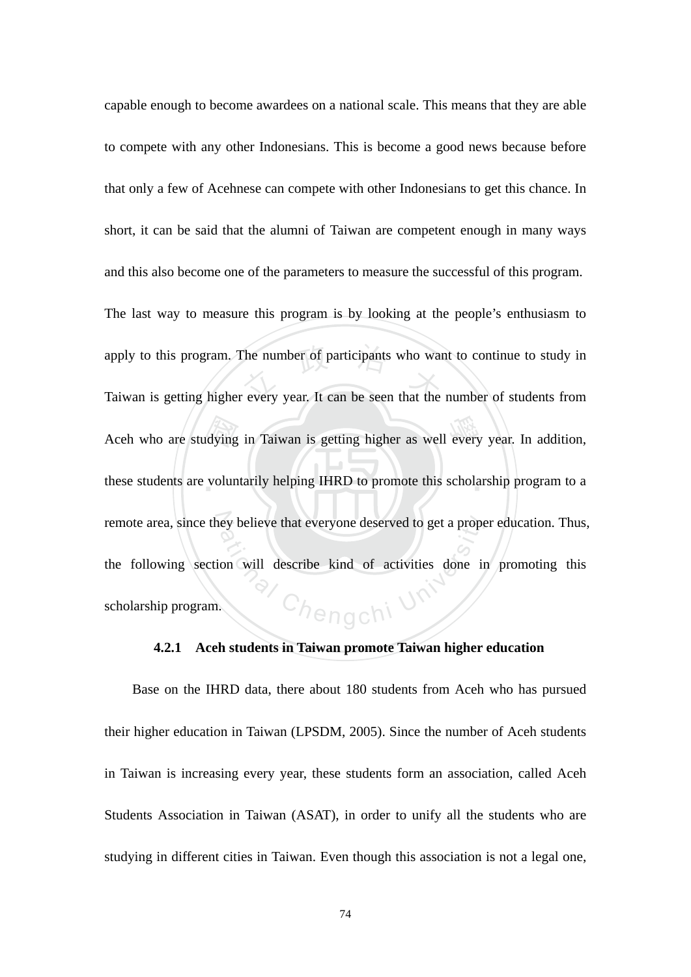Aceh who are studying in Taiwan is getting higher as well every year. In addition, these students are voluntarily helping IHRD to promote this scholarship program to a apply to this program. The number of participants who want to continue to study in<br>Taiwan is getting higher every year. It can be seen that the number of students from these students are voluntarily helping IHRD to promote this scholarship program to a remote area, since they believe that everyone deserved to get a proper education. Thus, Ch<sub>engc</sub>hi U<sup>r</sup> capable enough to become awardees on a national scale. This means that they are able to compete with any other Indonesians. This is become a good news because before that only a few of Acehnese can compete with other Indonesians to get this chance. In short, it can be said that the alumni of Taiwan are competent enough in many ways and this also become one of the parameters to measure the successful of this program. The last way to measure this program is by looking at the people's enthusiasm to apply to this program. The number of participants who want to continue to study in the following section will describe kind of activities done in promoting this scholarship program.

#### **4.2.1 Aceh students in Taiwan promote Taiwan higher education**

Base on the IHRD data, there about 180 students from Aceh who has pursued their higher education in Taiwan (LPSDM, 2005). Since the number of Aceh students in Taiwan is increasing every year, these students form an association, called Aceh Students Association in Taiwan (ASAT), in order to unify all the students who are studying in different cities in Taiwan. Even though this association is not a legal one,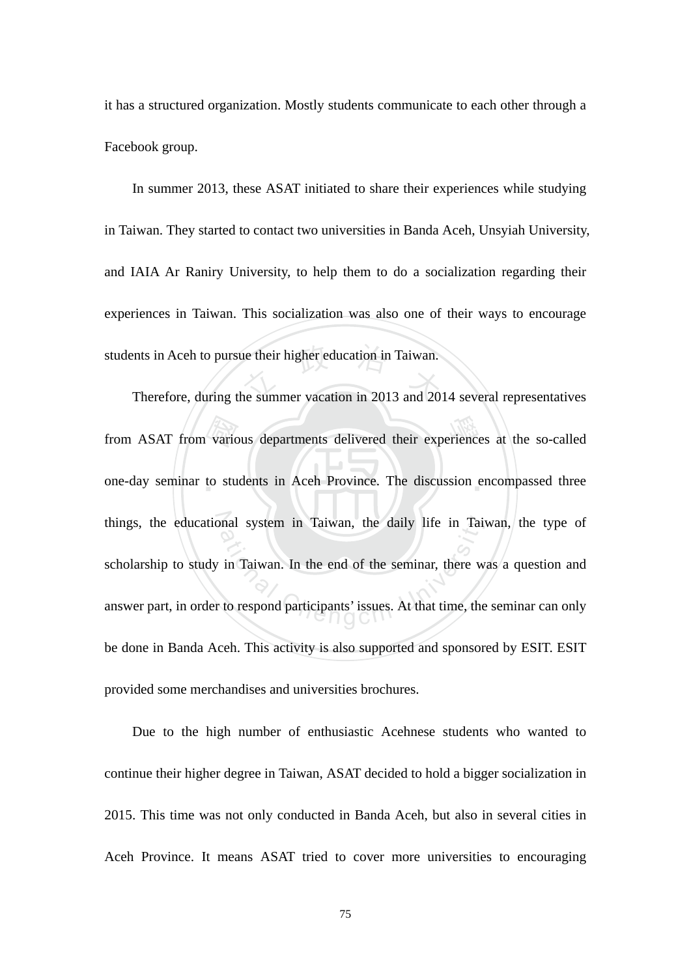it has a structured organization. Mostly students communicate to each other through a Facebook group.

students in Aceh to pursue their higher education in Taiwan.<br>Therefore, during the summer vacation in 2013 and 20 In summer 2013, these ASAT initiated to share their experiences while studying in Taiwan. They started to contact two universities in Banda Aceh, Unsyiah University, and IAIA Ar Raniry University, to help them to do a socialization regarding their experiences in Taiwan. This socialization was also one of their ways to encourage

from ASAT from various departments delivered their experiences at the so-called<br>one-day seminar to students in Aceh Province. The discussion encompassed three one-day seminar to students in Aceh Province. The discussion encompassed three things, the educational system in Taiwan, the daily life in Taiwan, the type of mal system in Taiwan, the daily life in Taiwan.<br>in Taiwan. In the end of the seminar, there we to respond participants' issues. At that time, the Therefore, during the summer vacation in 2013 and 2014 several representatives scholarship to study in Taiwan. In the end of the seminar, there was a question and answer part, in order to respond participants' issues. At that time, the seminar can only be done in Banda Aceh. This activity is also supported and sponsored by ESIT. ESIT provided some merchandises and universities brochures.

Due to the high number of enthusiastic Acehnese students who wanted to continue their higher degree in Taiwan, ASAT decided to hold a bigger socialization in 2015. This time was not only conducted in Banda Aceh, but also in several cities in Aceh Province. It means ASAT tried to cover more universities to encouraging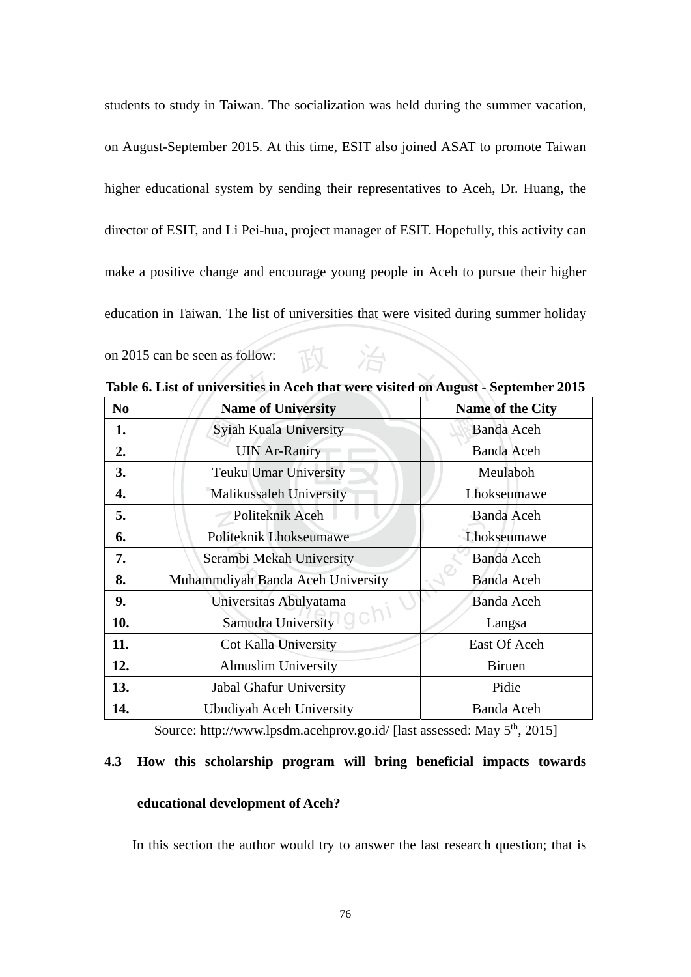students to study in Taiwan. The socialization was held during the summer vacation, on August-September 2015. At this time, ESIT also joined ASAT to promote Taiwan higher educational system by sending their representatives to Aceh, Dr. Huang, the director of ESIT, and Li Pei-hua, project manager of ESIT. Hopefully, this activity can make a positive change and encourage young people in Aceh to pursue their higher education in Taiwan. The list of universities that were visited during summer holiday on 2015 can be seen as follow:

| N <sub>0</sub> | <b>Name of University</b>         | Name of the City  |  |
|----------------|-----------------------------------|-------------------|--|
| 1.             | Syiah Kuala University            | <b>Banda Aceh</b> |  |
| 2.             | <b>UIN Ar-Raniry</b>              | <b>Banda Aceh</b> |  |
| 3.             | <b>Teuku Umar University</b>      | Meulaboh          |  |
| 4.             | Malikussaleh University           | Lhokseumawe       |  |
| 5.             | Politeknik Aceh                   | <b>Banda Aceh</b> |  |
| 6.             | Politeknik Lhokseumawe            | Lhokseumawe       |  |
| 7.             | Serambi Mekah University          | <b>Banda Aceh</b> |  |
| 8.             | Muhammdiyah Banda Aceh University | <b>Banda Aceh</b> |  |
| 9.             | Universitas Abulyatama            | <b>Banda Aceh</b> |  |
| 10.            | Samudra University                | Langsa            |  |
| 11.            | Cot Kalla University              | East Of Aceh      |  |
| 12.            | <b>Almuslim University</b>        | <b>Biruen</b>     |  |
| 13.            | Jabal Ghafur University           | Pidie             |  |
| 14.            | Ubudiyah Aceh University          | <b>Banda Aceh</b> |  |

on 2015 can be seen as follow:<br>Table 6. List of universities in Aceh that were visited on August - September 2015

Source: http://www.lpsdm.acehprov.go.id/ [last assessed: May 5<sup>th</sup>, 2015]

#### **4.3 How this scholarship program will bring beneficial impacts towards**

#### **educational development of Aceh?**

In this section the author would try to answer the last research question; that is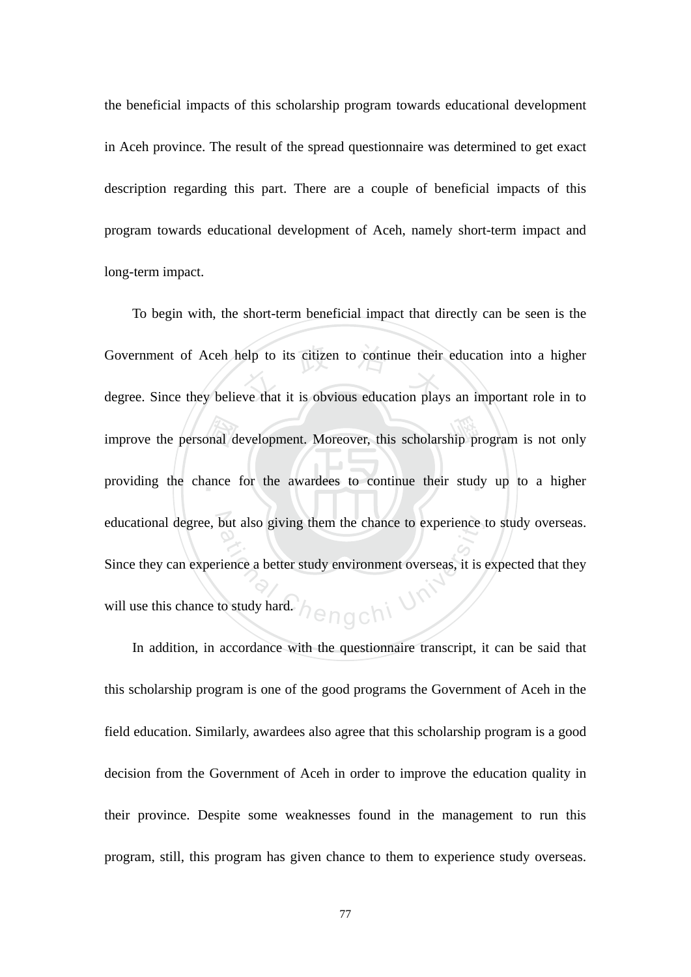the beneficial impacts of this scholarship program towards educational development in Aceh province. The result of the spread questionnaire was determined to get exact description regarding this part. There are a couple of beneficial impacts of this program towards educational development of Aceh, namely short-term impact and long-term impact.

improve the personal development. Moreover, this scholarship program is not only<br>providing the chance for the awardees to continue their study up to a higher Government of Aceh help to its citizen to continue their education into a higher<br>degree. Since they believe that it is obvious education plays an important role in to providing the chance for the awardees to continue their study up to a higher educational degree, but also giving them the chance to experience to study overseas. a<sub>engchi</sub> U<sup>r</sup> To begin with, the short-term beneficial impact that directly can be seen is the degree. Since they believe that it is obvious education plays an important role in to Since they can experience a better study environment overseas, it is expected that they will use this chance to study hard.

In addition, in accordance with the questionnaire transcript, it can be said that this scholarship program is one of the good programs the Government of Aceh in the field education. Similarly, awardees also agree that this scholarship program is a good decision from the Government of Aceh in order to improve the education quality in their province. Despite some weaknesses found in the management to run this program, still, this program has given chance to them to experience study overseas.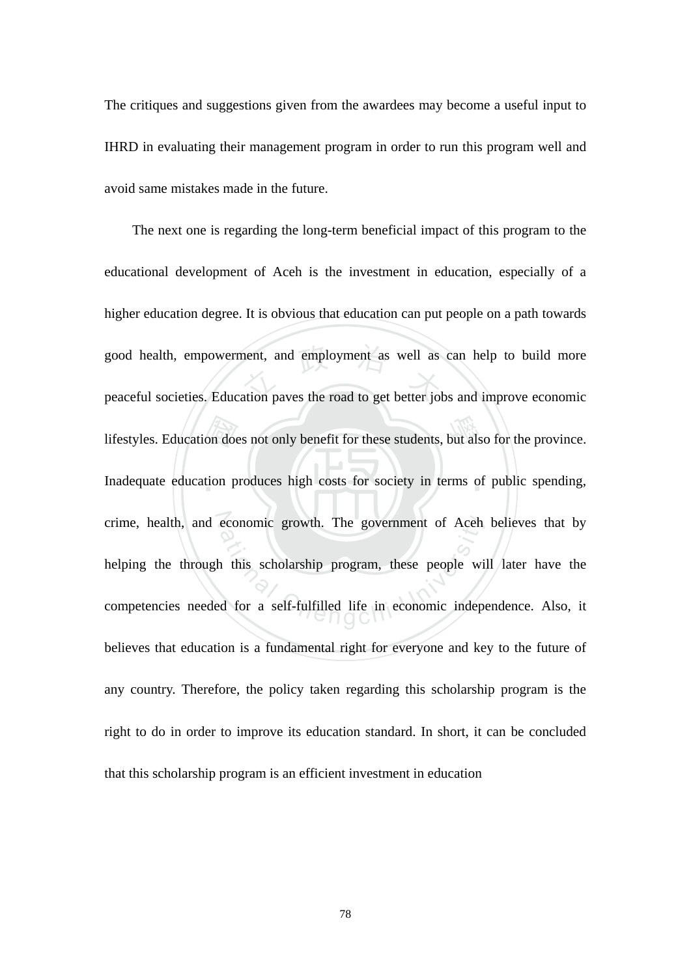The critiques and suggestions given from the awardees may become a useful input to IHRD in evaluating their management program in order to run this program well and avoid same mistakes made in the future.

lifestyles. Education does not only benefit for these students, but also for the province.<br>Inadequate education produces high costs for society in terms of public spending, good health, empowerment, and employment as well as can help to build more<br>peaceful societies. Education paves the road to get better jobs and improve economic Inadequate education produces high costs for society in terms of public spending, crime, health, and economic growth. The government of Aceh believes that by economic growth. The government of Aceh<br>a this scholarship program, these people with<br>d for a self-fulfilled life in economic independent The next one is regarding the long-term beneficial impact of this program to the educational development of Aceh is the investment in education, especially of a higher education degree. It is obvious that education can put people on a path towards peaceful societies. Education paves the road to get better jobs and improve economic helping the through this scholarship program, these people will later have the competencies needed for a self-fulfilled life in economic independence. Also, it believes that education is a fundamental right for everyone and key to the future of any country. Therefore, the policy taken regarding this scholarship program is the right to do in order to improve its education standard. In short, it can be concluded that this scholarship program is an efficient investment in education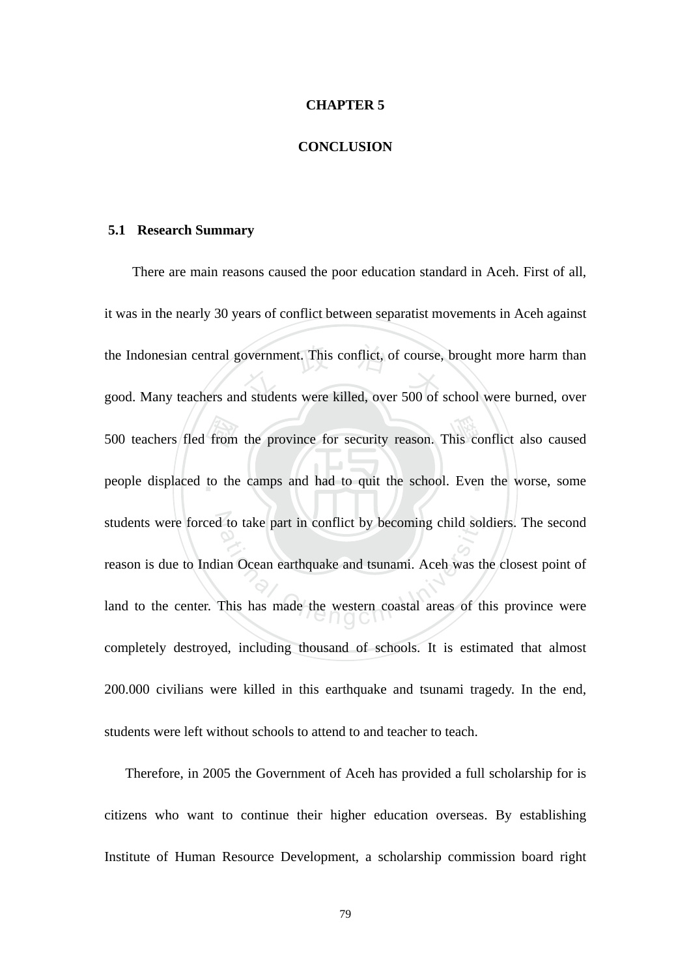#### **CHAPTER 5**

#### **CONCLUSION**

#### **5.1 Research Summary**

500 teachers fled from the province for security reason. This conflict also caused<br>people displaced to the camps and had to quit the school. Even the worse, some the Indonesian central government. This conflict, of course, brought more harm than<br>good. Many teachers and students were killed, over 500 of school were burned, over people displaced to the camps and had to quit the school. Even the worse, some students were forced to take part in conflict by becoming child soldiers. The second 1 to take part in conflict by becoming child sol<br>an Ocean earthquake and tsunami. Aceh was the<br>This has made the western coastal areas of the There are main reasons caused the poor education standard in Aceh. First of all, it was in the nearly 30 years of conflict between separatist movements in Aceh against good. Many teachers and students were killed, over 500 of school were burned, over reason is due to Indian Ocean earthquake and tsunami. Aceh was the closest point of land to the center. This has made the western coastal areas of this province were completely destroyed, including thousand of schools. It is estimated that almost 200.000 civilians were killed in this earthquake and tsunami tragedy. In the end, students were left without schools to attend to and teacher to teach.

Therefore, in 2005 the Government of Aceh has provided a full scholarship for is citizens who want to continue their higher education overseas. By establishing Institute of Human Resource Development, a scholarship commission board right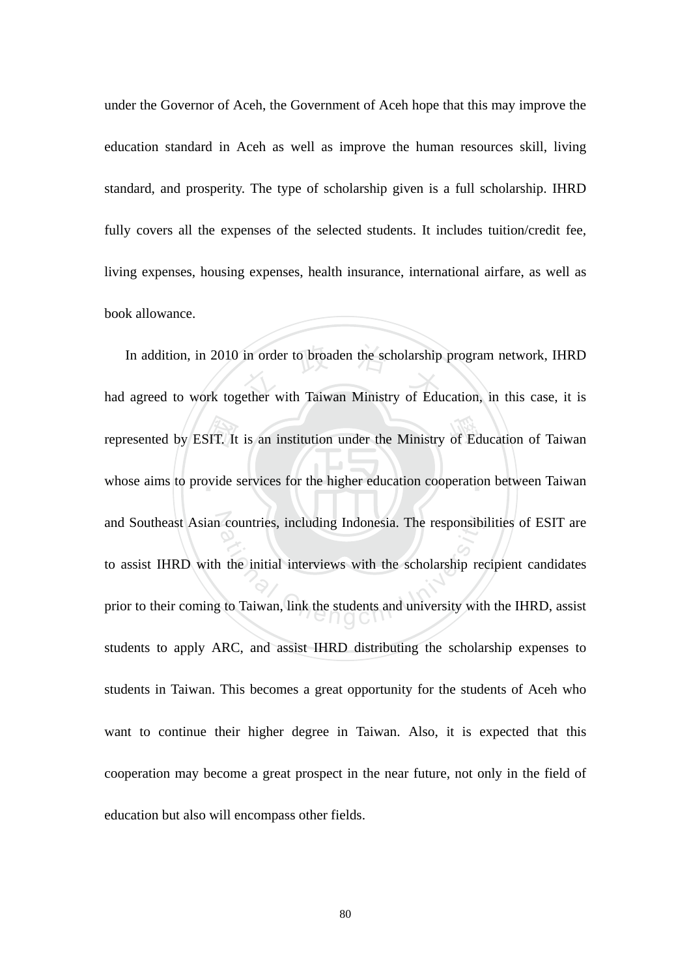under the Governor of Aceh, the Government of Aceh hope that this may improve the education standard in Aceh as well as improve the human resources skill, living standard, and prosperity. The type of scholarship given is a full scholarship. IHRD fully covers all the expenses of the selected students. It includes tuition/credit fee, living expenses, housing expenses, health insurance, international airfare, as well as book allowance.

represented by ESIT. It is an institution under the Ministry of Education of Taiwan<br>whose aims to provide services for the higher education cooperation between Taiwan In addition, in 2010 in order to broaden the scholarship program network, IHRD<br>had agreed to work together with Taiwan Ministry of Education, in this case, it is whose aims to provide services for the higher education cooperation between Taiwan and Southeast Asian countries, including Indonesia. The responsibilities of ESIT are countries, including Indonesia. The responsibional the initial interviews with the scholarship red to Taiwan, link the students and university with In addition, in 2010 in order to broaden the scholarship program network, IHRD to assist IHRD with the initial interviews with the scholarship recipient candidates prior to their coming to Taiwan, link the students and university with the IHRD, assist students to apply ARC, and assist IHRD distributing the scholarship expenses to students in Taiwan. This becomes a great opportunity for the students of Aceh who want to continue their higher degree in Taiwan. Also, it is expected that this cooperation may become a great prospect in the near future, not only in the field of education but also will encompass other fields.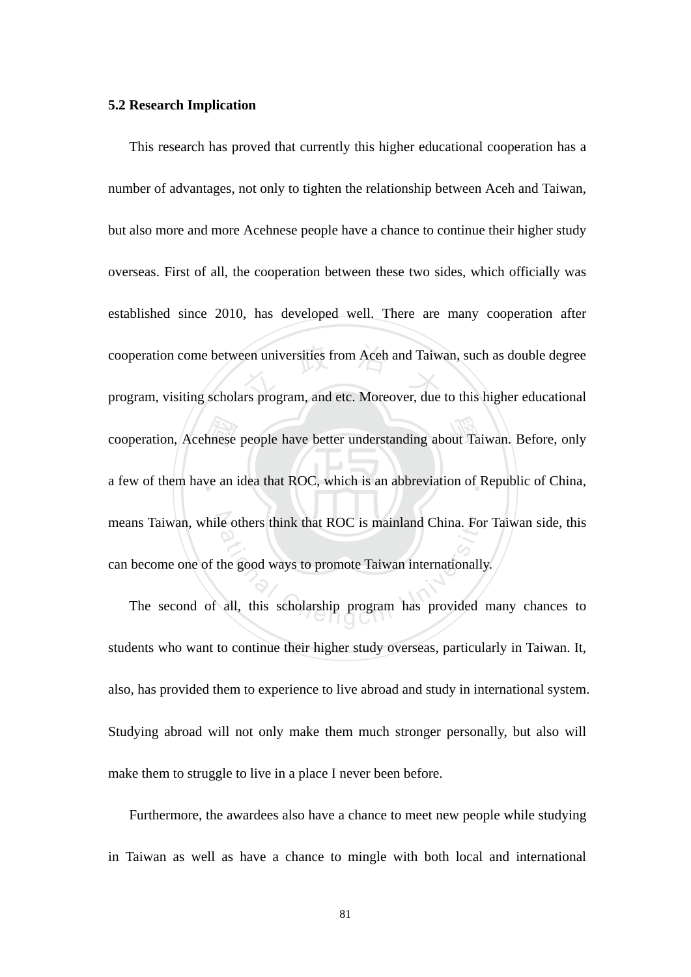#### **5.2 Research Implication**

cooperation, Acehnese people have better understanding about Taiwan. Before, only<br>a few of them have an idea that ROC, which is an abbreviation of Republic of China, cooperation come between universities from Aceh and Taiwan, such as double degree<br>program, visiting scholars program, and etc. Moreover, due to this higher educational a few of them have an idea that ROC, which is an abbreviation of Republic of China, means Taiwan, while others think that ROC is mainland China. For Taiwan side, this e others think that ROC is mainland China. For<br>the good ways to promote Taiwan internationally<br>all, this scholarship program has provided This research has proved that currently this higher educational cooperation has a number of advantages, not only to tighten the relationship between Aceh and Taiwan, but also more and more Acehnese people have a chance to continue their higher study overseas. First of all, the cooperation between these two sides, which officially was established since 2010, has developed well. There are many cooperation after program, visiting scholars program, and etc. Moreover, due to this higher educational can become one of the good ways to promote Taiwan internationally.

The second of all, this scholarship program has provided many chances to students who want to continue their higher study overseas, particularly in Taiwan. It, also, has provided them to experience to live abroad and study in international system. Studying abroad will not only make them much stronger personally, but also will make them to struggle to live in a place I never been before.

Furthermore, the awardees also have a chance to meet new people while studying in Taiwan as well as have a chance to mingle with both local and international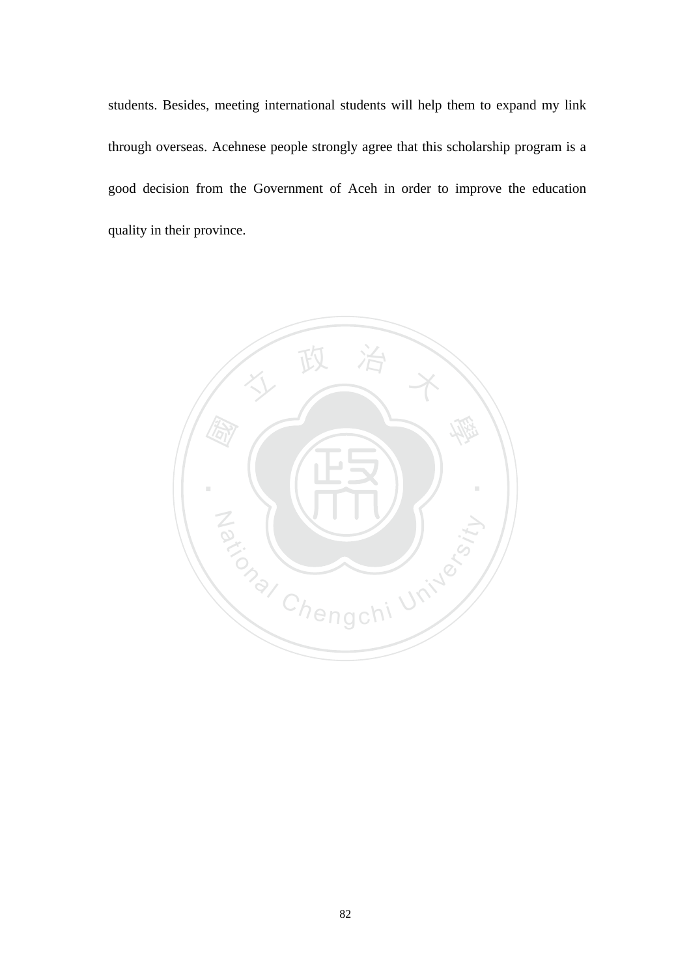students. Besides, meeting international students will help them to expand my link through overseas. Acehnese people strongly agree that this scholarship program is a good decision from the Government of Aceh in order to improve the education quality in their province.

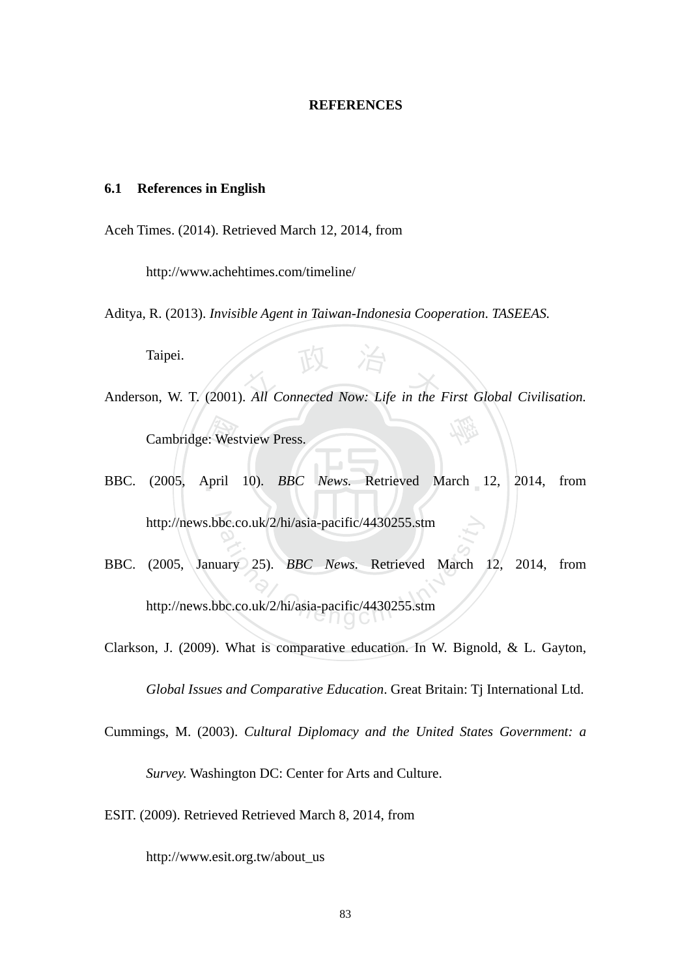#### **REFERENCES**

#### **6.1 References in English**

Aceh Times. (2014). Retrieved March 12, 2014, from

http://www.achehtimes.com/timeline/

Aditya, R. (2013). *Invisible Agent in Taiwan-Indonesia Cooperation*. *TASEEAS.*

Taipei.

- Taipei.<br>
Anderson, W. T. (2001). *All Connected Now: Life in the First Global Civilisation.* 學 Cambridge: Westview Press.
- ‧e: Wes<br>April BBC. (2005, April 10). *BBC News*. Retrieved March 12, 2014, from http://news.bbc.co.uk/2/hi/asia-pacific/4430255.stm
- bc.co.uk/2/hi/asia-pacific/4430255.stm<br>https://www.mary 25. BBC News. Retrieved March<br>bc.co.uk/2/hi/asia-pacific/4430255.stm BBC. (2005, January 25). *BBC News.* Retrieved March 12, 2014, from http://news.bbc.co.uk/2/hi/asia-pacific/4430255.stm
- Clarkson, J. (2009). What is comparative education. In W. Bignold, & L. Gayton, *Global Issues and Comparative Education*. Great Britain: Tj International Ltd.
- Cummings, M. (2003). *Cultural Diplomacy and the United States Government: a Survey.* Washington DC: Center for Arts and Culture.
- ESIT. (2009). Retrieved Retrieved March 8, 2014, from

http://www.esit.org.tw/about\_us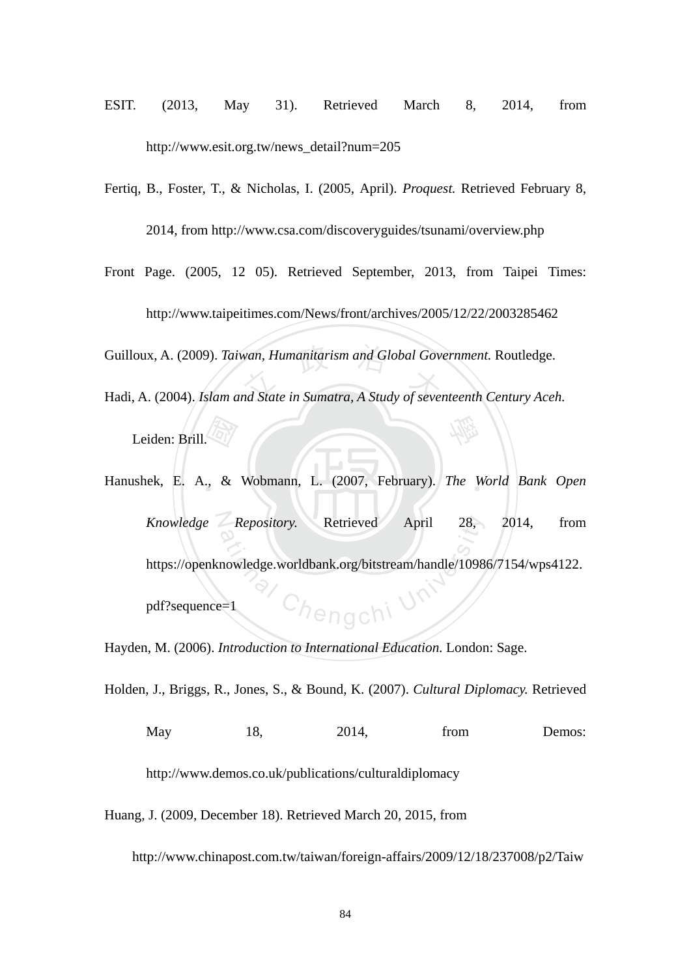- ESIT. (2013, May 31). Retrieved March 8, 2014, from http://www.esit.org.tw/news\_detail?num=205
- Fertiq, B., Foster, T., & Nicholas, I. (2005, April). *Proquest.* Retrieved February 8, 2014, from http://www.csa.com/discoveryguides/tsunami/overview.php
- Guilloux, A. (2009). *Taiwan, Humanitarism and Global Government*. Routledge.<br>Hadi, A. (2004). *Islam and State in Sumatra, A Study of seventeenth Century Acel* 學 Front Page. (2005, 12 05). Retrieved September, 2013, from Taipei Times: http://www.taipeitimes.com/News/front/archives/2005/12/22/2003285462 Hadi, A. (2004). *Islam and State in Sumatra, A Study of seventeenth Century Aceh.* Leiden: Brill.
- 國 Hanushek, E. A., & Wobmann, L. (2007, February). *The World Bank Open* N *Knowledge Repository.* Retrieved April 28, 2014, from <sup>a</sup>t<sup>i</sup>ona<sup>l</sup> <sup>C</sup>hengch<sup>i</sup> <sup>U</sup>nivers<sup>i</sup>t<sup>y</sup> https://openknowledge.worldbank.org/bitstream/handle/10986/7154/wps4122. pdf?sequence=1

Hayden, M. (2006). *Introduction to International Education.* London: Sage.

Holden, J., Briggs, R., Jones, S., & Bound, K. (2007). *Cultural Diplomacy.* Retrieved

May 18, 2014, from Demos:

http://www.demos.co.uk/publications/culturaldiplomacy

Huang, J. (2009, December 18). Retrieved March 20, 2015, from

http://www.chinapost.com.tw/taiwan/foreign-affairs/2009/12/18/237008/p2/Taiw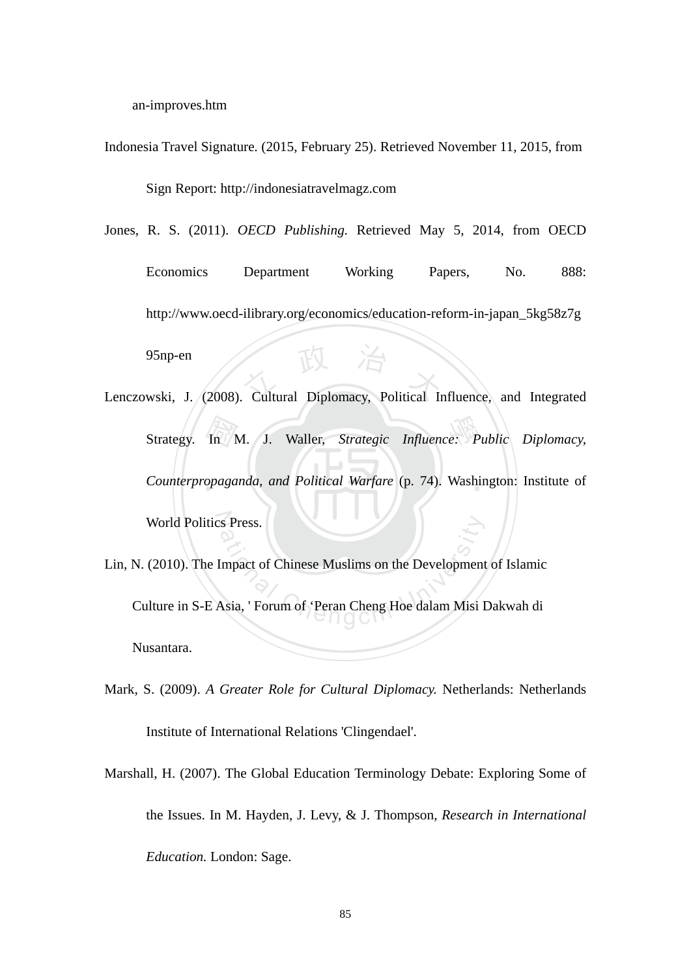an-improves.htm

Indonesia Travel Signature*.* (2015, February 25). Retrieved November 11, 2015, from

Sign Report: http://indonesiatravelmagz.com

Jones, R. S. (2011). *OECD Publishing.* Retrieved May 5, 2014, from OECD

Proposition of the Charles of Table 1. (2008). Cultural Diplomacy, Political Influence, and Integrated Economics Department Working Papers, No. 888: http://www.oecd-ilibrary.org/economics/education-reform-in-japan\_5kg58z7g 95np-en

- ‧In<br>In<br>opaga 學 Strategy. In M. J. Waller, *Strategic Influence: Public Diplomacy,*  Counterpropaganda, and Political Warfare (p. 74). Washington: Institute of N World Politics Press.
- S Press.<br>
Impact of Chinese Muslims on the Development<br>
Asia, 'Forum of 'Peran Cheng Hoe dalam Misi I Lin, N. (2010). The Impact of Chinese Muslims on the Development of Islamic Culture in S-E Asia, ' Forum of 'Peran Cheng Hoe dalam Misi Dakwah di Nusantara.
- Mark, S. (2009). *A Greater Role for Cultural Diplomacy.* Netherlands: Netherlands Institute of International Relations 'Clingendael'.
- Marshall, H. (2007). The Global Education Terminology Debate: Exploring Some of the Issues. In M. Hayden, J. Levy, & J. Thompson, *Research in International Education.* London: Sage.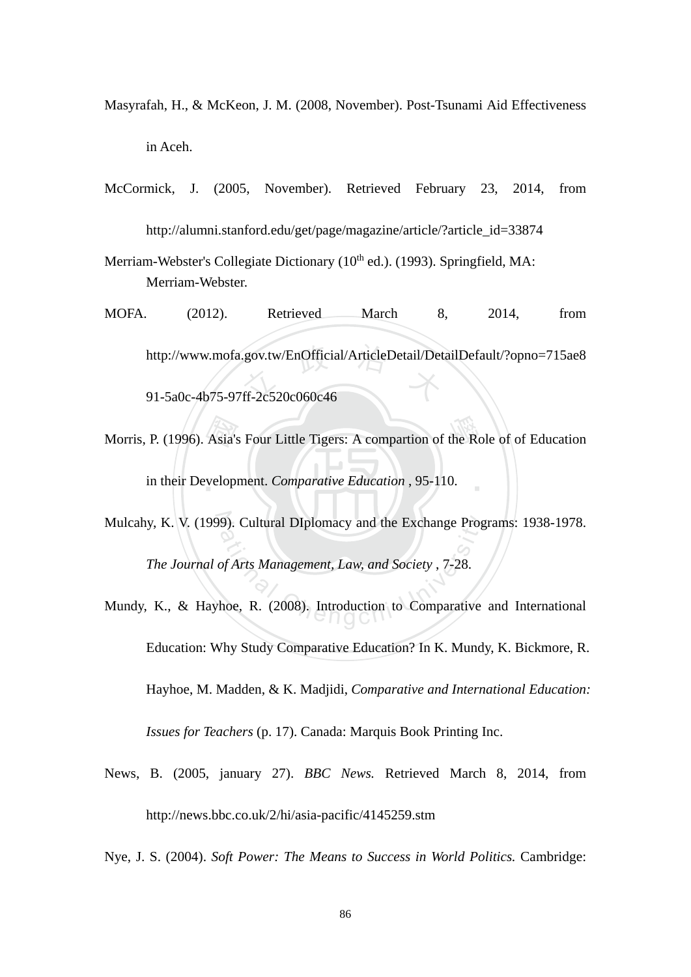- Masyrafah, H., & McKeon, J. M. (2008, November). Post-Tsunami Aid Effectiveness in Aceh.
- McCormick, J. (2005, November). Retrieved February 23, 2014, from http://alumni.stanford.edu/get/page/magazine/article/?article\_id=33874
- Merriam-Webster's Collegiate Dictionary  $(10<sup>th</sup>$  ed.). (1993). Springfield, MA: Merriam-Webster.
- http://www.mofa.gov.tw/EnOfficial/ArticleDetail/DetailDefault/?opno=715ae8<br>91-5a0c-4b75-97ff-2c520c060c46 MOFA. (2012). Retrieved March 8, 2014, from

91-5a0c-4b75-97ff-2c520c060c46

- Morris, P. (1996). Asia's Four Little Tigers: A compartion of the Role of of Education<br>in their Development. Comparative Education , 95-110. ‧ in their Development. *Comparative Education* , 95-110.
- N Mulcahy, K. V. (1999). Cultural DIplomacy and the Exchange Programs: 1938-1978. 9). Cultural DIplomacy and the Exchange Prog<br>of Arts Management, Law, and Society , 7-28.<br>hoe, R. (2008). Introduction to Comparative *The Journal of Arts Management, Law, and Society* , 7-28.
- Mundy, K., & Hayhoe, R. (2008). Introduction to Comparative and International Education: Why Study Comparative Education? In K. Mundy, K. Bickmore, R. Hayhoe, M. Madden, & K. Madjidi, *Comparative and International Education: Issues for Teachers* (p. 17). Canada: Marquis Book Printing Inc.
- News, B. (2005, january 27). *BBC News.* Retrieved March 8, 2014, from http://news.bbc.co.uk/2/hi/asia-pacific/4145259.stm
- Nye, J. S. (2004). *Soft Power: The Means to Success in World Politics.* Cambridge: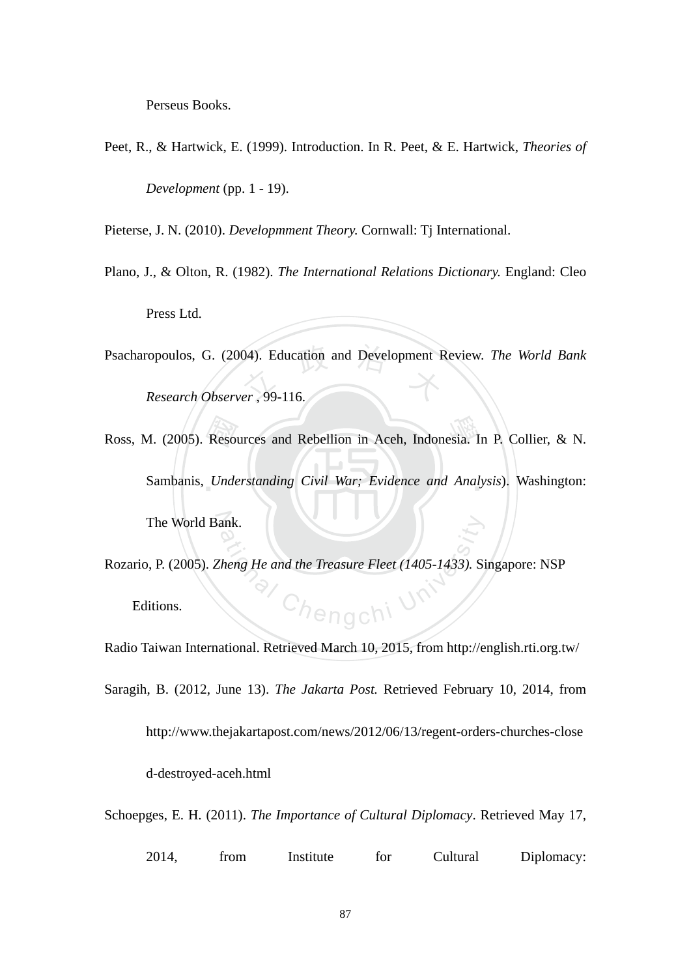Perseus Books.

Peet, R., & Hartwick, E. (1999). Introduction. In R. Peet, & E. Hartwick, *Theories of* 

*Development* (pp. 1 - 19).

Pieterse, J. N. (2010). *Developmment Theory.* Cornwall: Tj International.

- Plano, J., & Olton, R. (1982). *The International Relations Dictionary.* England: Cleo Press Ltd.
- Psacharopoulos, G. (2004). Education and Development Review. *The World Bank*<br>Research Observer, 99-116. *Research Observer* , 99-116.
- Ross, M. (2005). Resources and Rebellion in Aceh, Indonesia. In P. Collier, & N.<br>Sambanis, Understanding Civil War; Evidence and Analysis). Washington: Sambanis, *Understanding Civil War; Evidence and Analysis*). Washington: The World Bank.
- Chengchi Ur Rozario, P. (2005). *Zheng He and the Treasure Fleet (1405-1433).* Singapore: NSP Editions.

Radio Taiwan International. Retrieved March 10, 2015, from http://english.rti.org.tw/

Saragih, B. (2012, June 13). *The Jakarta Post.* Retrieved February 10, 2014, from http://www.thejakartapost.com/news/2012/06/13/regent-orders-churches-close d-destroyed-aceh.html

Schoepges, E. H. (2011). *The Importance of Cultural Diplomacy*. Retrieved May 17,

| 2014, | trom | Institute | tor | Cultural | Diplomacy: |
|-------|------|-----------|-----|----------|------------|
|-------|------|-----------|-----|----------|------------|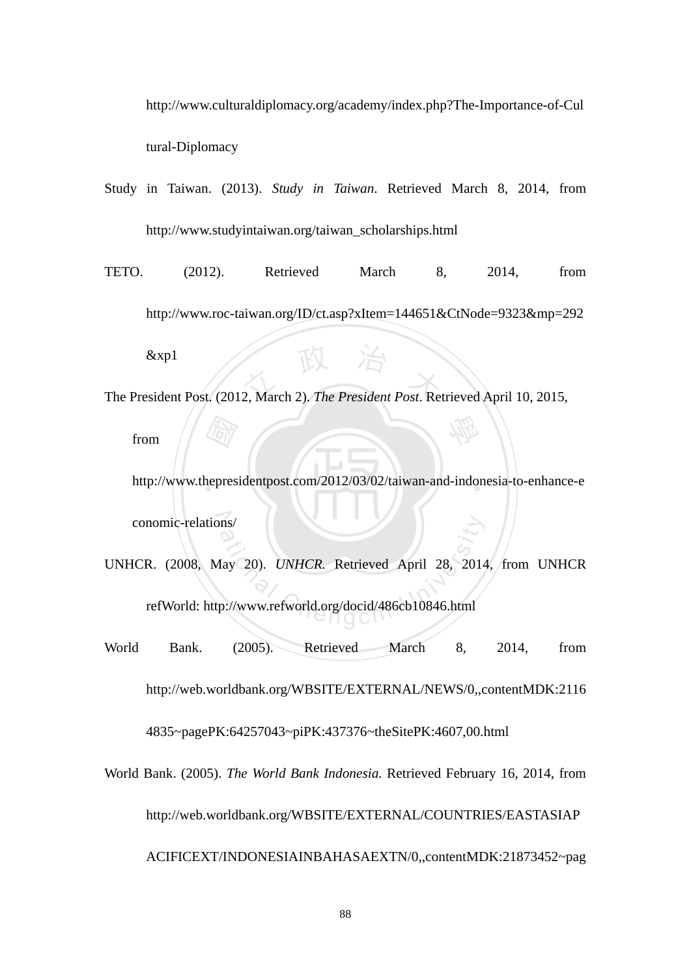http://www.culturaldiplomacy.org/academy/index.php?The-Importance-of-Cul tural-Diplomacy

- Study in Taiwan. (2013). *Study in Taiwan*. Retrieved March 8, 2014, from http://www.studyintaiwan.org/taiwan\_scholarships.html
- EV The President Post. (2012, March 2). *The President Post*. Retrieved April 10, 2015, TETO. (2012). Retrieved March 8, 2014, from http://www.roc-taiwan.org/ID/ct.asp?xItem=144651&CtNode=9323&mp=292 &xp1

from

 國 ‧ http://www.thepresidentpost.com/2012/03/02/taiwan-and-indonesia-to-enhance-e conomic-relations/

學

- ns/<br>Iay 20). *UNHCR*. Retrieved April 28, 2014<br>p://www.refworld.org/docid/486cb10846.html UNHCR. (2008, May 20). *UNHCR.* Retrieved April 28, 2014, from UNHCR refWorld: http://www.refworld.org/docid/486cb10846.html
- World Bank. (2005). Retrieved March 8, 2014, from http://web.worldbank.org/WBSITE/EXTERNAL/NEWS/0,,contentMDK:2116 4835~pagePK:64257043~piPK:437376~theSitePK:4607,00.html
- World Bank. (2005). *The World Bank Indonesia.* Retrieved February 16, 2014, from http://web.worldbank.org/WBSITE/EXTERNAL/COUNTRIES/EASTASIAP ACIFICEXT/INDONESIAINBAHASAEXTN/0,,contentMDK:21873452~pag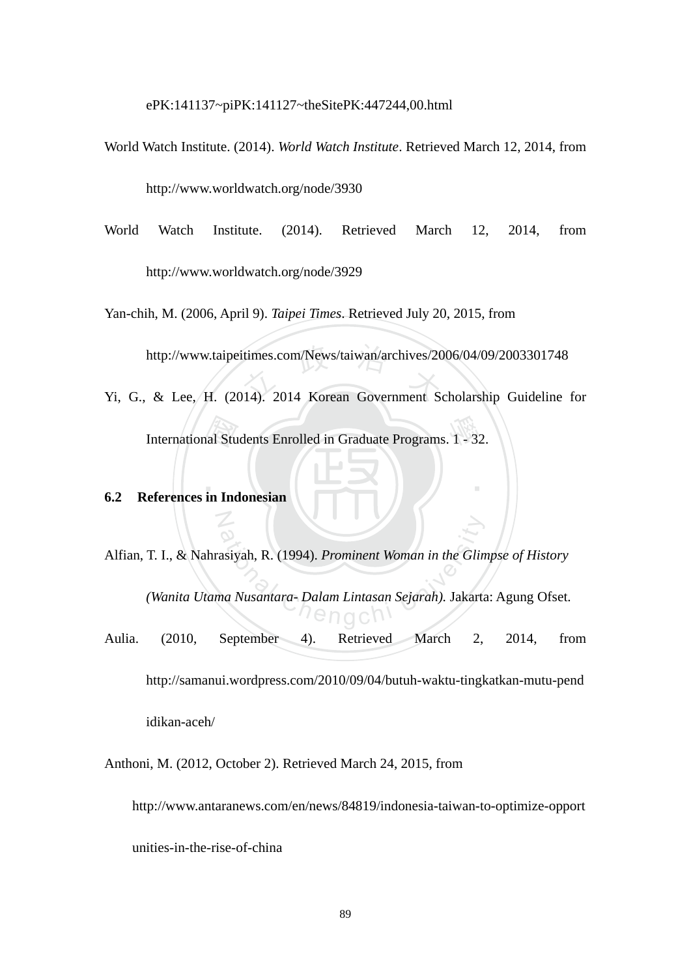ePK:141137~piPK:141127~theSitePK:447244,00.html

- World Watch Institute. (2014). *World Watch Institute*. Retrieved March 12, 2014, from http://www.worldwatch.org/node/3930
- World Watch Institute. (2014). Retrieved March 12, 2014, from http://www.worldwatch.org/node/3929

Yan-chih, M. (2006, April 9). *Taipei Times*. Retrieved July 20, 2015, from

http://www.taipeitimes.com/News/taiwan/archives/2006/04/09/2003301748<br>& Lee, H. (2014). 2014 Korean Government Scholarship Guideline

International Students Enrolled in Graduate Programs. 1 - 32.<br>
eferences in Indonesian Yi, G., & Lee, H. (2014). 2014 Korean Government Scholarship Guideline for

‧

# ‧**6.2 References in Indonesian**

N

asiyah, R. (1994). *Prominent Woman in the Glin<br>na Nusantara- Dalam Lintasan Sejarah*). Jakarta<br> $\bigcap_{n=0}^{\infty}$ Alfian, T. I., & Nahrasiyah, R. (1994). *Prominent Woman in the Glimpse of History (Wanita Utama Nusantara- Dalam Lintasan Sejarah).* Jakarta: Agung Ofset. Aulia. (2010, September 4). Retrieved March 2, 2014, from http://samanui.wordpress.com/2010/09/04/butuh-waktu-tingkatkan-mutu-pend

idikan-aceh/

Anthoni, M. (2012, October 2). Retrieved March 24, 2015, from

http://www.antaranews.com/en/news/84819/indonesia-taiwan-to-optimize-opport

unities-in-the-rise-of-china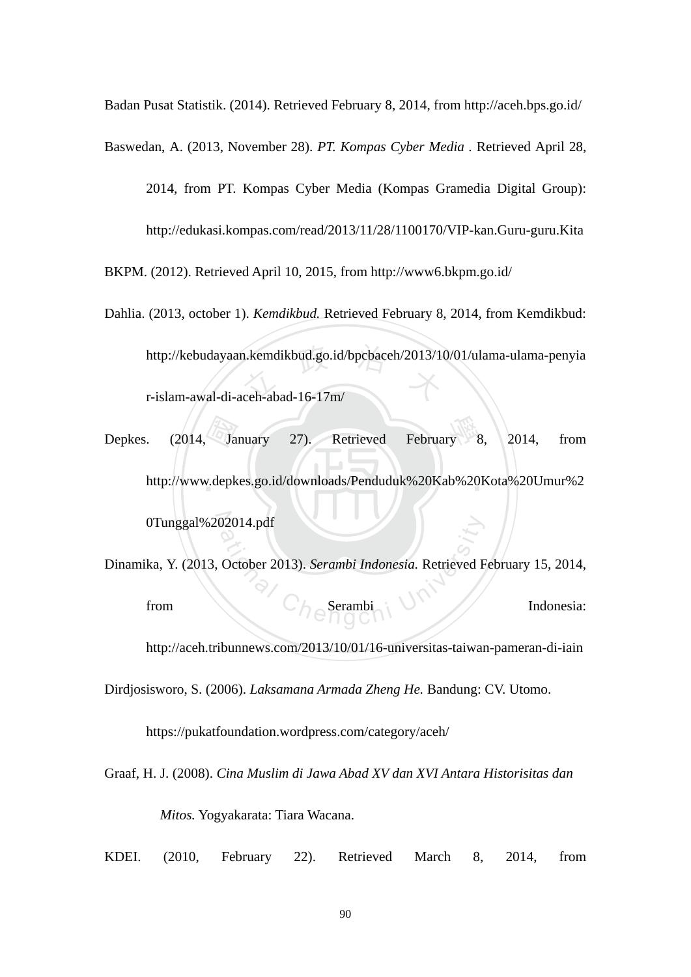Badan Pusat Statistik. (2014). Retrieved February 8, 2014, from http://aceh.bps.go.id/

Baswedan, A. (2013, November 28). *PT. Kompas Cyber Media .* Retrieved April 28,

2014, from PT. Kompas Cyber Media (Kompas Gramedia Digital Group): http://edukasi.kompas.com/read/2013/11/28/1100170/VIP-kan.Guru-guru.Kita

BKPM. (2012). Retrieved April 10, 2015, from http://www6.bkpm.go.id/

- http://kebudayaan.kemdikbud.go.id/bpcbaceh/2013/10/01/ulama-ulama-penyia<br>r-islam-awal-di-aceh-abad-16-17m/ Dahlia. (2013, october 1). *Kemdikbud.* Retrieved February 8, 2014, from Kemdikbud: r-islam-awal-di-aceh-abad-16-17m/
- *Days Company* February ‧ http://www.depkes.go.id/downloads/Penduduk%20Kab%20Kota%20Umur%2 0Tunggal%202014.pdf Depkes. (2014, January 27). Retrieved February 8, 2014, from
- 02014.pdf<br>October 2013). Serambi Indonesia. Retrieved F<br> $\bigcap_{n=0}^{\infty}$  Serambi Dinamika, Y. (2013, October 2013). *Serambi Indonesia.* Retrieved February 15, 2014, from  $C_{\text{A}}$  Serambi  $\sim$  M<sup>1</sup> // Indonesia:

http://aceh.tribunnews.com/2013/10/01/16-universitas-taiwan-pameran-di-iain

Dirdjosisworo, S. (2006). *Laksamana Armada Zheng He.* Bandung: CV. Utomo.

https://pukatfoundation.wordpress.com/category/aceh/

Graaf, H. J. (2008). *Cina Muslim di Jawa Abad XV dan XVI Antara Historisitas dan Mitos.* Yogyakarata: Tiara Wacana.

KDEI. (2010, February 22). Retrieved March 8, 2014, from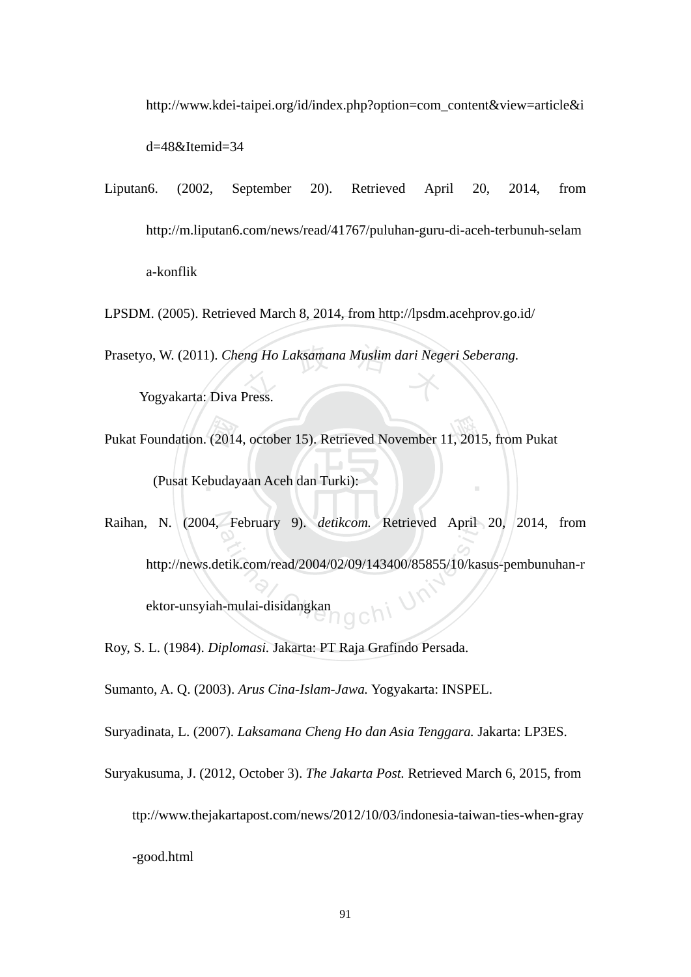http://www.kdei-taipei.org/id/index.php?option=com\_content&view=article&i

d=48&Itemid=34

- Liputan6. (2002, September 20). Retrieved April 20, 2014, from http://m.liputan6.com/news/read/41767/puluhan-guru-di-aceh-terbunuh-selam a-konflik
- Prasetyo, W. (2011). *Cheng Ho Laksamana Muslim dari Negeri Seberang.*<br>Yogyakarta: Diva Press. LPSDM. (2005). Retrieved March 8, 2014, from http://lpsdm.acehprov.go.id/

Yogyakarta: Diva Press.

- Pukat Foundation. (2014, october 15). Retrieved November 11, 2015, from Pukat<br>(Pusat Kebudayaan Aceh dan Turki): ‧ (Pusat Kebudayaan Aceh dan Turki):
- Raihan, N. (2004, February 9). *detikcom.* Retrieved April 20, 2014, from February 9). *detikcom*. Retrieved April<br>etik.com/read/2004/02/09/143400/85855/10/kas<br>a-mulai-disidangkan http://news.detik.com/read/2004/02/09/143400/85855/10/kasus-pembunuhan-r ektor-unsyiah-mulai-disidangkan

Roy, S. L. (1984). *Diplomasi.* Jakarta: PT Raja Grafindo Persada.

Sumanto, A. Q. (2003). *Arus Cina-Islam-Jawa.* Yogyakarta: INSPEL.

Suryadinata, L. (2007). *Laksamana Cheng Ho dan Asia Tenggara.* Jakarta: LP3ES.

Suryakusuma, J. (2012, October 3). *The Jakarta Post.* Retrieved March 6, 2015, from ttp://www.thejakartapost.com/news/2012/10/03/indonesia-taiwan-ties-when-gray -good.html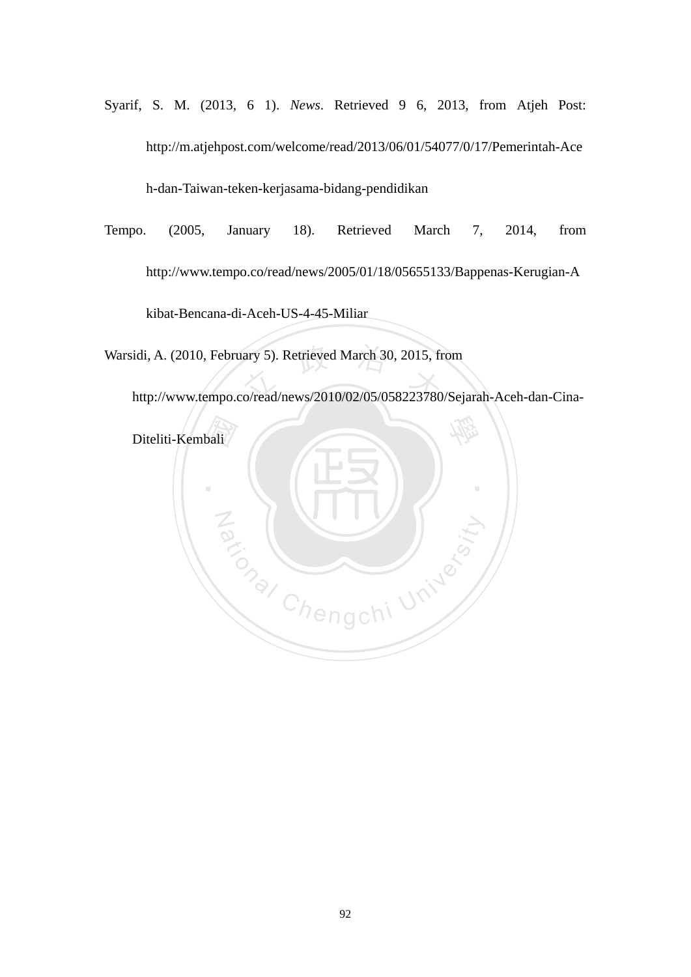- Syarif, S. M. (2013, 6 1). *News*. Retrieved 9 6, 2013, from Atjeh Post: http://m.atjehpost.com/welcome/read/2013/06/01/54077/0/17/Pemerintah-Ace h-dan-Taiwan-teken-kerjasama-bidang-pendidikan
- Tempo. (2005, January 18). Retrieved March 7, 2014, from http://www.tempo.co/read/news/2005/01/18/05655133/Bappenas-Kerugian-A kibat-Bencana-di-Aceh-US-4-45-Miliar

Warsidi, A. (2010, February 5). Retrieved March 30, 2015, from<br>http://www.tempo.co/read/news/2010/02/05/058223780/Sej

http://www.tempo.co/read/news/2010/02/05/058223780/Sejarah-Aceh-dan-Cina-

Za (WILL) Riversity

學

‧

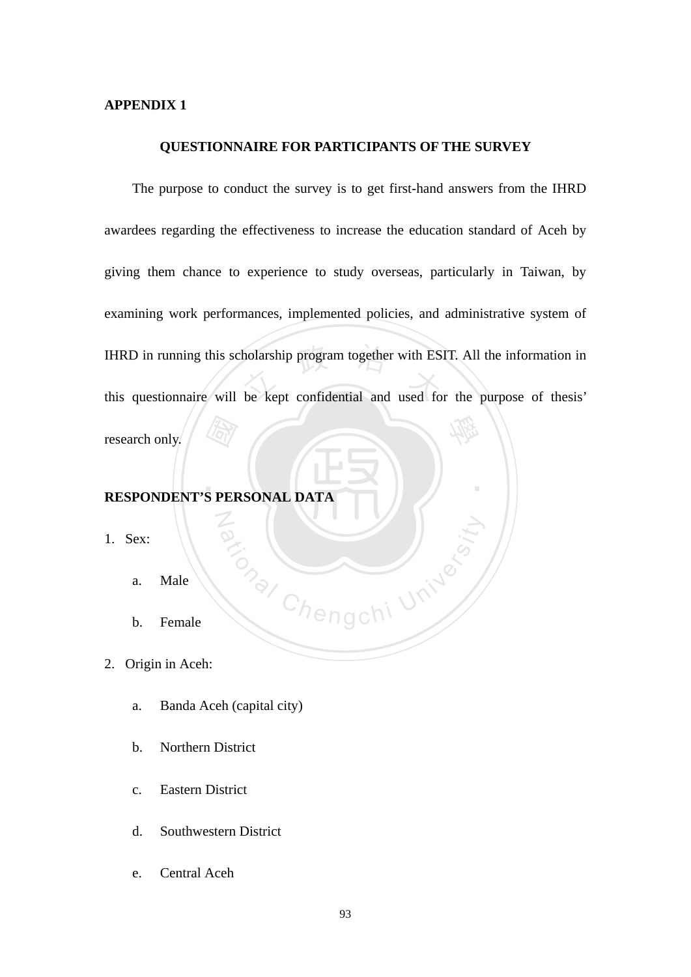### **APPENDIX 1**

#### **QUESTIONNAIRE FOR PARTICIPANTS OF THE SURVEY**

**RESPONDENT'S PERSONAL DATA** IHRD in running this scholarship program together with ESIT. All the information in<br>this questionnaire will be kept confidential and used for the purpose of thesis' 學 The purpose to conduct the survey is to get first-hand answers from the IHRD awardees regarding the effectiveness to increase the education standard of Aceh by giving them chance to experience to study overseas, particularly in Taiwan, by examining work performances, implemented policies, and administrative system of this questionnaire will be kept confidential and used for the purpose of thesis' research only.

May Chengchi University

‧

N

- 1. Sex:
	- a. Male
	- b. Female
- 2. Origin in Aceh:
	- a. Banda Aceh (capital city)
	- b. Northern District
	- c. Eastern District
	- d. Southwestern District
	- e. Central Aceh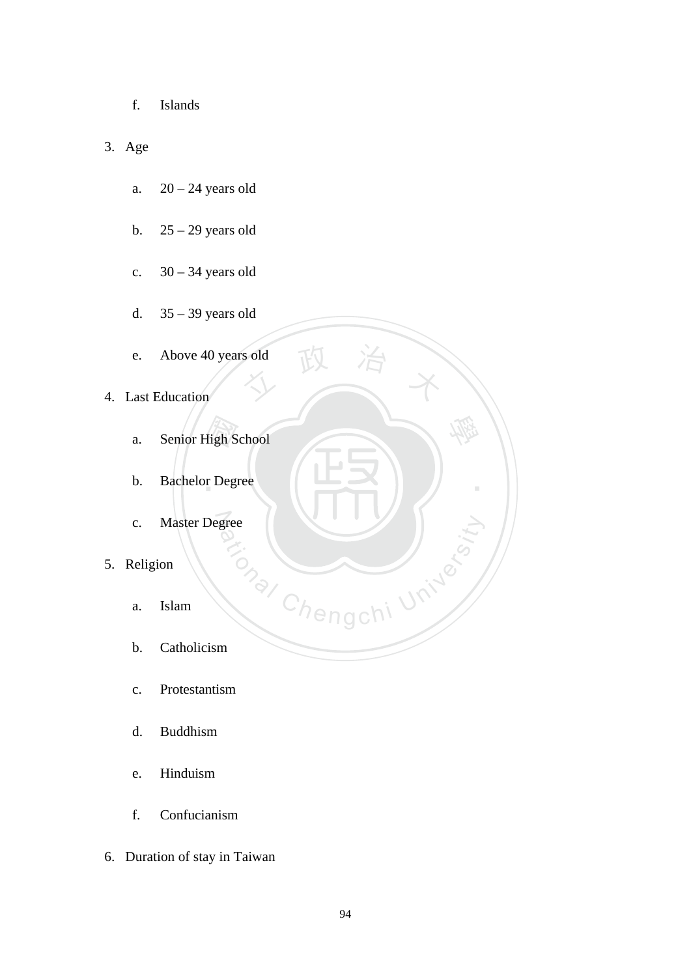- f. Islands
- 3. Age
	- a.  $20 24$  years old
	- b.  $25 29$  years old
	- c.  $30 34$  years old
	- d. 35 39 years old
	- sold 政 治 米 e. Above 40 years old
- 4. Last Education
	- a. Senior High School
	- ligh S<br>r Deg b. Bachelor Degree
	- N c. Master Degree
- 5. Religion
	- a. Islam
	- b. Catholicism
	- c. Protestantism
	- d. Buddhism
	- e. Hinduism
	- f. Confucianism
- 6. Duration of stay in Taiwan

Chengchi University

學

‧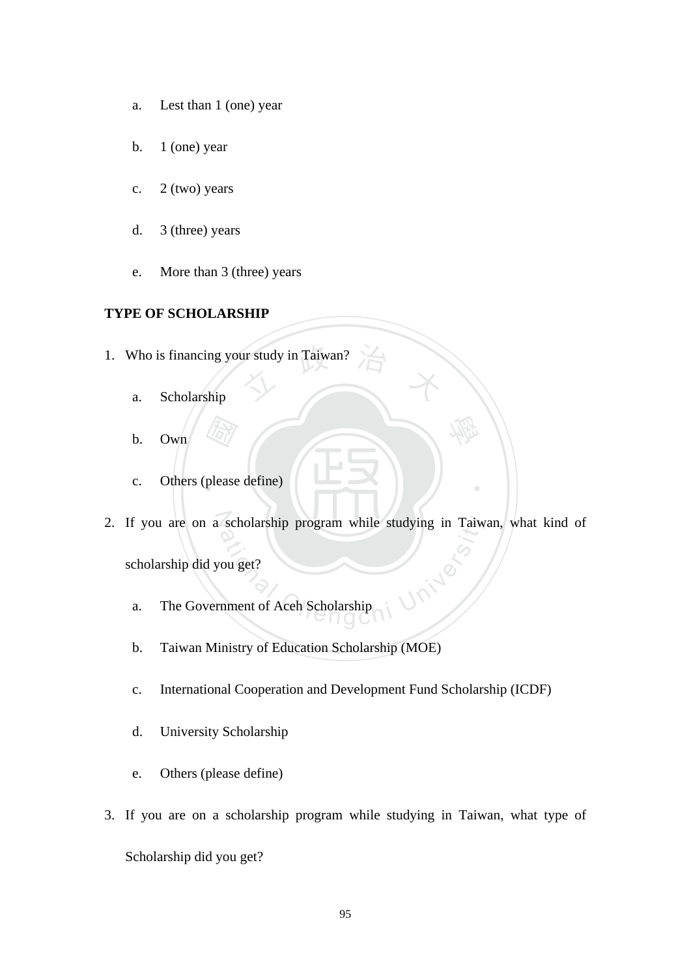- a. Lest than 1 (one) year
- b.  $1$  (one) year
- c.  $2$  (two) years
- d. 3 (three) years
- e. More than 3 (three) years

### **TYPE OF SCHOLARSHIP**

- 1. Who is financing your study in Taiwan?
	- a. Scholarship
	- b. Own
	- ‧(Fay)<br>please c. Others (please define)
- 2. If you are on a scholarship program while studying in Taiwan, what kind of<br>scholarship did you get?<br>a. The Government of Aceh Scholarship scholarship did you get?

學

‧

- a. The Government of Aceh Scholarship
- b. Taiwan Ministry of Education Scholarship (MOE)
- c. International Cooperation and Development Fund Scholarship (ICDF)
- d. University Scholarship
- e. Others (please define)
- 3. If you are on a scholarship program while studying in Taiwan, what type of Scholarship did you get?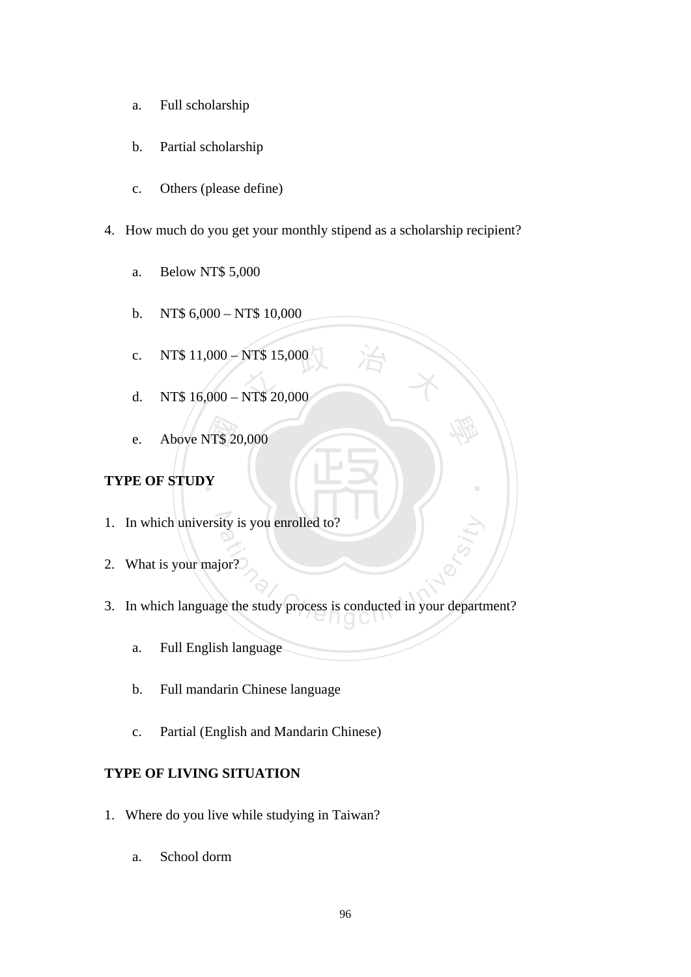- a. Full scholarship
- b. Partial scholarship
- c. Others (please define)
- 4. How much do you get your monthly stipend as a scholarship recipient?
	- a. Below NT\$ 5,000
	- b. NT\$  $6,000 N$ T\$ 10,000
	- NT\$ 15,000 c. NT\$ 11,000 – NT\$ 15,000
	- d. NT\$ 16,000 NT\$ 20,000
	- NT\$ 20<br>Y e. Above NT\$ 20,000

# **TYPE OF STUDY**

- 1. In which university is you enrolled to?
- 2. What is your major?
- ative is you enrolled to?<br>
Sor?<br>
The study process is conducted in your departments<br>
Occur in your departments<br>
Occured in your departments<br>
Occured in your departments<br>
Occured in your departments<br>
Occured in your departm 3. In which language the study process is conducted in your department?

學

‧

- a. Full English language
- b. Full mandarin Chinese language
- c. Partial (English and Mandarin Chinese)

# **TYPE OF LIVING SITUATION**

- 1. Where do you live while studying in Taiwan?
	- a. School dorm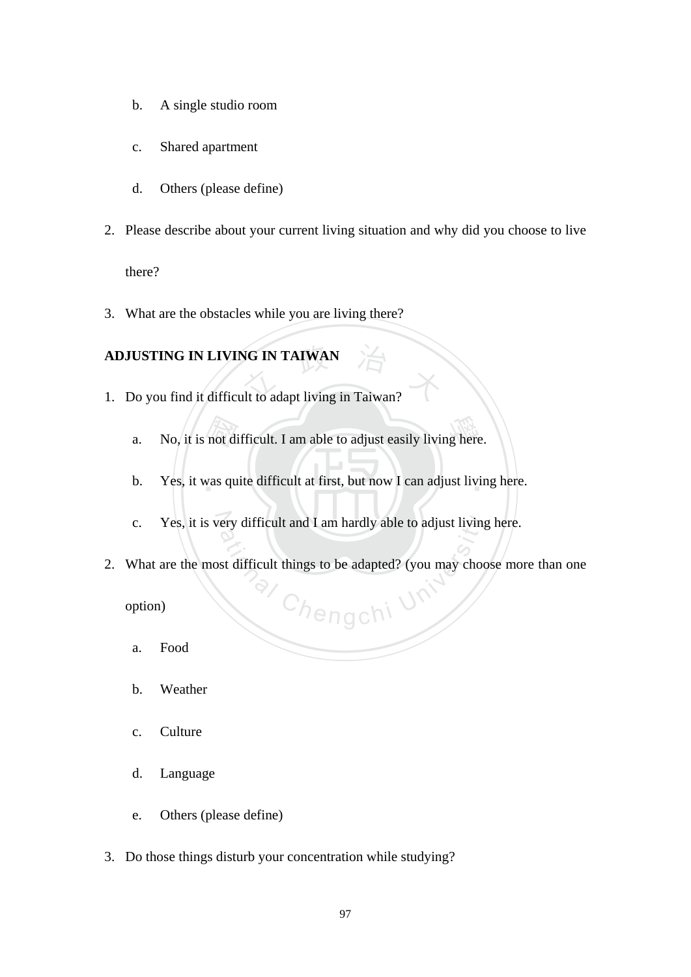- b. A single studio room
- c. Shared apartment
- d. Others (please define)
- 2. Please describe about your current living situation and why did you choose to live

there?

3. What are the obstacles while you are living there?

# **ADJUSTING IN LIVING IN TAIWAN**

- ADJUSTING IN LIVING IN TAIWAN<br>
1. Do you find it difficult to adapt living in Taiwan?
	- not di<br>vas qu a. No, it is not difficult. I am able to adjust easily living here.
	- b. Yes, it was quite difficult at first, but now I can adjust living here.
	- c. Yes, it is very difficult and I am hardly able to adjust living here.
- a<sub>/ Chengchi Un</sub> 2. What are the most difficult things to be adapted? (you may choose more than one

option)

- a. Food
- b. Weather
- c. Culture
- d. Language
- e. Others (please define)
- 3. Do those things disturb your concentration while studying?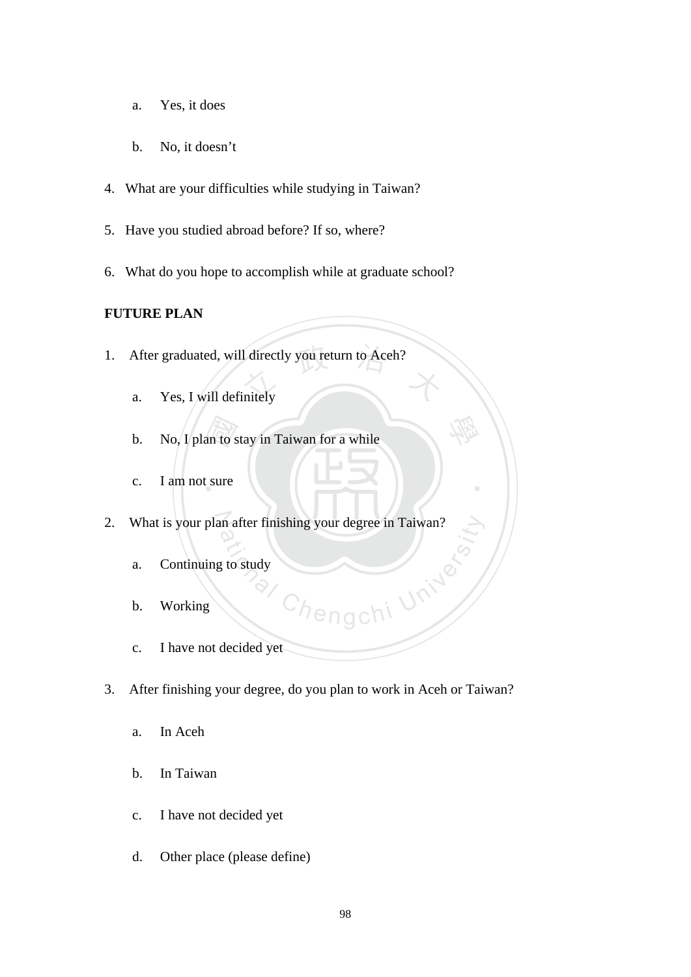- a. Yes, it does
- b. No, it doesn't
- 4. What are your difficulties while studying in Taiwan?
- 5. Have you studied abroad before? If so, where?
- 6. What do you hope to accomplish while at graduate school?

# **FUTURE PLAN**

- 1. After graduated, will directly you return to Aceh?<br>a. Yes, I will definitely
	- a. Yes, I will definitely
	- an to s b. No, I plan to stay in Taiwan for a while
	- c. I am not sure
- 2. What is your plan after finishing your degree in Taiwan?
	- a. Continuing to study
	- b. Working
	- Thengchi University c. I have not decided yet
- 3. After finishing your degree, do you plan to work in Aceh or Taiwan?

學

‧

- a. In Aceh
- b. In Taiwan
- c. I have not decided yet
- d. Other place (please define)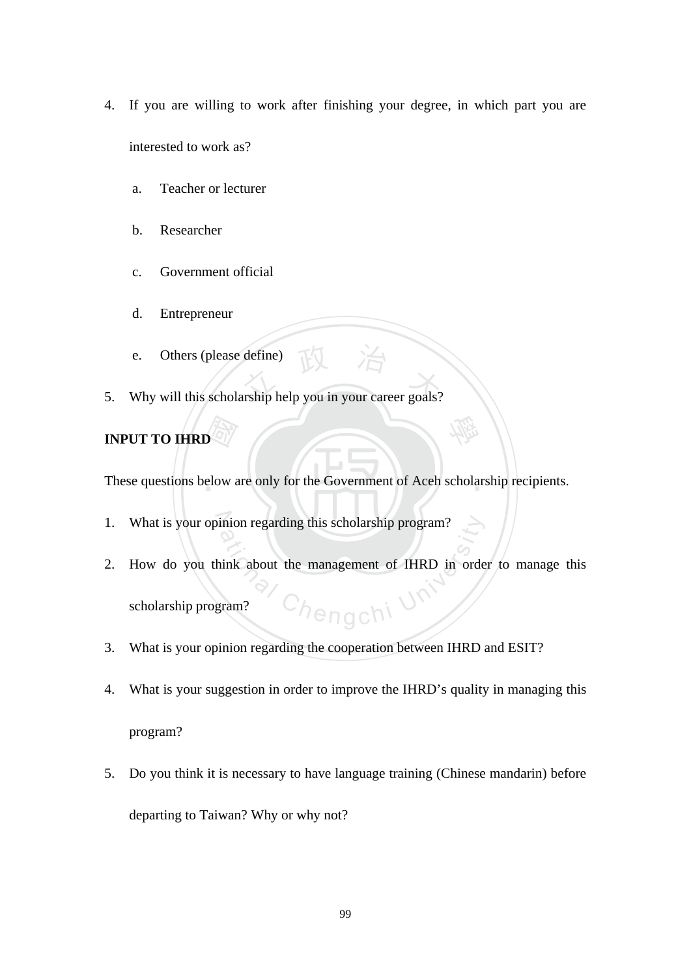- 4. If you are willing to work after finishing your degree, in which part you are interested to work as?
	- a. Teacher or lecturer
	- b. Researcher
	- c. Government official
	- d. Entrepreneur
	- e. Others (please define)
- e. Others (please define)<br>
5. Why will this scholarship help you in your career goals?

# **INPUT TO IHRD**

 $\frac{\sqrt{2\pi}}{\pi}$ <br>elow a These questions below are only for the Government of Aceh scholarship recipients.

學

- 1. What is your opinion regarding this scholarship program?
- 'h<sub>engch</sub>i U 2. How do you think about the management of IHRD in order to manage this scholarship program?
- 3. What is your opinion regarding the cooperation between IHRD and ESIT?
- 4. What is your suggestion in order to improve the IHRD's quality in managing this program?
- 5. Do you think it is necessary to have language training (Chinese mandarin) before departing to Taiwan? Why or why not?